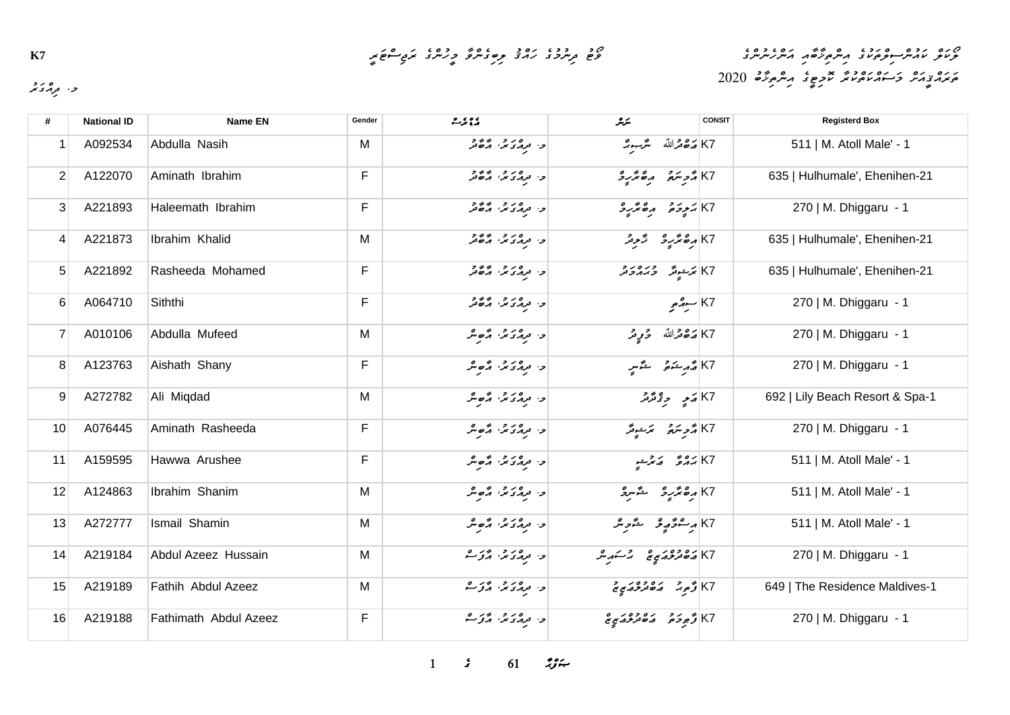*sCw7q7s5w7m< o<n9nOoAw7o< sCq;mAwBoEw7q<m; wBm;vB* م من المسجد المسجد المسجد المسجد المسجد العام 2020<br>مسجد المسجد المسجد المسجد المسجد المسجد المسجد المسجد المسجد ال

| #               | <b>National ID</b> | Name EN               | Gender       | ړ، پر                                                                                                                                                                                                                            | ىترىگر                                                       | <b>CONSIT</b> | <b>Registerd Box</b>            |
|-----------------|--------------------|-----------------------|--------------|----------------------------------------------------------------------------------------------------------------------------------------------------------------------------------------------------------------------------------|--------------------------------------------------------------|---------------|---------------------------------|
| 1               | A092534            | Abdulla Nasih         | M            | د برمړي مصر                                                                                                                                                                                                                      | K7 مَەھمَراللە م <i>ەربى</i> ر                               |               | 511   M. Atoll Male' - 1        |
| $\overline{2}$  | A122070            | Aminath Ibrahim       | $\mathsf{F}$ | و مرد و د و و د                                                                                                                                                                                                                  | K7 مُحْرِسَمَةَ مِنْ مُحَرِّرِ 3                             |               | 635   Hulhumale', Ehenihen-21   |
| $\mathbf{3}$    | A221893            | Haleemath Ibrahim     | $\mathsf{F}$ | و مرور و و و د                                                                                                                                                                                                                   | K7 كېږ <i>دکا م</i> ەھمگېرى                                  |               | 270   M. Dhiggaru - 1           |
| 4               | A221873            | Ibrahim Khalid        | M            | و. مرد و در و در                                                                                                                                                                                                                 | K7 مەھم <i>گى</i> رۇ گەمەتە                                  |               | 635   Hulhumale', Ehenihen-21   |
| $5\phantom{.0}$ | A221892            | Rasheeda Mohamed      | F            | و مرد و د و د و                                                                                                                                                                                                                  | K7 بَرَسْوِتَرٌ     وَبَرَهْ وَ تَرْ                         |               | 635   Hulhumale', Ehenihen-21   |
| 6               | A064710            | Siththi               | F            | و . مرمرو بر استان و در جان بر استان بر بر استان بر بر استان بر بر استان بر بر استان بر بر استان بر استان بر ا<br>مراجع استان بر استان بر استان بر استان بر استان بر استان بر استان بر استان بر استان بر استان بر استان بر استان | K7 سو <i>هو</i>                                              |               | 270   M. Dhiggaru - 1           |
| $\overline{7}$  | A010106            | Abdulla Mufeed        | M            | و مرمز تر مه م                                                                                                                                                                                                                   |                                                              |               | 270   M. Dhiggaru - 1           |
| 8               | A123763            | Aishath Shany         | $\mathsf F$  | و. مرمزی کم مگر صنگر                                                                                                                                                                                                             | K7 مُدمِشَعْرِ مُحَسِّرِ                                     |               | 270   M. Dhiggaru - 1           |
| $9\,$           | A272782            | Ali Miqdad            | M            | و مرد و د که م                                                                                                                                                                                                                   |                                                              |               | 692   Lily Beach Resort & Spa-1 |
| 10              | A076445            | Aminath Rasheeda      | $\mathsf F$  | و. مرد د بر گرم ش                                                                                                                                                                                                                | K7 مُرْحِ مَرْمَ مَرْسُومُرٌ                                 |               | 270   M. Dhiggaru - 1           |
| 11              | A159595            | Hawwa Arushee         | $\mathsf F$  | و. مرمزی کمی مگر میگر                                                                                                                                                                                                            | K7 كَيْرْدُمْ - مَرْسُو                                      |               | 511   M. Atoll Male' - 1        |
| 12              | A124863            | Ibrahim Shanim        | M            | و. مرمزی کمی مگر میگر                                                                                                                                                                                                            | K7 رەڭرى <sub>ر</sub> ۇ ش <sup>ې</sup> رىۋ                   |               | 511   M. Atoll Male' - 1        |
| 13              | A272777            | <b>Ismail Shamin</b>  | M            | و. مرمزی می شهر                                                                                                                                                                                                                  | K7 <sub>م</sub> رشۇم <sub>ۇ</sub> ھەمەسىگە ئىشكەن ئىشكەن ئىش |               | 511   M. Atoll Male' - 1        |
| 14              | A219184            | Abdul Azeez Hussain   | M            | د. مرد دند، د ژک                                                                                                                                                                                                                 | K7 مەھىر <i>ئام بىر ئىسكىرىش</i>                             |               | 270   M. Dhiggaru - 1           |
| 15              | A219189            | Fathih Abdul Azeez    | M            | و مرد دي گروگ                                                                                                                                                                                                                    | K7 ژَّەب <sup>ر</sup> مەھىر <i>ۈم ي</i>                      |               | 649   The Residence Maldives-1  |
| 16              | A219188            | Fathimath Abdul Azeez | F            | و مرد دی. گروگ                                                                                                                                                                                                                   | K7 ژ <sub>ن</sub> جوځ مه <i>ه د وه د</i> ې                   |               | 270   M. Dhiggaru - 1           |

*q8mCw<o@ .>*

*1 s* 61 *i*<sub>S</sub> $\approx$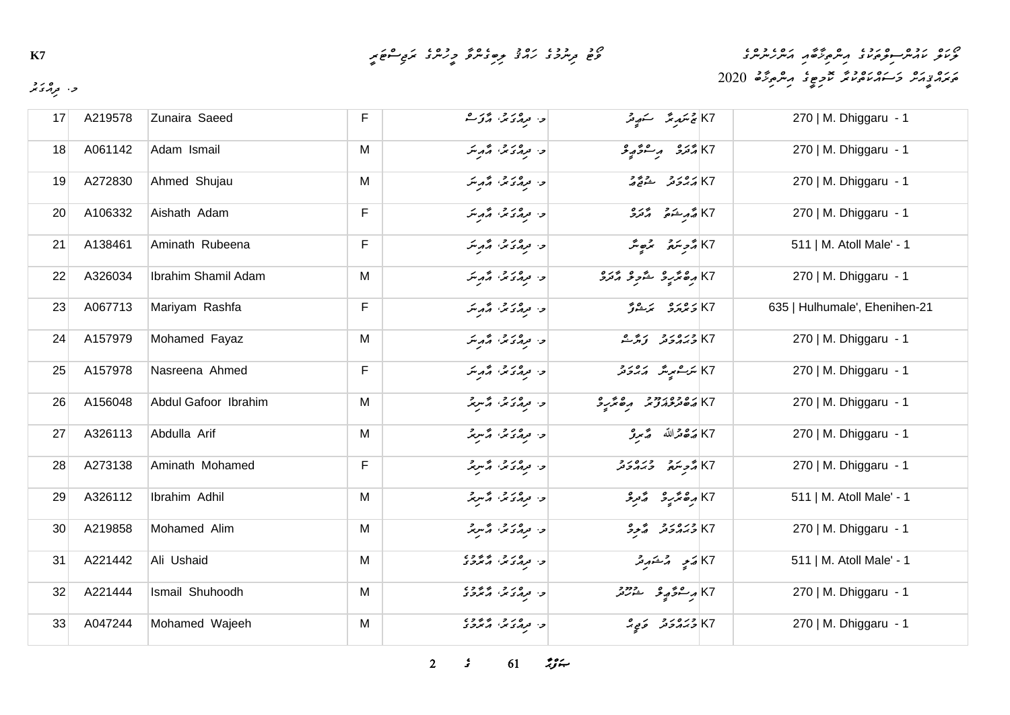*sCw7q7s5w7m< o<n9nOoAw7o< sCq;mAwBoEw7q<m; wBm;vB* م من المرة المرة المرة المرجع المرجع في المركبة 2020<br>مجم*د المريض المربوط المربع المرجع في المراجع المركبة* 

| 17 | A219578 | Zunaira Saeed        | $\mathsf F$  | د. مرد دند، د تو ک  | K7 ج <i>سَمدٍ بمَ</i> سَم <i>دٍ مِنْ</i>            | 270   M. Dhiggaru - 1         |
|----|---------|----------------------|--------------|---------------------|-----------------------------------------------------|-------------------------------|
| 18 | A061142 | Adam Ismail          | M            | د. مرح دیم، حصر     | K7 مُحَمَّدٌ مِـــْمُحَمِّدٌ                        | 270   M. Dhiggaru - 1         |
| 19 | A272830 | Ahmed Shujau         | M            | د. مرد د بر اگر ش   | K7 كەبروگر شوق <sub>ە</sub> كە                      | 270   M. Dhiggaru - 1         |
| 20 | A106332 | Aishath Adam         | $\mathsf F$  | و مرد وی گهرس       | K7 مُم شَمَّ مُمَّرَّد                              | 270   M. Dhiggaru - 1         |
| 21 | A138461 | Aminath Rubeena      | $\mathsf{F}$ | ه مهدی شهر          | K7 مُجْرِسَمُ مُتَّقِسَّ                            | 511   M. Atoll Male' - 1      |
| 22 | A326034 | Ibrahim Shamil Adam  | M            | د. مرد د تر. د آر س | K7 رەڭرىرى ھەرى ئەترى                               | 270   M. Dhiggaru - 1         |
| 23 | A067713 | Mariyam Rashfa       | F            | و مرد دی. د مر      | K7 كۆپرە كەشۇ                                       | 635   Hulhumale', Ehenihen-21 |
| 24 | A157979 | Mohamed Fayaz        | M            | د. مرد د بر اگر ش   | K7 <i>ۋېرە دۆ</i> ئەترىپ                            | 270   M. Dhiggaru - 1         |
| 25 | A157978 | Nasreena Ahmed       | $\mathsf{F}$ | د. مرد د بر اگر ش   | K7 ىزىشمىرىنز كەبردىز                               | 270   M. Dhiggaru - 1         |
| 26 | A156048 | Abdul Gafoor Ibrahim | M            | ه مرد دی. د مر      | K7 مەھەردە بەر مەھرىرى                              | 270   M. Dhiggaru - 1         |
| 27 | A326113 | Abdulla Arif         | M            | د. مهدی پی په کمین  | K7 كەچ قىراللە گەس <i>ەر ئ</i>                      | 270   M. Dhiggaru - 1         |
| 28 | A273138 | Aminath Mohamed      | F            | د. مرد دی. د سربر   | K7 مُجِسَمُ وَيَمُدُونَرُ                           | 270   M. Dhiggaru - 1         |
| 29 | A326112 | Ibrahim Adhil        | M            | د. مرد د تر گرسر    | K7 م <i>ەھترى</i> رى م <i>ەدى</i> رى                | 511   M. Atoll Male' - 1      |
| 30 | A219858 | Mohamed Alim         | M            | د. مرد د تر گرمرنگر | K7 <i>جەڭگەن ھ</i> ُوڭ                              | 270   M. Dhiggaru - 1         |
| 31 | A221442 | Ali Ushaid           | M            | د. ترمری می ورود و  | K7 <i>جَرِيدِ جُڪْهِ قُرُ</i>                       | 511   M. Atoll Male' - 1      |
| 32 | A221444 | Ismail Shuhoodh      | M            | و. مرور در ورود     | K7 <sub>م</sub> ېشتۇ <sub>م</sub> پى خىر <i>ەدە</i> | 270   M. Dhiggaru - 1         |
| 33 | A047244 | Mohamed Wajeeh       | M            | و٠ قراري د د د د د  | K7  <i>وبرو دو و وَيِ بُر</i>                       | 270   M. Dhiggaru - 1         |

 $2$  *s* 61  $2$  *s*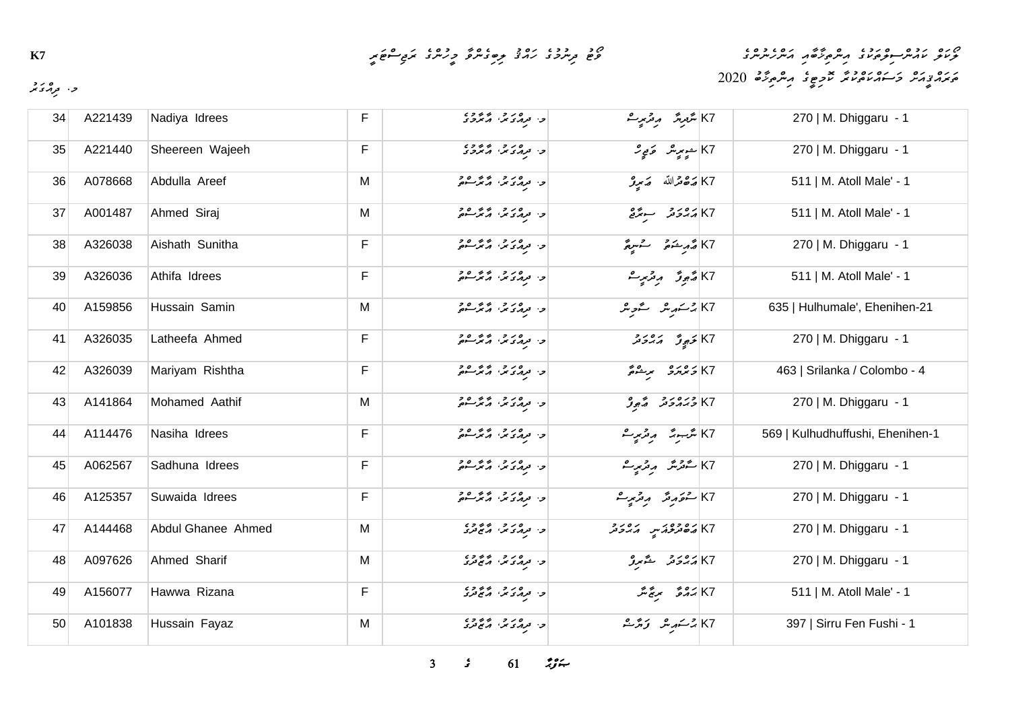*sCw7q7s5w7m< o<n9nOoAw7o< sCq;mAwBoEw7q<m; wBm;vB* م من المرة المرة المرة المرجع المرجع في المركبة 2020<br>مجم*د المريض المربوط المربع المرجع في المراجع المركبة* 

| 34 | A221439 | Nadiya Idrees      | F           | و· ترمرو به مجموعه<br>و· ترمرو بن مجموعه |                                              | 270   M. Dhiggaru - 1            |
|----|---------|--------------------|-------------|------------------------------------------|----------------------------------------------|----------------------------------|
| 35 | A221440 | Sheereen Wajeeh    | F           | و . فره د چې په کارون                    | K7 خي <sub>مپ</sub> ش ق <i>ي و</i>           | 270   M. Dhiggaru - 1            |
| 36 | A078668 | Abdulla Areef      | M           | و٠ قراريخ د په ۶۵ و د                    | K7 مَەھىراللە م <i>ەيدى</i>                  | 511   M. Atoll Male' - 1         |
| 37 | A001487 | Ahmed Siraj        | M           | ه مرور و عرضه و و و                      | K7 كەندى قىرىسىدىنى كىيەتتىكى ئى             | 511   M. Atoll Male' - 1         |
| 38 | A326038 | Aishath Sunitha    | $\mathsf F$ | ه مرد د د د و و د                        | K7 مُ مِسْدَمْ مُسْتَمَتِّرِ                 | 270   M. Dhiggaru - 1            |
| 39 | A326036 | Athifa Idrees      | F           | و٠ مهروس ومحر دود                        | K7 ۾ جو قريب صرح جن                          | 511   M. Atoll Male' - 1         |
| 40 | A159856 | Hussain Samin      | M           | و٠ مهری بر را پر دو د                    | K7 پرڪيريش ڪوپش                              | 635   Hulhumale', Ehenihen-21    |
| 41 | A326035 | Latheefa Ahmed     | F           |                                          | K7 خَيْرٍ مَدْ دَمَّرَ                       | 270   M. Dhiggaru - 1            |
| 42 | A326039 | Mariyam Rishtha    | F           | ه مرور و عرضه وه و                       | K7 كو يرومبر كو موسقوم كليمبر                | 463   Srilanka / Colombo - 4     |
| 43 | A141864 | Mohamed Aathif     | M           | و٠ فروري و محرك ٥٥                       | K7 دېرونه گم وگړ                             | 270   M. Dhiggaru - 1            |
| 44 | A114476 | Nasiha Idrees      | F           | ه مرد و محمد ده.<br>د مرد د مر           | K7 سَّرْسِدِيَّة مِقْرَمِي <sup>ت</sup> ِ    | 569   Kulhudhuffushi, Ehenihen-1 |
| 45 | A062567 | Sadhuna Idrees     | F           |                                          | K7 سَمَعْرَمْرَ مِعْرَمِي <sup>ت</sup> ْ     | 270   M. Dhiggaru - 1            |
| 46 | A125357 | Suwaida Idrees     | F           | ه . مرد د و . د و . د و د                | K7 ستۇرېقر برېژىيەشە                         | 270   M. Dhiggaru - 1            |
| 47 | A144468 | Abdul Ghanee Ahmed | M           | و٠ تورد در دوه و٠<br>د تورد د س          | K7 ב <i>פבנצית ה</i> בכנ                     | 270   M. Dhiggaru - 1            |
| 48 | A097626 | Ahmed Sharif       | M           | و٠ تورگري در ده و د                      | K7 كەبرى ئىر ئىگە ئىرىگە                     | 270   M. Dhiggaru - 1            |
| 49 | A156077 | Hawwa Rizana       | F           | و٠ تورد در دوه و٠<br>د تورد د س          | K7 ئەۋەم ئىسى ئىر                            | 511   M. Atoll Male' - 1         |
| 50 | A101838 | Hussain Fayaz      | M           | و٠ ترمری مربح و٠                         | K7  يُرْسَمَ بِي مَتَحَدِ مِنْتَ الْمَرْسَدُ | 397   Sirru Fen Fushi - 1        |

**3** *s* **61** *z***<sub>***s***</sub>**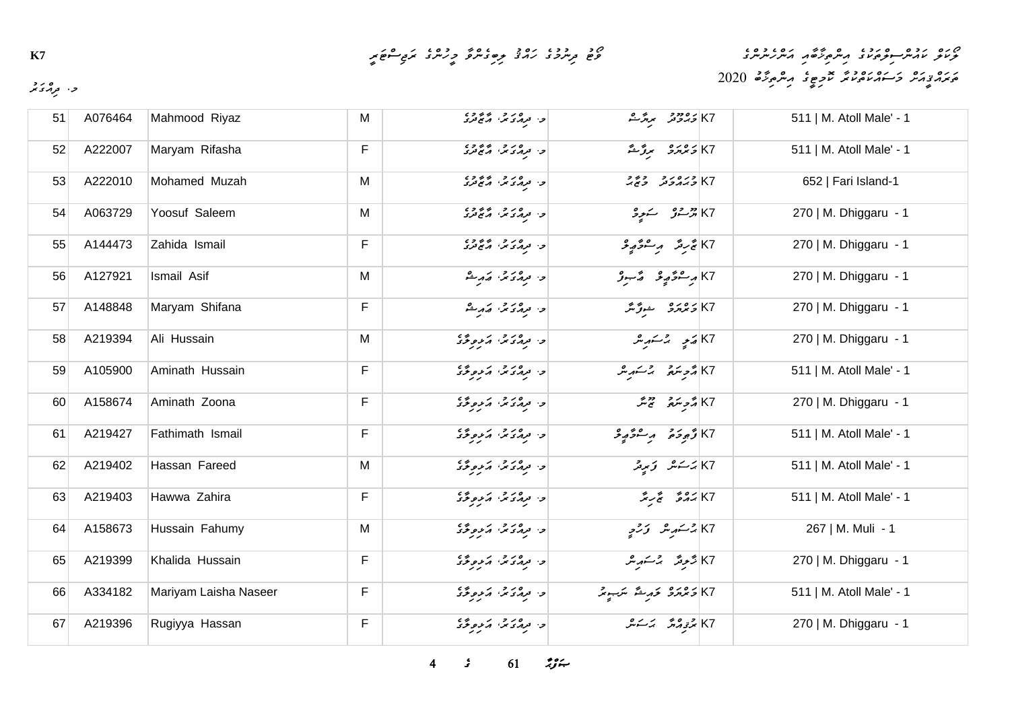*sCw7q7s5w7m< o<n9nOoAw7o< sCq;mAwBoEw7q<m; wBm;vB* م من المرة المرة المرة المرجع المرجع في المركبة 2020<br>مجم*د المريض المربوط المربع المرجع في المراجع المركبة* 

| 51 | A076464 | Mahmood Riyaz         | M            | و٠ قرهری شر ه ده و ه                     | K7 ىزدونى بىرتمەش                         | 511   M. Atoll Male' - 1 |
|----|---------|-----------------------|--------------|------------------------------------------|-------------------------------------------|--------------------------|
| 52 | A222007 | Maryam Rifasha        | $\mathsf{F}$ | و٠ تورد در در در                         | K7 <i>وَ بُرْمَرْ وَ بِهِ وَ</i> َّ شَدَّ | 511   M. Atoll Male' - 1 |
| 53 | A222010 | Mohamed Muzah         | M            | و٠ تورد ۶ و ۶ و ٤<br>د اتورد تورد د مخ   | K7 دېرونو وي.                             | 652   Fari Island-1      |
| 54 | A063729 | Yoosuf Saleem         | M            | و . تورد و . د . د . د .<br>و . تورد د س | K7 پرېشو سکوچ                             | 270   M. Dhiggaru - 1    |
| 55 | A144473 | Zahida Ismail         | $\mathsf F$  | و٠ تورد در دود.<br>د زمارد س             | K7 تج برقد مر مشتر مربو 2                 | 270   M. Dhiggaru - 1    |
| 56 | A127921 | Ismail Asif           | M            | و. مرد و تر کرد ش                        | K7 <sub>م</sub> رےد <i>و و</i> شبور       | 270   M. Dhiggaru - 1    |
| 57 | A148848 | Maryam Shifana        | F            | د. مرد د ته کار ک                        | K7 <i>جەيرى ھوڙىگ</i>                     | 270   M. Dhiggaru - 1    |
| 58 | A219394 | Ali Hussain           | M            | و مهدى تر توروى                          | K7 ڪچي پٽ <i>ڪوپينل</i>                   | 270   M. Dhiggaru - 1    |
| 59 | A105900 | Aminath Hussain       | F            | و مهدى تر توروى                          | K7 مُحِسَمُ مُحَسَّمِيْ                   | 511   M. Atoll Male' - 1 |
| 60 | A158674 | Aminath Zoona         | F            | و· مورد ديمر کرمونونو                    | K7 مُجِسَعِ حَمَّتُمْ                     | 270   M. Dhiggaru - 1    |
| 61 | A219427 | Fathimath Ismail      | F            | و مهروس کرده و د                         | K7 <i>وَّجِوحَةُ بِيَ حَوَّمٍ وَ</i>      | 511   M. Atoll Male' - 1 |
| 62 | A219402 | Hassan Fareed         | M            | و مهروس کرده و د                         | K7   پرسترينل کو توبی ل                   | 511   M. Atoll Male' - 1 |
| 63 | A219403 | Hawwa Zahira          | F            | و مهدی پر دون                            | K7 ئەم ھ مح ئىب ئىلگە                     | 511   M. Atoll Male' - 1 |
| 64 | A158673 | Hussain Fahumy        | M            | د· مهدى پر پر پروتون                     | K7 بڑے پہ تر تر تر چ                      | 267   M. Muli - 1        |
| 65 | A219399 | Khalida Hussain       | F            | و مرد دی. تر دو دی                       | K7 ڈونڈ کے کہ بھ                          | 270   M. Dhiggaru - 1    |
| 66 | A334182 | Mariyam Laisha Naseer | F            | د. مەدرى كەمبوگە                         | K7 وَيُرْتَرُوْ ۖ وَرِيشٌ ۖ سَرَسِوِيْرُ  | 511   M. Atoll Male' - 1 |
| 67 | A219396 | Rugiyya Hassan        | F            | و مرد د تر کرد و د د                     | K7 بر <sub>ۇ</sub> رۇ بەسەش               | 270   M. Dhiggaru - 1    |

*4 sC 61 nNw?mS*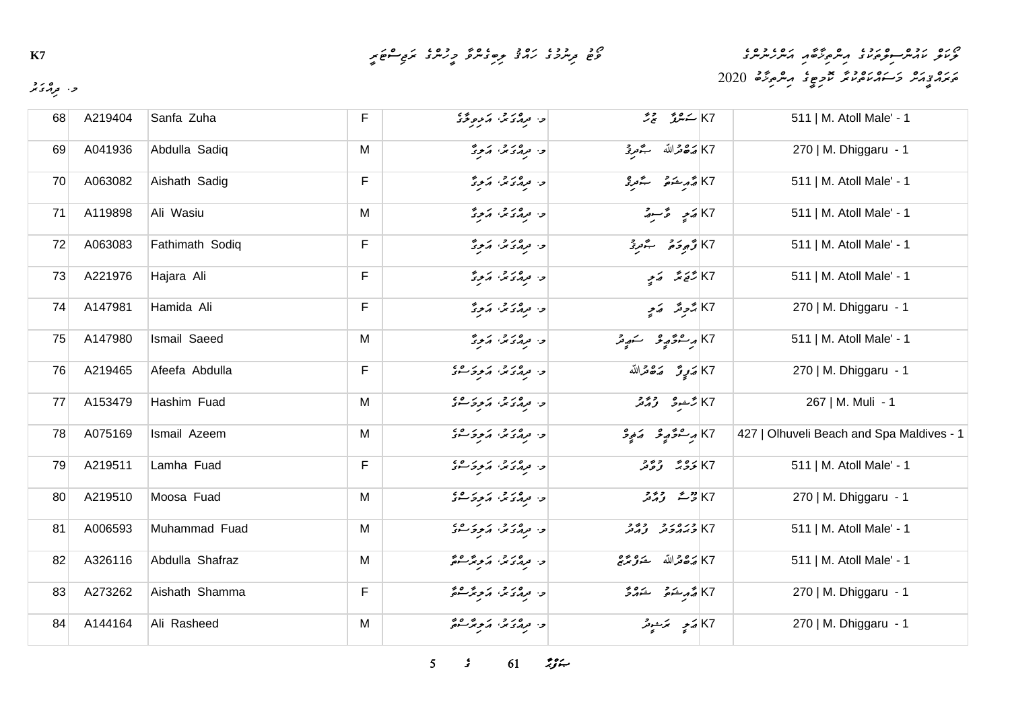*sCw7q7s5w7m< o<n9nOoAw7o< sCq;mAwBoEw7q<m; wBm;vB* م من المرة المرة المرة المرجع المرجع في المركبة 2020<br>مجم*د المريض المربوط المربع المرجع في المراجع المركبة* 

| 68 | A219404 | Sanfa Zuha      | F           | و مرد دی. تر د و د د   | K7 سەشق چ <sup>ى</sup>                                                                                    | 511   M. Atoll Male' - 1                  |
|----|---------|-----------------|-------------|------------------------|-----------------------------------------------------------------------------------------------------------|-------------------------------------------|
| 69 | A041936 | Abdulla Sadiq   | M           | د مرد دی. د دو         | K7 مَەھەراللە گەمەتى                                                                                      | 270   M. Dhiggaru - 1                     |
| 70 | A063082 | Aishath Sadig   | F           | وا فره د تر اگر در کار | K7 مەم ئەھمەت سەمبەتق                                                                                     | 511   M. Atoll Male' - 1                  |
| 71 | A119898 | Ali Wasiu       | M           | د په دوری کرده         | K7 كەمچە ھ <sup>ىس</sup> ور                                                                               | 511   M. Atoll Male' - 1                  |
| 72 | A063083 | Fathimath Sodiq | $\mathsf F$ | والمحمد وكالمحمورة     | K7 زَ <sub>ّجو</sub> حَ ۾ سُ <sup>و</sup> مِرِ حُ                                                         | 511   M. Atoll Male' - 1                  |
| 73 | A221976 | Hajara Ali      | $\mathsf F$ | و مرد و تر کرد و       | K7 جُهَ بَرَ م <i>َ</i> حٍ                                                                                | 511   M. Atoll Male' - 1                  |
| 74 | A147981 | Hamida Ali      | F           | و مرد دی. د وی         | K7 گەچەم كەمچ                                                                                             | 270   M. Dhiggaru - 1                     |
| 75 | A147980 | Ismail Saeed    | M           | و مرد دی. د ود         | K7 مەشگەر ئىستەر ئىكتىرى كىلەر ئىستان ئىستان ئىشتان ئىشتان ئىكتار ئىستان ئىستان ئىشتان ئىشتان ئىشتان ئىشت | 511   M. Atoll Male' - 1                  |
| 76 | A219465 | Afeefa Abdulla  | F           | و مهدوس پروژمو         | K7 <i>مَرْوِرٌ مَ</i> صَرَّاللَّه                                                                         | 270   M. Dhiggaru - 1                     |
| 77 | A153479 | Hashim Fuad     | M           | و مهدوس مور ده و       | K7 گەھىبى قەرقەتتە                                                                                        | 267   M. Muli - 1                         |
| 78 | A075169 | Ismail Azeem    | M           | د مهدرس مورد ده        | K7 م <i>ې شۇم</i> ېۋا كەنم <u>و</u> ۋا                                                                    | 427   Olhuveli Beach and Spa Maldives - 1 |
| 79 | A219511 | Lamha Fuad      | F           | و مهروس پروژبره        | K7 نَوْحَةً وَقَدَّ                                                                                       | 511   M. Atoll Male' - 1                  |
| 80 | A219510 | Moosa Fuad      | M           | و مردوس پروژمو         | K7 پیشہ دوگرمتر                                                                                           | 270   M. Dhiggaru - 1                     |
| 81 | A006593 | Muhammad Fuad   | M           | و مرد و د وی           | K7 <i>3232 وه</i> تر                                                                                      | 511   M. Atoll Male' - 1                  |
| 82 | A326116 | Abdulla Shafraz | M           | و مرد د د کردگر ده     | K7 يَرْصْعَرْاللَّهُ شَوْرٌ بَرْجْ                                                                        | 511   M. Atoll Male' - 1                  |
| 83 | A273262 | Aishath Shamma  | F           | و٠ مردر در در در دره   | K7 مُجمِّسْتَمْ شَمَ <i>دْدُ</i>                                                                          | 270   M. Dhiggaru - 1                     |
| 84 | A144164 | Ali Rasheed     | M           | و مرد در د کردگر ده    | K7 <i>ڇَٻِ - مَ</i> ٽَ پِٽُر                                                                              | 270   M. Dhiggaru - 1                     |

 $5$   $5$   $61$   $25$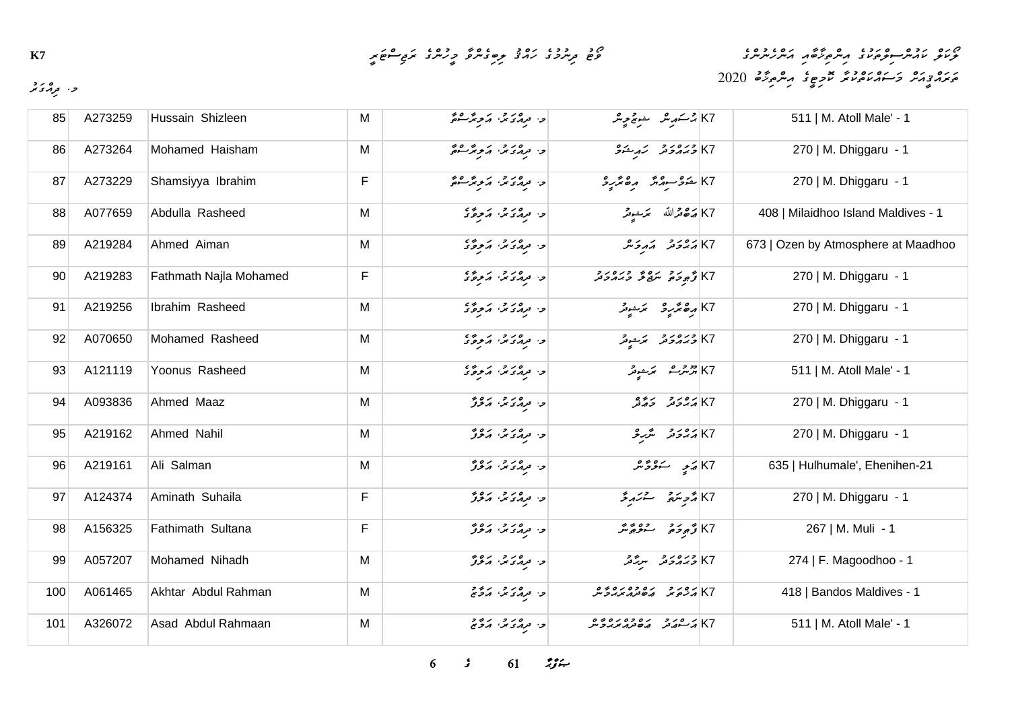*sCw7q7s5w7m< o<n9nOoAw7o< sCq;mAwBoEw7q<m; wBm;vB 2020<sup>, م</sup>وجدة المصرورة المجموعة المستورجة والم*جموعة والمجموعة والمجموعة والمجموعة والمجموعة والمجموعة والمجموعة

| 85  | A273259 | Hussain Shizleen       | M | و مرد د بر کردگرده       | K7  پرسکوپٹر ہے جو پٹر                  | 511   M. Atoll Male' - 1            |
|-----|---------|------------------------|---|--------------------------|-----------------------------------------|-------------------------------------|
| 86  | A273264 | Mohamed Haisham        | M | و· مرد د در مر بر شر صور | K7 دېم ده د کم شک                       | 270   M. Dhiggaru - 1               |
| 87  | A273229 | Shamsiyya Ibrahim      | F | و مردوس كروند مور        | K7 شۇسەر ھەمگەدۇ                        | 270   M. Dhiggaru - 1               |
| 88  | A077659 | Abdulla Rasheed        | M | و وه در د انگروه         | K7 مَەھمَّراللە مَرَسْوِمَر             | 408   Milaidhoo Island Maldives - 1 |
| 89  | A219284 | Ahmed Aiman            | M | و مرد دی. د ووی          | K7 <i>ב بحرق مقرونگ</i> ر               | 673   Ozen by Atmosphere at Maadhoo |
| 90  | A219283 | Fathmath Najla Mohamed | F | و مرد دی. د ووی          | K7 زَّجِ دَمَ مَنْ مَعْ دَبِرُ دَمَرَ   | 270   M. Dhiggaru - 1               |
| 91  | A219256 | Ibrahim Rasheed        | M | و مرد دی. د مورد د       | K7 مەھەرىپ كىمىسى ئىككى ئىستىد          | 270   M. Dhiggaru - 1               |
| 92  | A070650 | Mohamed Rasheed        | M | و مرد دی. د دود          | K7 <i>وُبَرُودُو تَرَ</i> حُومُ         | 270   M. Dhiggaru - 1               |
| 93  | A121119 | Yoonus Rasheed         | M | و مرد دی. د ووی          | K7 پرسرے پر <sub>ھوتی</sub>             | 511   M. Atoll Male' - 1            |
| 94  | A093836 | Ahmed Maaz             | M | و٠ فرور در و دو و        | K7 كەبرو ئەھەر                          | 270   M. Dhiggaru - 1               |
| 95  | A219162 | Ahmed Nahil            | M | و· فره د نما د و و و     | K7 <i>جەبى بىر ئىگى</i> ب               | 270   M. Dhiggaru - 1               |
| 96  | A219161 | Ali Salman             | M | و بره دی. پروژ           | K7   تەيىيە سەن <i>تى</i> ۋىتىلە        | 635   Hulhumale', Ehenihen-21       |
| 97  | A124374 | Aminath Suhaila        | F | و بروژنما اروم           | K7 مُحْرِسَمَةَ سُنَدَمِدَّ             | 270   M. Dhiggaru - 1               |
| 98  | A156325 | Fathimath Sultana      | F | و بره دی. پروژ           | K7 زَ <sub>ّجو</sub> حَۃ حَمْعَةَ مَّرْ | 267   M. Muli - 1                   |
| 99  | A057207 | Mohamed Nihadh         | M | و مرد دی. روژ            | K7 <i>32,25 سربر</i> گر                 | 274   F. Magoodhoo - 1              |
| 100 | A061465 | Akhtar Abdul Rahman    | M | د مرد دی. دوی            | K7 روبر و بره وه برونو ش                | 418   Bandos Maldives - 1           |
| 101 | A326072 | Asad Abdul Rahmaan     | M | و٠ ترمری دی د            | K7 كەسىمەتىر كەھ <i>قرە بويى</i> رى     | 511   M. Atoll Male' - 1            |

 $6$   $\sharp$   $61$   $\sharp$ <sup>2</sup>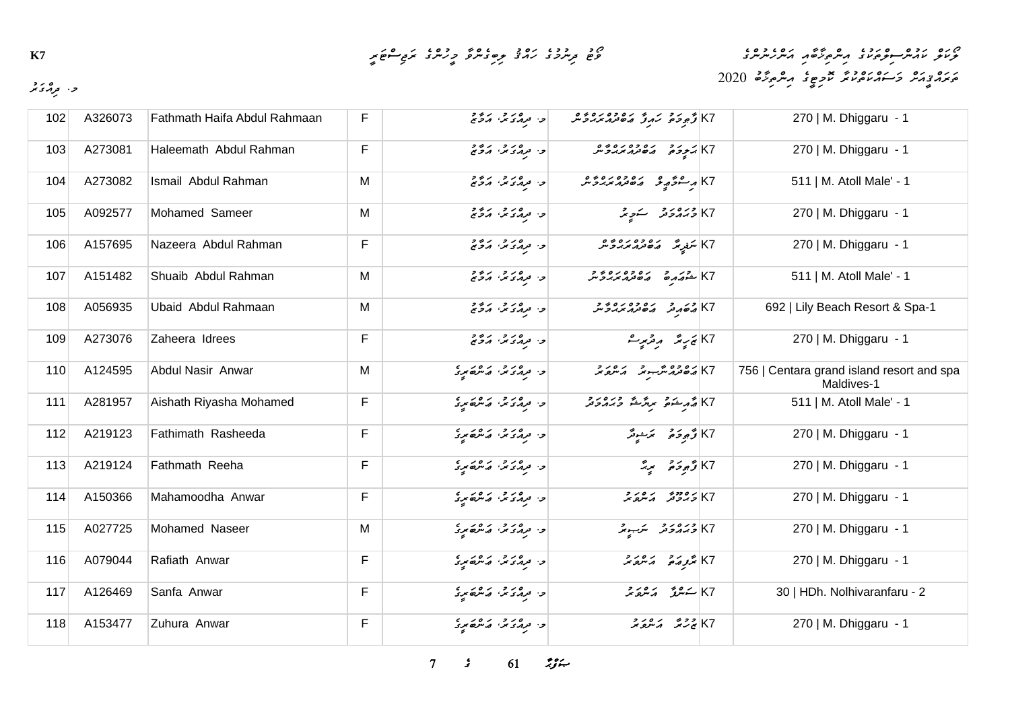*sCw7q7s5w7m< o<n9nOoAw7o< sCq;mAwBoEw7q<m; wBm;vB 2020<sup>, م</sup>وجدة المصرورة المجموعة المستورجة والم*جموعة والمجموعة والمجموعة والمجموعة والمجموعة والمجموعة والمجموعة

| 102 | A326073 | Fathmath Haifa Abdul Rahmaan | F           | د. مهدى مدافق               | K7 ژُوِدَة رَ رُوژ مەمەر دە دە         | 270   M. Dhiggaru - 1                                   |
|-----|---------|------------------------------|-------------|-----------------------------|----------------------------------------|---------------------------------------------------------|
| 103 | A273081 | Haleemath Abdul Rahman       | F           | د. درمان بروسی              | K7 ג׳ږد ده ده ده ده و                  | 270   M. Dhiggaru - 1                                   |
| 104 | A273082 | Ismail Abdul Rahman          | M           | د. مرد د تر د د د           | K7 مەشرۇم ئەھەرمەمەدە بىر              | 511   M. Atoll Male' - 1                                |
| 105 | A092577 | Mohamed Sameer               | M           | و٠ قراري در دي              | K7  <i>وېزونو خوبی</i>                 | 270   M. Dhiggaru - 1                                   |
| 106 | A157695 | Nazeera Abdul Rahman         | F           | و٠ قراري در دي              |                                        | 270   M. Dhiggaru - 1                                   |
| 107 | A151482 | Shuaib Abdul Rahman          | M           | כי נקרו ביל הכבי            | K7 شمه مره محصوم مره و د               | 511   M. Atoll Male' - 1                                |
| 108 | A056935 | <b>Ubaid Abdul Rahmaan</b>   | M           | و٠ قروري درور               | K7 הפתע הפנגיגיבית                     | 692   Lily Beach Resort & Spa-1                         |
| 109 | A273076 | Zaheera Idrees               | F           | כי "נגר בי" ג'ב"ב           | K7 ىج پەنگە بەي <i>تى پو</i> سىم       | 270   M. Dhiggaru - 1                                   |
| 110 | A124595 | Abdul Nasir Anwar            | M           | و مردوس كامور و             | K7 رەمەر ئەشرىيە ئەر ئەسھەتلىر         | 756   Centara grand island resort and spa<br>Maldives-1 |
| 111 | A281957 | Aishath Riyasha Mohamed      | F           | والمحرم والمركب والمحامدة   | K7 مُ مِسْدَمْ مِهْرَسْہُ وَبَرُودِ وَ | 511   M. Atoll Male' - 1                                |
| 112 | A219123 | Fathimath Rasheeda           | F           | والمحرور والمراكب والمحامرة | K7 وَّجِرحَةُ مَمَسِّرِتَّر            | 270   M. Dhiggaru - 1                                   |
| 113 | A219124 | Fathmath Reeha               | F           | والمحرور والمراكب والمحامرة | K7 وَج <i>وح</i> و مَحمدِ سِنَّہُ      | 270   M. Dhiggaru - 1                                   |
| 114 | A150366 | Mahamoodha Anwar             | $\mathsf F$ | و مردوس كرموس               | K7 <i>خ</i> مرونو كم شره بر            | 270   M. Dhiggaru - 1                                   |
| 115 | A027725 | Mohamed Naseer               | M           | ه دره در دره در د           | K7  <i>ويەم</i> ۇمۇ - شەيبەتمە         | 270   M. Dhiggaru - 1                                   |
| 116 | A079044 | Rafiath Anwar                | F           | والمحرومي الماسي المحدى     | K7 بُرُومَة مَ مَعْقَبَ                | 270   M. Dhiggaru - 1                                   |
| 117 | A126469 | Sanfa Anwar                  | F           | و مردوس كامور و             | K7 سەئىدۇ بەيد <i>ە ب</i> ە            | 30   HDh. Nolhivaranfaru - 2                            |
| 118 | A153477 | Zuhura Anwar                 | F           | و مردوس كرسي                | K7 يحر <sup>م</sup> حد كم يمكن بر      | 270   M. Dhiggaru - 1                                   |

*7 sC 61 nNw?mS*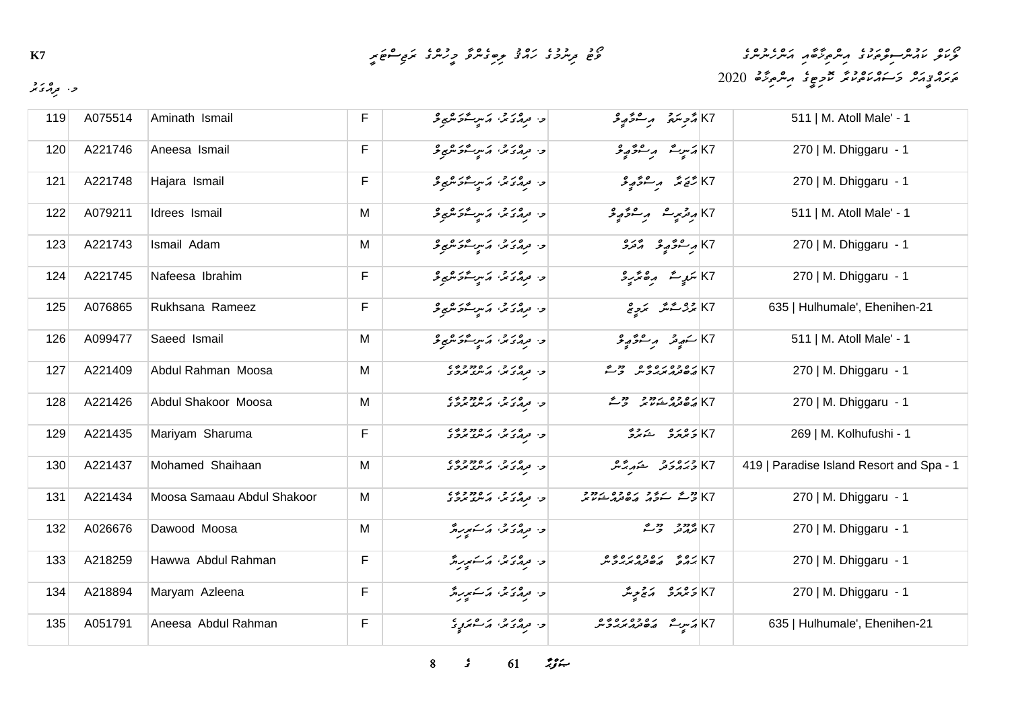*sCw7q7s5w7m< o<n9nOoAw7o< sCq;mAwBoEw7q<m; wBm;vB 2020<sup>, م</sup>وجدة المصرورة المجموعة المستورجة والم*جموعة والمجموعة والمجموعة والمجموعة والمجموعة والمجموعة والمجموعة

| 119 | A075514 | Aminath Ismail             | F | د. ىرەككە، كەسىگەگەنلىرى                    | K7 مُجرِسَمُ مِنْ مِنْ مُحَمَّدٍ مِنْ                   | 511   M. Atoll Male' - 1                 |
|-----|---------|----------------------------|---|---------------------------------------------|---------------------------------------------------------|------------------------------------------|
| 120 | A221746 | Aneesa Ismail              | F | د مرد د تر کمپرگر مهر                       | K7 كەيرىشە مەسىردە ئەردى                                | 270   M. Dhiggaru - 1                    |
| 121 | A221748 | Hajara Ismail              | F | د مرد د ته رس گوشهو                         | K7 جۇيمۇ ب <i>وسۇم</i> ۇ                                | 270   M. Dhiggaru - 1                    |
| 122 | A079211 | Idrees Ismail              | M | د مرد د د کرم به موسود شرح و                | K7 م <i>ېنگېرىشى مې</i> شۇم <i>پ</i> ۇ                  | 511   M. Atoll Male' - 1                 |
| 123 | A221743 | Ismail Adam                | M | د مرد د ته کمیرگر گرم و                     | K7 <sub>م</sub> رےد <sub>گیو</sub> و م <sup>ح</sup> مدہ | 270   M. Dhiggaru - 1                    |
| 124 | A221745 | Nafeesa Ibrahim            | F | د. تروكري، كاسر سكركان و                    | K7 ىنرىگ م <i>ەھترى</i> ۋ                               | 270   M. Dhiggaru - 1                    |
| 125 | A076865 | Rukhsana Rameez            | F | د مرد د د کرم به موستگر شرح و               | K7 بزر مشتر - بزرج                                      | 635   Hulhumale', Ehenihen-21            |
| 126 | A099477 | Saeed Ismail               | M | د مرد د د کرم به سر شکو شرح ل               | K7 سَمِيعْرَ بِرِسْوَّيْتِوْ _                          | 511   M. Atoll Male' - 1                 |
| 127 | A221409 | Abdul Rahman Moosa         | M | ه مرد د محمده ده د                          | K7 "ەدەرەبەر «ئ                                         | 270   M. Dhiggaru - 1                    |
| 128 | A221426 | Abdul Shakoor Moosa        | M | د. درمارد با دودونون<br>در درمارس مسرد مرحو | K7 دەرە مەددە تەر                                       | 270   M. Dhiggaru - 1                    |
| 129 | A221435 | Mariyam Sharuma            | F | כי נקח בית מכביבים בין                      | K7 كويورو شەيرۇ                                         | 269   M. Kolhufushi - 1                  |
| 130 | A221437 | Mohamed Shaihaan           | M | כי מחצים ממכירים                            | K7 <i>دېمم</i> ونر خ <i>م</i> رته                       | 419   Paradise Island Resort and Spa - 1 |
| 131 | A221434 | Moosa Samaau Abdul Shakoor | M | ه مرد د محمد ده د                           | K7 يُرْ سُرُورْ رُورُورْ بِرُورْ و                      | 270   M. Dhiggaru - 1                    |
| 132 | A026676 | Dawood Moosa               | M | و مردوس كاسكير مر                           | K7 تَرْدَثَرَ تَرْتَّبَ                                 | 270   M. Dhiggaru - 1                    |
| 133 | A218259 | Hawwa Abdul Rahman         | F | و مرد و د کر کرکرد                          | K7 برونو بروووبرونور                                    | 270   M. Dhiggaru - 1                    |
| 134 | A218894 | Maryam Azleena             | F | و مرد و د کر کرکرد                          | K7 كەبىرى كەم ئوبىر                                     | 270   M. Dhiggaru - 1                    |
| 135 | A051791 | Aneesa Abdul Rahman        | F | د مرد دي كم شور د                           | K7 كەس مەھمەر مەم بولىقىن كىلىن ئىش                     | 635   Hulhumale', Ehenihen-21            |

**8** *s* **61** *z***<sub>***s***</sub>**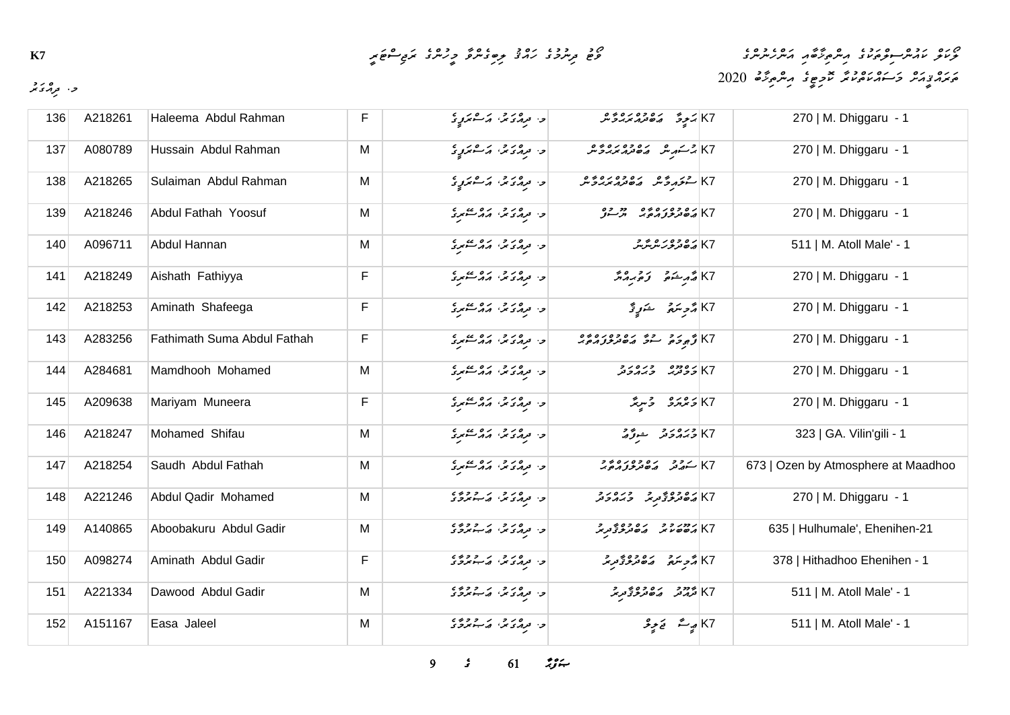*sCw7q7s5w7m< o<n9nOoAw7o< sCq;mAwBoEw7q<m; wBm;vB* م من المرة المرة المرة المرجع المرجع في المركبة 2020<br>مجم*د المريض المربوط المربع المرجع في المراجع المركبة* 

| 136 | A218261 | Haleema Abdul Rahman        | F           | د . دره د بر . بر شور د .                               | K7 גَجِرٌ مُصْرِمُ مُعَلِّدِ مُعَلِّدٍ           | 270   M. Dhiggaru - 1               |
|-----|---------|-----------------------------|-------------|---------------------------------------------------------|--------------------------------------------------|-------------------------------------|
| 137 | A080789 | Hussain Abdul Rahman        | M           | د مهردس كم شهر د                                        | K7 ير شهر شهر مص <i>حد مربر چين</i> و            | 270   M. Dhiggaru - 1               |
| 138 | A218265 | Sulaiman Abdul Rahman       | M           | د برمرد كار در در د                                     | K7 جۇمۇش مەمەمەمەر W7                            | 270   M. Dhiggaru - 1               |
| 139 | A218246 | Abdul Fathah Yoosuf         | M           | و مرمری در ده در در                                     | K7 גם כסגם כם כב כם<br>K7 גם <i>נקב נ</i> תקג ת- | 270   M. Dhiggaru - 1               |
| 140 | A096711 | Abdul Hannan                | M           | و مرد و ده ده ده و د                                    | K7 كەھ تۈمۈر بىرىترىتر                           | 511   M. Atoll Male' - 1            |
| 141 | A218249 | Aishath Fathiyya            | F           | و مرد و ده ده ده و                                      | K7 مەم شەقرى ئوم بەرگە                           | 270   M. Dhiggaru - 1               |
| 142 | A218253 | Aminath Shafeega            | F           | و مرد و ده ده ده و                                      | K7 مُرْحِ سَمَّ مِسَوَّتِرٌ                      | 270   M. Dhiggaru - 1               |
| 143 | A283256 | Fathimath Suma Abdul Fathah | $\mathsf F$ | د برم د ده ده ده و د                                    | K7 ژُب <i>ودَه حدَّة رە</i> مەدە دەرە            | 270   M. Dhiggaru - 1               |
| 144 | A284681 | Mamdhooh Mohamed            | M           | و مرد و ده ده ده و د                                    | K7 ۈۋۈپر ۋىرەر د                                 | 270   M. Dhiggaru - 1               |
| 145 | A209638 | Mariyam Muneera             | F           | و مرد و ده ده ده و                                      | K7 كەنگەر ئەرىگە                                 | 270   M. Dhiggaru - 1               |
| 146 | A218247 | Mohamed Shifau              | M           | و مرمر و ده ده ده و                                     | K7 <i>وُبَرُوُدَوْ</i> شِو <i>ُرُّهُ</i>         | 323   GA. Vilin'gili - 1            |
| 147 | A218254 | Saudh Abdul Fathah          | M           | و مرد و ده ده ده و                                      | K7 شەھ مەھ دەرە بور                              | 673   Ozen by Atmosphere at Maadhoo |
| 148 | A221246 | Abdul Qadir Mohamed         | M           | ه د ده د د د د ده د                                     | K7 كەھ ترىۋ توپىر بەر ئەر ئەر ئىر                | 270   M. Dhiggaru - 1               |
| 149 | A140865 | Aboobakuru Abdul Gadir      | M           | ه د مرد و در دوه و<br>د مرد و بر استورو                 | K7 رود د د ده ده پورو                            | 635   Hulhumale', Ehenihen-21       |
| 150 | A098274 | Aminath Abdul Gadir         | F           | ه مهروس که دوره و                                       | K7 مَّ <i>جِ سَيْءَ مِنْ قَوْمَةَ قِرِيرْ</i>    | 378   Hithadhoo Ehenihen - 1        |
| 151 | A221334 | Dawood Abdul Gadir          | M           | و٠ قراريخ در مركز و دو د.<br>در اوراد در مركز در مركز د | K7 تروپو دەپرىرتى تېرىتى                         | 511   M. Atoll Male' - 1            |
| 152 | A151167 | Easa Jaleel                 | M           | ه د مرد و در دوه و<br>د مرد و بر مرد در                 | K7 <sub>ج</sub> يڪ ڇَجِرَ گ                      | 511   M. Atoll Male' - 1            |

*9 s* 61 *i*<sub>S</sub> $\approx$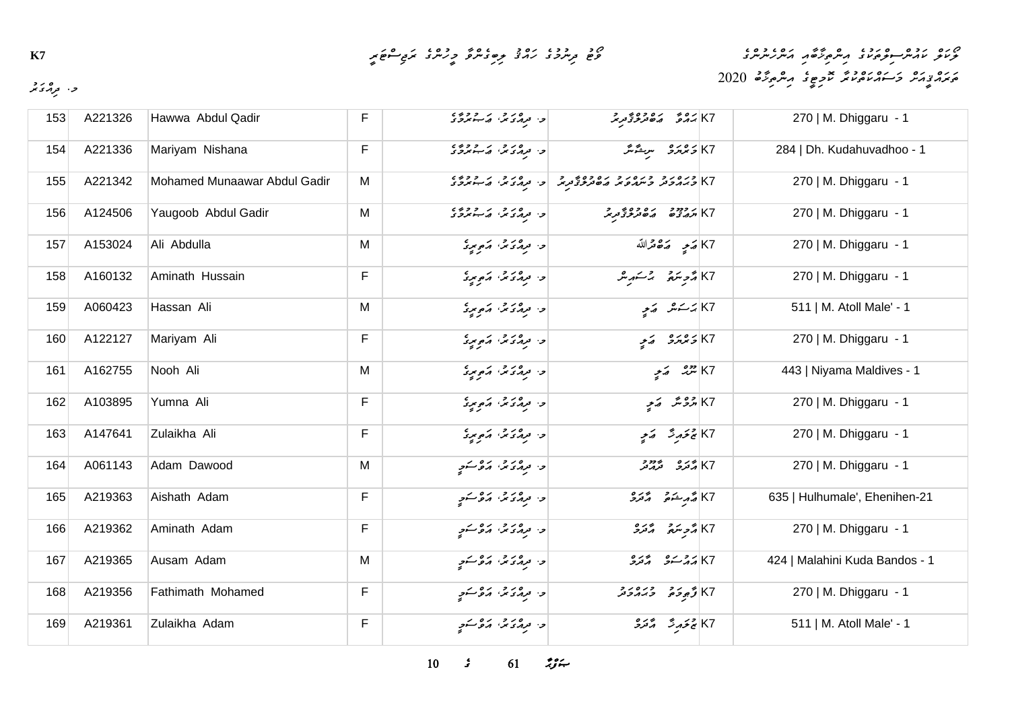*sCw7q7s5w7m< o<n9nOoAw7o< sCq;mAwBoEw7q<m; wBm;vB* م من المرة المرة المرة المرجع المرجع في المركبة 2020<br>مجم*د المريض المربوط المربع المرجع في المراجع المركبة* 

| 153 | A221326 | Hawwa Abdul Qadir            | F           | د . در د . د . د . د . د . د | K7 كەرگە ھەھىرى تۇمبىر<br>K7                                                                                                                                                                                                    | 270   M. Dhiggaru - 1          |
|-----|---------|------------------------------|-------------|------------------------------|---------------------------------------------------------------------------------------------------------------------------------------------------------------------------------------------------------------------------------|--------------------------------|
| 154 | A221336 | Mariyam Nishana              | F           | ه مرد د در دوره د            | K7 كەيمەك <sub>ە</sub> سرىشەنگر                                                                                                                                                                                                 | 284   Dh. Kudahuvadhoo - 1     |
| 155 | A221342 | Mohamed Munaawar Abdul Gadir | M           |                              | K7 درور د درور د رودوه برگ د بردن د سورد.                                                                                                                                                                                       | 270   M. Dhiggaru - 1          |
| 156 | A124506 | Yaugoob Abdul Gadir          | M           | و٠ در دو در دود د            | K7 תבלים בסתיקלתיק                                                                                                                                                                                                              | 270   M. Dhiggaru - 1          |
| 157 | A153024 | Ali Abdulla                  | M           | د. مرد د تر کرم برد          | K7 صَعِي <i>ٰ صَ®مَّد</i> اللَّه                                                                                                                                                                                                | 270   M. Dhiggaru - 1          |
| 158 | A160132 | Aminath Hussain              | F           | د. مرد د تر، د کم مرد        | K7 مُحِسَمُ مُسَمَّدٍ مُحَسَّدٍ                                                                                                                                                                                                 | 270   M. Dhiggaru - 1          |
| 159 | A060423 | Hassan Ali                   | M           | د. مرد د تر، رکم مرد         | K7  ټرسکش ک <sup>ې</sup> مو                                                                                                                                                                                                     | 511   M. Atoll Male' - 1       |
| 160 | A122127 | Mariyam Ali                  | F           | و مرد بر کرد د               | K7 <i>وَجُهْدُوْ مَ</i> حِ                                                                                                                                                                                                      | 270   M. Dhiggaru - 1          |
| 161 | A162755 | Nooh Ali                     | M           | و مرد د کرد به م             | K7 ٿيپش پر پير                                                                                                                                                                                                                  | 443   Niyama Maldives - 1      |
| 162 | A103895 | Yumna Ali                    | F           | و مرد د کر کم برد            | K7 پرویٹر ک <i>ے پ</i> ر                                                                                                                                                                                                        | 270   M. Dhiggaru - 1          |
| 163 | A147641 | Zulaikha Ali                 | F           | و مرد و د ک                  | K7 جُحَم <i>دِ تَ</i> حَمِيمِ مَ                                                                                                                                                                                                | 270   M. Dhiggaru - 1          |
| 164 | A061143 | Adam Dawood                  | M           | و مهدی پروت                  | K7 پڑو پی پر پر دیا کر کر کر کر ایک ایرانی کے ایرانی کے ایرانی کے ان کے ایرانی کے ایرانی کے ایرانی کے ان کے ا<br>مناسب کا ایرانی کے ایرانی کے ایرانی کے ایرانی کے ایرانی کے ایرانی کے باہر کے باہر کے باہر کے باہر کے باہر کے ب | 270   M. Dhiggaru - 1          |
| 165 | A219363 | Aishath Adam                 | F           | و . مرد د پره کرو کرد        | K7 مُمبِّسَمُ مُعَرِّدٍ                                                                                                                                                                                                         | 635   Hulhumale', Ehenihen-21  |
| 166 | A219362 | Aminath Adam                 | F           | و . مرد د پره کرو کرد        | K7 مُج <i>مِسَمُ مُ</i> مَعَر                                                                                                                                                                                                   | 270   M. Dhiggaru - 1          |
| 167 | A219365 | Ausam Adam                   | M           | و مهدی پروت                  | K7 كەرمىسكى مۇنى <i>رە</i>                                                                                                                                                                                                      | 424   Malahini Kuda Bandos - 1 |
| 168 | A219356 | Fathimath Mohamed            | F           | و بردوند روسکو               | K7 ژّەدە دېمەدىر                                                                                                                                                                                                                | 270   M. Dhiggaru - 1          |
| 169 | A219361 | Zulaikha Adam                | $\mathsf F$ | و بردوند روسکو               | K7 ىج <i>قەرشەھ</i> گە                                                                                                                                                                                                          | 511   M. Atoll Male' - 1       |

 $10$  *s* 61  $23$   $\div$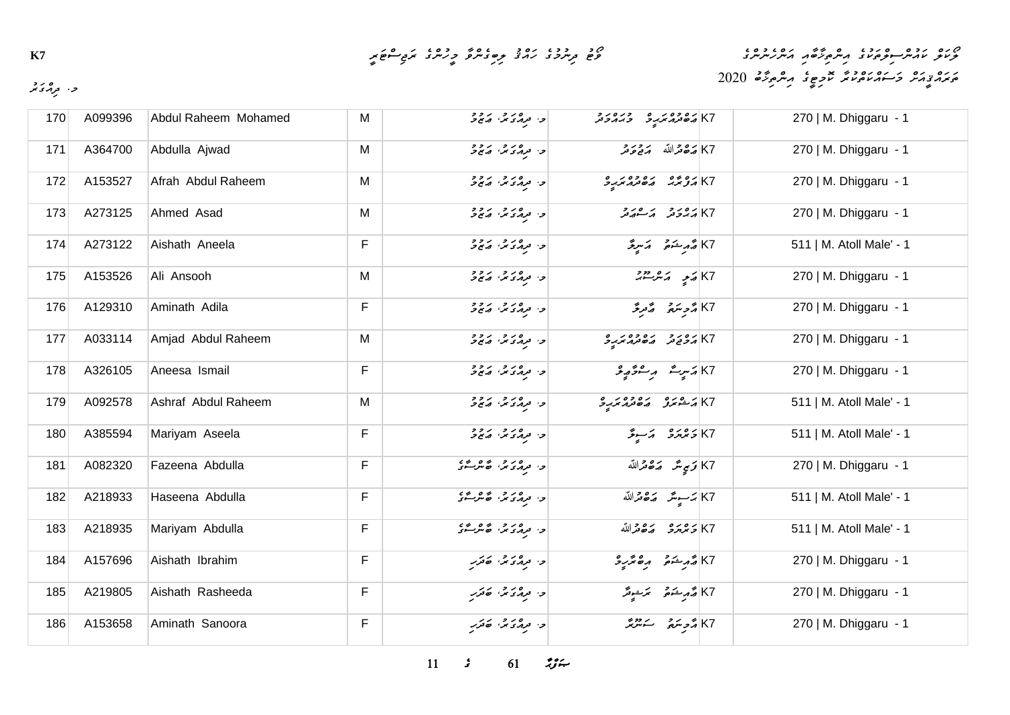*sCw7q7s5w7m< o<n9nOoAw7o< sCq;mAwBoEw7q<m; wBm;vB* م من المرة المرة المرة المرجع المرجع في المركبة 2020<br>مجم*د المريض المربوط المربع المرجع في المراجع المركبة* 

| 170 | A099396 | Abdul Raheem Mohamed | M           | د مرحو پر دو          | K7 كەھەر مەر قەدەر د                | 270   M. Dhiggaru - 1    |
|-----|---------|----------------------|-------------|-----------------------|-------------------------------------|--------------------------|
| 171 | A364700 | Abdulla Ajwad        | M           | و مرد و د و د         | K7 مَەھمَراللە مَەق قىر             | 270   M. Dhiggaru - 1    |
| 172 | A153527 | Afrah Abdul Raheem   | M           | د. مرد و در و د       | K7 <i>הؤنڈ م</i> ے <i>دو دہ کہ</i>  | 270   M. Dhiggaru - 1    |
| 173 | A273125 | Ahmed Asad           | M           | و. مرد و د د و د      | K7 كەبرو كەھمەتر                    | 270   M. Dhiggaru - 1    |
| 174 | A273122 | Aishath Aneela       | $\mathsf F$ |                       | K7 مەم شىم كەسرىگە                  | 511   M. Atoll Male' - 1 |
| 175 | A153526 | Ali Ansooh           | M           | و٠ تورد و در د و و    | K7 <i>جَرِي ج</i> يشر <i>جيم</i>    | 270   M. Dhiggaru - 1    |
| 176 | A129310 | Aminath Adila        | F           | و برور درود           | K7 مُّ <i>جِ سَمَّة مُ</i> مُرْمَّر | 270   M. Dhiggaru - 1    |
| 177 | A033114 | Amjad Abdul Raheem   | M           | و بروري دي            | K7 גوציג גەدە <i>ג</i> ەر           | 270   M. Dhiggaru - 1    |
| 178 | A326105 | Aneesa Ismail        | F           | و مرد و د و د         | K7 كەيرىشە مەھەر ئىمىتى ئى          | 270   M. Dhiggaru - 1    |
| 179 | A092578 | Ashraf Abdul Raheem  | M           | و مرد و د و د         | K7 كەشقىر ھەممەترىر 2               | 511   M. Atoll Male' - 1 |
| 180 | A385594 | Mariyam Aseela       | F           | د برور در             | K7 كا <i>برهنري - م</i> رسونژ       | 511   M. Atoll Male' - 1 |
| 181 | A082320 | Fazeena Abdulla      | F           | ه به در در در در در د | K7 ترىي ئىر   ئەھەقراللە            | 270   M. Dhiggaru - 1    |
| 182 | A218933 | Haseena Abdulla      | F           |                       | K7 كەسىمەتش كەھەتداللە              | 511   M. Atoll Male' - 1 |
| 183 | A218935 | Mariyam Abdulla      | F           |                       | K7 كر بروج م كامحد الله             | 511   M. Atoll Male' - 1 |
| 184 | A157696 | Aishath Ibrahim      | F           | د. ترور د ش کارب      | K7 مُمبِّسَمُ مِنْ مِرْدِدْ         | 270   M. Dhiggaru - 1    |
| 185 | A219805 | Aishath Rasheeda     | F           | د مرد د د ک           | K7 مَّ مِرْ شَمَّعْ مَ سَرْسُومَّدَ | 270   M. Dhiggaru - 1    |
| 186 | A153658 | Aminath Sanoora      | $\mathsf F$ | و مرد و تر کرد        | K7 مُحرِسَمُ مَسْتَمَرَّتُمْ        | 270   M. Dhiggaru - 1    |

 $11$  *s* 61 *i*<sub>3</sub> *i*<sub>4</sub>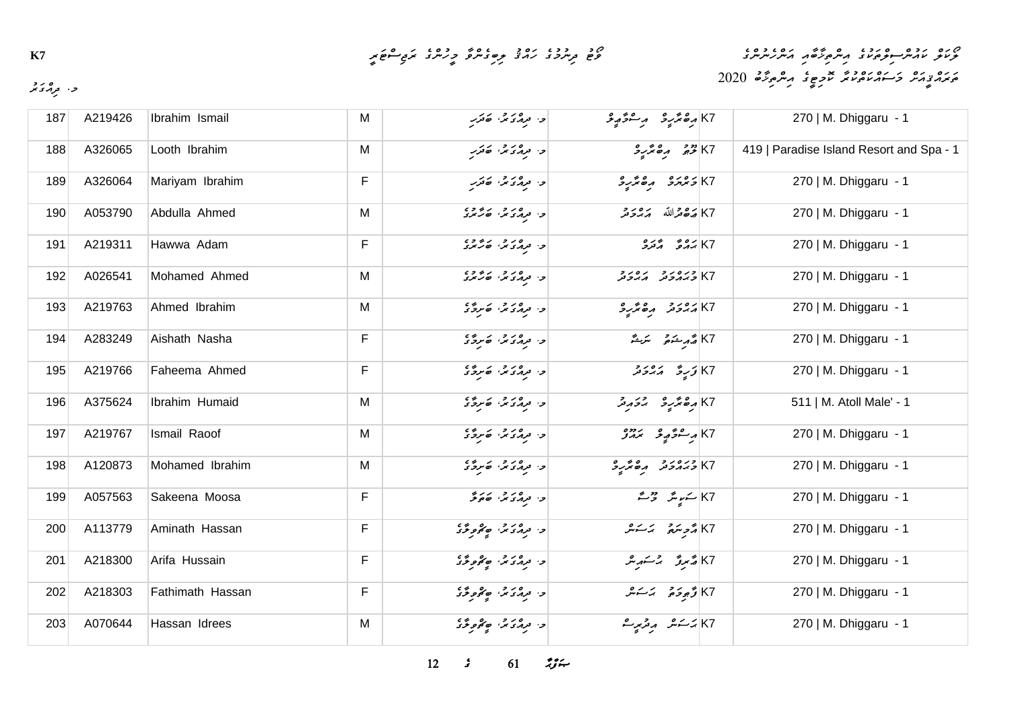*sCw7q7s5w7m< o<n9nOoAw7o< sCq;mAwBoEw7q<m; wBm;vB* م من المسجد المسجد المسجد المسجد المسجد العام 2020<br>مسجد المسجد المسجد المسجد المسجد المسجد المسجد المسجد المسجد ال

| 187 | A219426 | Ibrahim Ismail   | M           | د· مردد د پر کامرب   | K7 مەھمەر بۇ مەسىئى ئەربى             | 270   M. Dhiggaru - 1                    |
|-----|---------|------------------|-------------|----------------------|---------------------------------------|------------------------------------------|
| 188 | A326065 | Looth Ibrahim    | M           | و مرد و تر کور       | K7 فَرْمَ مِرْحَمَّرِ وَ              | 419   Paradise Island Resort and Spa - 1 |
| 189 | A326064 | Mariyam Ibrahim  | F           | د· مرد د کر که کرب   | K7 <i>وَبُرْمَرْ وَ مِ</i> هْتَرِيْرَ | 270   M. Dhiggaru - 1                    |
| 190 | A053790 | Abdulla Ahmed    | M           |                      | K7 مَەقراللە مەدقىر                   | 270   M. Dhiggaru - 1                    |
| 191 | A219311 | Hawwa Adam       | F           |                      | K7 يَرْدُوَّ مَرْمَرْد                | 270   M. Dhiggaru - 1                    |
| 192 | A026541 | Mohamed Ahmed    | M           |                      | K7 دره د د درو                        | 270   M. Dhiggaru - 1                    |
| 193 | A219763 | Ahmed Ibrahim    | M           | و مرد د ته ځېرو د    | K7 <i>ב ب</i> حق مصرَّرِ ح            | 270   M. Dhiggaru - 1                    |
| 194 | A283249 | Aishath Nasha    | F           | و مردوس کم دوه       |                                       | 270   M. Dhiggaru - 1                    |
| 195 | A219766 | Faheema Ahmed    | F           | و مردوس کم دوه       | K7 وَرِدَّ كَمَدْدَمْرُ               | 270   M. Dhiggaru - 1                    |
| 196 | A375624 | Ibrahim Humaid   | M           | و مرد و د کارون      | K7 رەڭرىرى بىر دىر                    | 511   M. Atoll Male' - 1                 |
| 197 | A219767 | Ismail Raoof     | M           | و مرد و د کارون      | K7 <sub>م</sub> رےدو چھوٹے ہوتھ ہوتھ  | 270   M. Dhiggaru - 1                    |
| 198 | A120873 | Mohamed Ibrahim  | M           | و مرد و د کاروی      | K7 دېم د ده مه شره                    | 270   M. Dhiggaru - 1                    |
| 199 | A057563 | Sakeena Moosa    | F           | و مرد و درو          | K7 سَرِیٹر حی ش                       | 270   M. Dhiggaru - 1                    |
| 200 | A113779 | Aminath Hassan   | F           | و مرموند ھکو گو      | K7 مٌحٍ سَمَعٌ مَ سَنَسْر             | 270   M. Dhiggaru - 1                    |
| 201 | A218300 | Arifa Hussain    | $\mathsf F$ | د مرد د کر مار و د د | K7 مەسىرى بەسىمبەش                    | 270   M. Dhiggaru - 1                    |
| 202 | A218303 | Fathimath Hassan | F           | د مرد د کر محوف      | K7 <i>وَّجوحَ</i> جَمَعَ سَمَعْر      | 270   M. Dhiggaru - 1                    |
| 203 | A070644 | Hassan Idrees    | M           | د مرد د کر محوف      | K7 بَرَسَسْ مِقْرِيبِ مِ              | 270   M. Dhiggaru - 1                    |

 $12$  *s* 61  $23$   $\div$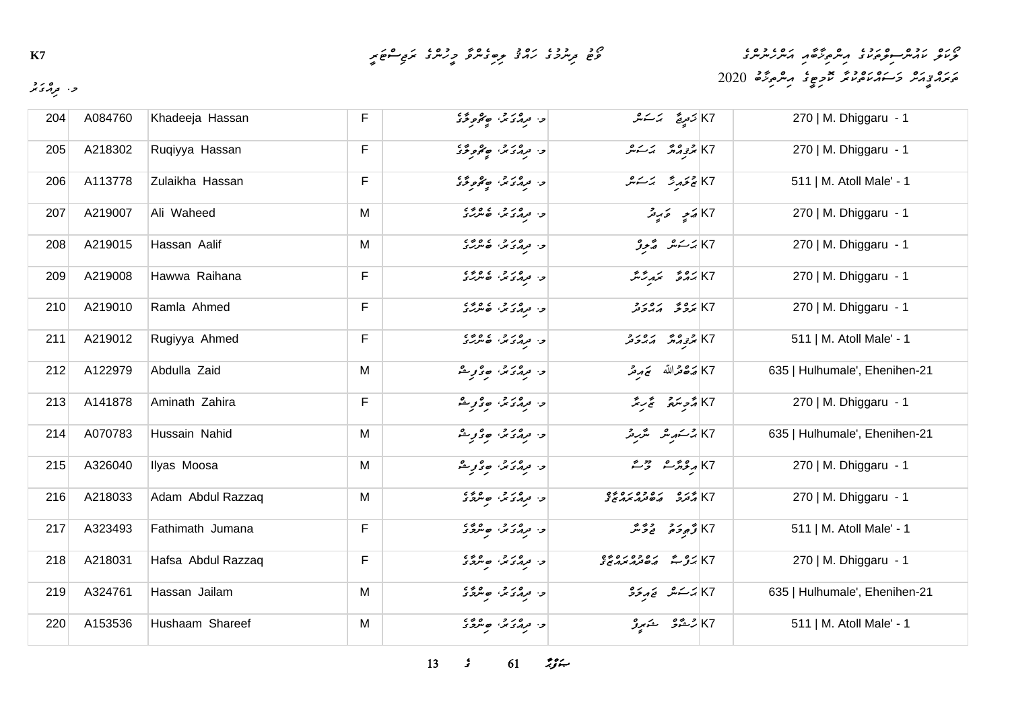*sCw7q7s5w7m< o<n9nOoAw7o< sCq;mAwBoEw7q<m; wBm;vB* م من المرة المرة المرة المرجع المرجع في المركبة 2020<br>مجم*د المريض المربوط المربع المرجع في المراجع المركبة* 

| 204 | A084760 | Khadeeja Hassan    | F           | د مرموند ھگورگو      | K7 زَمِرِجٌ ) بَرَسَہْر                                                                              | 270   M. Dhiggaru - 1         |
|-----|---------|--------------------|-------------|----------------------|------------------------------------------------------------------------------------------------------|-------------------------------|
| 205 | A218302 | Ruqiyya Hassan     | F           | و مرد د د کور د د    | K7 بر <sub>تو</sub> مگر کرکے شر                                                                      | 270   M. Dhiggaru - 1         |
| 206 | A113778 | Zulaikha Hassan    | F           | و مرد د د کور د د    | K7 ىج تخ <sub>م</sub> ر ش كەنگىر                                                                     | 511   M. Atoll Male' - 1      |
| 207 | A219007 | Ali Waheed         | M           |                      | K7 <i>ھَجِ</i> حَبِيقَر                                                                              | 270   M. Dhiggaru - 1         |
| 208 | A219015 | Hassan Aalif       | M           |                      | K7 ئەسەبىر م <i>ەين</i> ىۋ                                                                           | 270   M. Dhiggaru - 1         |
| 209 | A219008 | Hawwa Raihana      | F           | و. مرور و ۵ ده و د   | K7 بَرُوْحٌ بَرَ بِرَنَّتَر                                                                          | 270   M. Dhiggaru - 1         |
| 210 | A219010 | Ramla Ahmed        | F           |                      | K7 بَرْوْتُو بِرُدْرُورْ                                                                             | 270   M. Dhiggaru - 1         |
| 211 | A219012 | Rugiyya Ahmed      | $\mathsf F$ |                      | K7 ىزى <sub>ن</sub> چەر ئەرگە ئەر                                                                    | 511   M. Atoll Male' - 1      |
| 212 | A122979 | Abdulla Zaid       | M           | د. مرد ديگر، ھور ش   | K7 مَەھىراللە ىم <i>م</i> ەمگ                                                                        | 635   Hulhumale', Ehenihen-21 |
| 213 | A141878 | Aminath Zahira     | F           | د. مرد ديگر، ھور ش   | K7 مُجِ سَمَعُ تَجْ سِمَّرَ                                                                          | 270   M. Dhiggaru - 1         |
| 214 | A070783 | Hussain Nahid      | M           | د· مهدر در صر و دیگر | K7 پرستمبر مگربرنگر                                                                                  | 635   Hulhumale', Ehenihen-21 |
| 215 | A326040 | Ilyas Moosa        | M           | د. مردر د کار ده     | K7 مرعر محمد من حيث المحمد المستخدم المستخدم المستخدم المستخدم المستخدم المستخدم المستخدم المستخدم ا | 270   M. Dhiggaru - 1         |
| 216 | A218033 | Adam Abdul Razzaq  | M           | و. مرور و. صرور      | K7 גער הסיכס הסיפר                                                                                   | 270   M. Dhiggaru - 1         |
| 217 | A323493 | Fathimath Jumana   | F           | و. مردری می صرفر     | K7 زَّەپ <i>ەدَە</i> ق <sup>و</sup> مَد                                                              | 511   M. Atoll Male' - 1      |
| 218 | A218031 | Hafsa Abdul Razzaq | F           | و. مرد و د ح مرد و   | K7 ئۇبىگە مەھەمدە مەھ                                                                                | 270   M. Dhiggaru - 1         |
| 219 | A324761 | Hassan Jailam      | M           | و٠ قروري صرور        | K7   پرستر ق <sub>یم</sub> وی                                                                        | 635   Hulhumale', Ehenihen-21 |
| 220 | A153536 | Hushaam Shareef    | M           | כי נקח ביתי סייקביב  | K7  ژے گئے مقام پرو<br> -                                                                            | 511   M. Atoll Male' - 1      |

 $13$  *s* 61  $23$   $\div$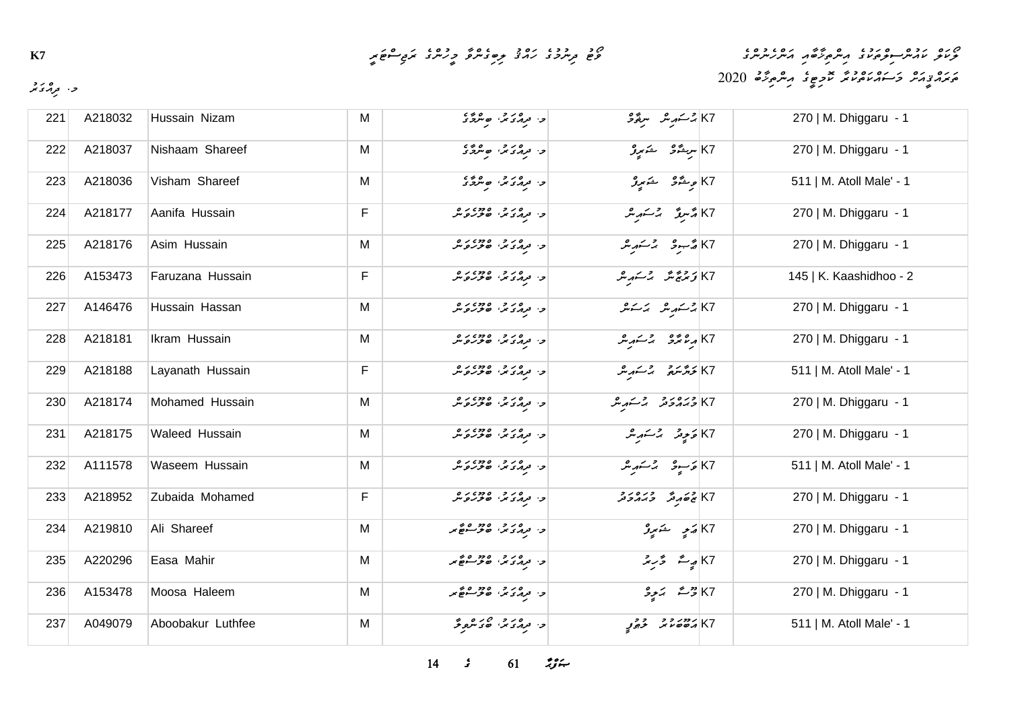*sCw7q7s5w7m< o<n9nOoAw7o< sCq;mAwBoEw7q<m; wBm;vB* م من المسجد المسجد المسجد المسجد المسجد العام 2020<br>مسجد المسجد المسجد المسجد المسجد المسجد المسجد المسجد المسجد ال

| 221 | A218032 | Hussain Nizam     | M | د مرد د تر مسرد د                     |                                                  | 270   M. Dhiggaru - 1    |
|-----|---------|-------------------|---|---------------------------------------|--------------------------------------------------|--------------------------|
| 222 | A218037 | Nishaam Shareef   | M | و مرمري صرحو                          | K7 سرشگر <sup>ی</sup> شہرو                       | 270   M. Dhiggaru - 1    |
| 223 | A218036 | Visham Shareef    | M | و مردوس صردی                          | K7 <sub>جو</sub> ڪرو ڪ <sub>مبرو</sub>           | 511   M. Atoll Male' - 1 |
| 224 | A218177 | Aanifa Hussain    | F | ه د ورو وده ده.<br>د ترمرۍ تر هڅرموس  | K7 مُسِتَدَّ بِرُسَمَ <i>رِ</i> سُّرَ            | 270   M. Dhiggaru - 1    |
| 225 | A218176 | Asim Hussain      | M | ه مرد و دوه ده<br>د مرد د بن هوروس    | K7 محب و بالمستهر مثلا                           | 270   M. Dhiggaru - 1    |
| 226 | A153473 | Faruzana Hussain  | F | و مرد و ودوره و در و                  | K7 ۇىرىج ئىر ب <sub>ى</sub> شەرىئە               | 145   K. Kaashidhoo - 2  |
| 227 | A146476 | Hussain Hassan    | M | و ترمرو و ودوره<br>د ترمروس صوروس     | K7 پرستہریش پرستیش                               | 270   M. Dhiggaru - 1    |
| 228 | A218181 | Ikram Hussain     | M | ه مرده ودوره<br>د مرد و موروس         | K7 مەمگى ئەسكىمبەش                               | 270   M. Dhiggaru - 1    |
| 229 | A218188 | Layanath Hussain  | F | ه مرد و دوه ده.<br>د مرد د بر هوروس   | K7 <i>خەشتى بى</i> شەرىئىر                       | 511   M. Atoll Male' - 1 |
| 230 | A218174 | Mohamed Hussain   | M | ه مرد و و ووه ده و ده ده کند و ش      | K7 دېم د د مختصر شر                              | 270   M. Dhiggaru - 1    |
| 231 | A218175 | Waleed Hussain    | M | ه د مرد و دوه ده<br>د مرد د بر ه وروس | K7   ق م م بحر محر م بر م بر م بر م بر مسر<br> - | 270   M. Dhiggaru - 1    |
| 232 | A111578 | Waseem Hussain    | M | ه مرد و دوه ده.<br>د مرد د بر هوروس   | K7  ق-یوبی - پرکتهرینگر                          | 511   M. Atoll Male' - 1 |
| 233 | A218952 | Zubaida Mohamed   | F | ه د ورو وده ده.<br>د ترمرۍ تر هڅرموس  | K7 څ <i>ۀږدگ ډېرو</i> نر                         | 270   M. Dhiggaru - 1    |
| 234 | A219810 | Ali Shareef       | M | و مرد و ودوه دي.<br>و مرد دي هو مون   | K7 <i>ھَ۔ جِسمبِ</i> رُ                          | 270   M. Dhiggaru - 1    |
| 235 | A220296 | Easa Mahir        | M | و مرد و و و و و و م                   | K7 <sub>جو</sub> ر گريز                          | 270   M. Dhiggaru - 1    |
| 236 | A153478 | Moosa Haleem      | M | و مرد و وو وه                         | K7 پڑے پر پرو                                    | 270   M. Dhiggaru - 1    |
| 237 | A049079 | Aboobakur Luthfee | M | و. مردر در ۲۵ دره و گر                | K7 كەھەم بىر مەدىر                               | 511   M. Atoll Male' - 1 |

 $14$  *s* 61  $23$   $\div$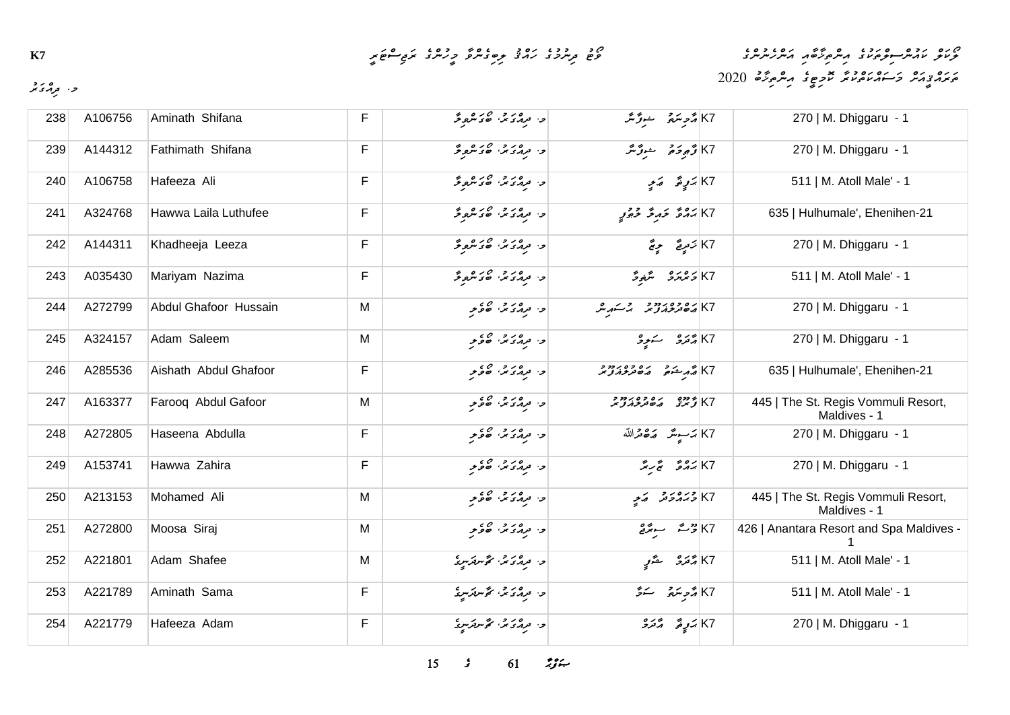*sCw7q7s5w7m< o<n9nOoAw7o< sCq;mAwBoEw7q<m; wBm;vB* م من المرة المرة المرة المرجع المرجع في المركبة 2020<br>مجم*د المريض المربوط المربع المرجع في المراجع المركبة* 

| 238 | A106756 | Aminath Shifana       | $\mathsf F$ | و مردوس کار هو گر   | K7 مَّ حِ سَعَةٍ مَسْتَرَسَّدَ                 | 270   M. Dhiggaru - 1                               |
|-----|---------|-----------------------|-------------|---------------------|------------------------------------------------|-----------------------------------------------------|
| 239 | A144312 | Fathimath Shifana     | F           | و. مهدرس ځی شونځ    | K7 <i>وَّەودَە</i> سو <i>ۋىد</i>               | 270   M. Dhiggaru - 1                               |
| 240 | A106758 | Hafeeza Ali           | $\mathsf F$ | و مردوح مروري       | K7 تربو <i>قرم</i>                             | 511   M. Atoll Male' - 1                            |
| 241 | A324768 | Hawwa Laila Luthufee  | $\mathsf F$ | و مرورو مروره       | K7 بَرْدُةً ۖ وَ <sub>م</sub> ُرِدَّ ۖ وَجُورٍ | 635   Hulhumale', Ehenihen-21                       |
| 242 | A144311 | Khadheeja Leeza       | F           | و مردوح مروري       | K7 دَمِيعٌ     مِيَّ                           | 270   M. Dhiggaru - 1                               |
| 243 | A035430 | Mariyam Nazima        | F           | و مردوح مروري       | K7 دَبَرْ <i>مَرْدْ مَّهْدِ</i> دُّ            | 511   M. Atoll Male' - 1                            |
| 244 | A272799 | Abdul Ghafoor Hussain | M           | و مرور ده ده و      | K7 مەھەردە جويدىش كى ئىكتەرلىك                 | 270   M. Dhiggaru - 1                               |
| 245 | A324157 | Adam Saleem           | M           | و مرد و ه ه و .     | K7 مُحَمَّدُ سَمَوِدُ                          | 270   M. Dhiggaru - 1                               |
| 246 | A285536 | Aishath Abdul Ghafoor | F           | و. مرد د ه ه ه و م  | K7 مەم شەھ مەھەردە د                           | 635   Hulhumale', Ehenihen-21                       |
| 247 | A163377 | Farooq Abdul Gafoor   | M           | و مرد و ه ه و .     | K7 ژنره پره دورو د                             | 445   The St. Regis Vommuli Resort,<br>Maldives - 1 |
| 248 | A272805 | Haseena Abdulla       | $\mathsf F$ | و مرد و ه ه و .     | K7 كەسوپى <i>گە كەھ</i> قراللە                 | 270   M. Dhiggaru - 1                               |
| 249 | A153741 | Hawwa Zahira          | F           | و. مرد و ده و ده و  | K7 ئەممۇس ئى ئىر                               | 270   M. Dhiggaru - 1                               |
| 250 | A213153 | Mohamed Ali           | M           | و مرور ده ده و      | K7  <i>وټرونو ټ</i> و                          | 445   The St. Regis Vommuli Resort,<br>Maldives - 1 |
| 251 | A272800 | Moosa Siraj           | M           | و مرد دي هوم        | K7 ترمشہ سے پڑھ                                | 426   Anantara Resort and Spa Maldives -            |
| 252 | A221801 | Adam Shafee           | M           | و مرد و د کرسترس    | K7 پر پور شگو په په پور                        | 511   M. Atoll Male' - 1                            |
| 253 | A221789 | Aminath Sama          | F           | و مرد د د کرمنگرمرد | K7 مُجْرِسَهُ سَدَّ                            | 511   M. Atoll Male' - 1                            |
| 254 | A221779 | Hafeeza Adam          | $\mathsf F$ | و مرد و د گرسترس    |                                                | 270   M. Dhiggaru - 1                               |

 $15$  *s* 61  $23$   $\div$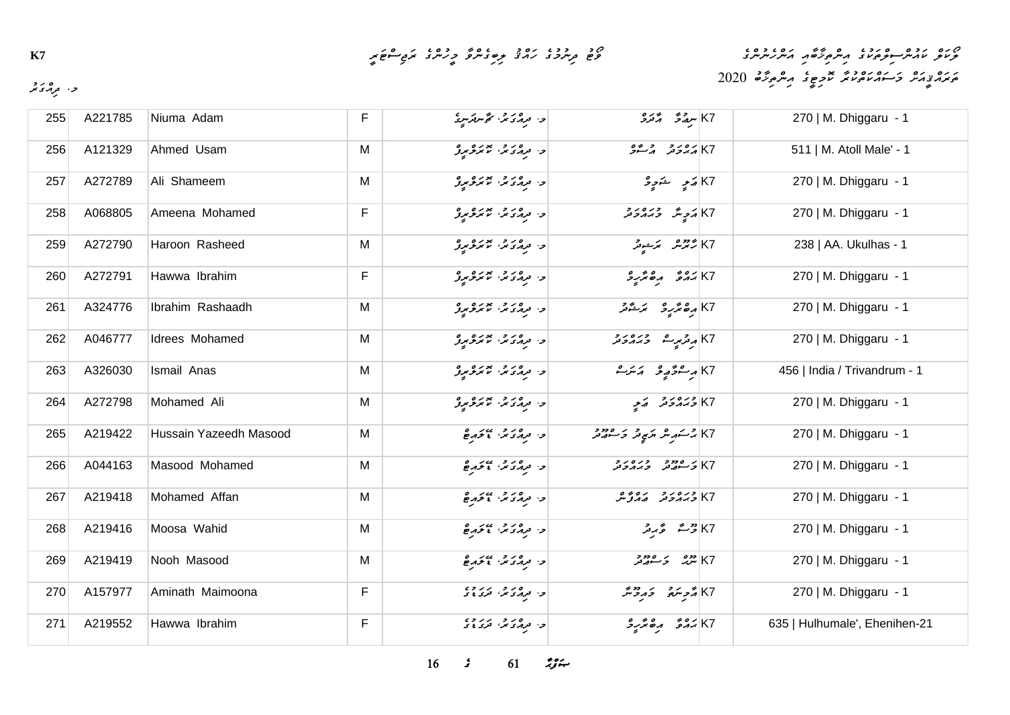*sCw7q7s5w7m< o<n9nOoAw7o< sCq;mAwBoEw7q<m; wBm;vB* م من المرة المرة المرة المرجع المرجع في المركبة 2020<br>مجم*د المريض المربوط المربع المرجع في المراجع المركبة* 

| 255 | A221785 | Niuma Adam             | F           | و مرد د د کرمند                               | K7 سرچرځ م <i>رگو</i> ځو                                  | 270   M. Dhiggaru - 1         |
|-----|---------|------------------------|-------------|-----------------------------------------------|-----------------------------------------------------------|-------------------------------|
| 256 | A121329 | Ahmed Usam             | M           | والمجمد والمحاملة والمحاملة والمحاملة         | K7 كەبروتىر كەشكى                                         | 511   M. Atoll Male' - 1      |
| 257 | A272789 | Ali Shameem            | M           | و مهدى من مورور                               | K7  ر <sub>َم</sub> ح شَر <sub>َ</sub> ح و                | 270   M. Dhiggaru - 1         |
| 258 | A068805 | Ameena Mohamed         | $\mathsf F$ | والمجمد والمعروموثي                           | K7 <i>مَوِسُ حُمَدُونَد</i>                               | 270   M. Dhiggaru - 1         |
| 259 | A272790 | Haroon Rasheed         | M           | والمجمد والمعروموثي                           | K7 رُمِيْسْ بَرَسْ <sub>وِ</sub> مْرُ                     | 238   AA. Ukulhas - 1         |
| 260 | A272791 | Hawwa Ibrahim          | $\mathsf F$ | و مردود بدروبرو                               | K7 <i>بَهُرةَ مِـ هُ</i> تُرِ حُ                          | 270   M. Dhiggaru - 1         |
| 261 | A324776 | Ibrahim Rashaadh       | M           | د· مهدى من موسوع مولى                         | K7 <sub>م</sub> ەنگەپ <sup>ى</sup> - ئەش <sup>ە</sup> نگە | 270   M. Dhiggaru - 1         |
| 262 | A046777 | Idrees Mohamed         | M           | و مهدى من مورور                               | K7 موترىيە ھەم 25 مۇتىر.<br>K7                            | 270   M. Dhiggaru - 1         |
| 263 | A326030 | Ismail Anas            | M           | و مردوح مورومو                                | K7 مەش <i>ۇم</i> ۇ كەترىش                                 | 456   India / Trivandrum - 1  |
| 264 | A272798 | Mohamed Ali            | M           | والمملاء والمعروفي                            | K7 <i>جەنگە 15 ھ</i> و                                    | 270   M. Dhiggaru - 1         |
| 265 | A219422 | Hussain Yazeedh Masood | M           | و مرد و په دوه                                | K7 پر کے مربع مربع تر اس معدور ا                          | 270   M. Dhiggaru - 1         |
| 266 | A044163 | Masood Mohamed         | M           | وسترمرى الملح ومصر والمحصر المحرم             | K7 كەھلىق ئەمدە بەر                                       | 270   M. Dhiggaru - 1         |
| 267 | A219418 | Mohamed Affan          | M           | والمجمد والمحمد والمحمد والمحمد والمحمد       | K7 <i>32023</i> K7 گروگر                                  | 270   M. Dhiggaru - 1         |
| 268 | A219416 | Moosa Wahid            | M           | والمحمد والمحمد المحمد والمحمد المحمد والمحمد | K7 رُجَّ قَ <sup>م</sup> ِينْدُ                           | 270   M. Dhiggaru - 1         |
| 269 | A219419 | Nooh Masood            | M           | والمجمد والمحمين المتحمدة                     | K7 تر <i>و خەمەت</i> ر                                    | 270   M. Dhiggaru - 1         |
| 270 | A157977 | Aminath Maimoona       | $\mathsf F$ | و مردوم تردوه                                 | K7 مُحْرِسَمُ فَرَمَّةٌ مُحَمَّدٌ                         | 270   M. Dhiggaru - 1         |
| 271 | A219552 | Hawwa Ibrahim          | F           | و تورد و تردوه                                | K7 بَهُرَةً مِنْ يُرْدِّ                                  | 635   Hulhumale', Ehenihen-21 |

 $16$  *s* 61  $29$   $\div$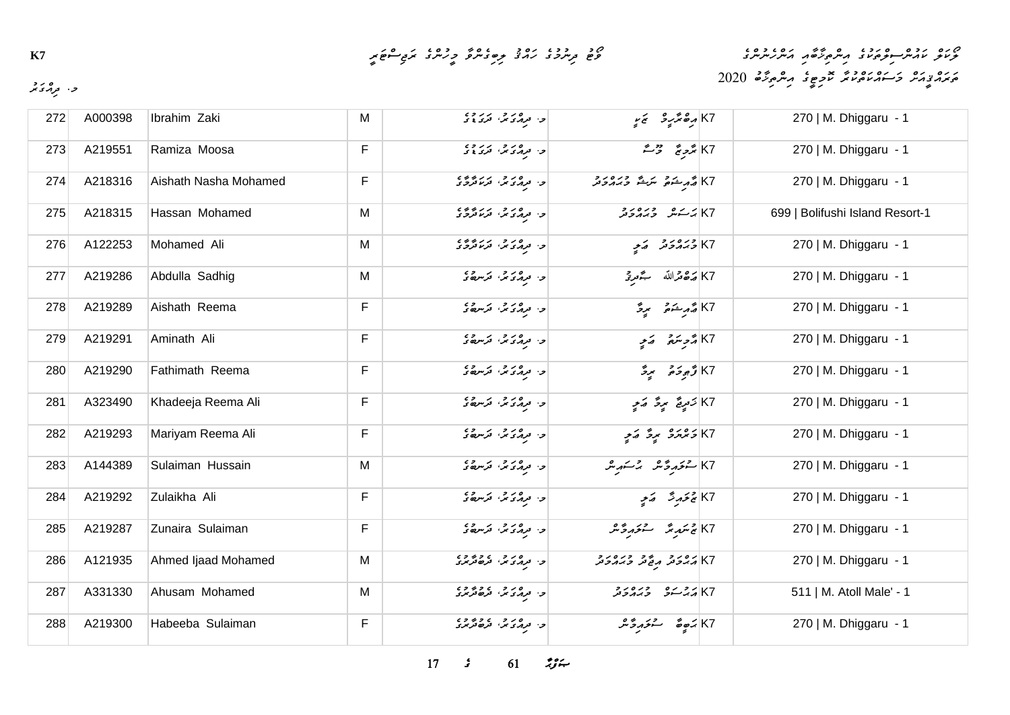*sCw7q7s5w7m< o<n9nOoAw7o< sCq;mAwBoEw7q<m; wBm;vB* م من المرة المرة المرة المرجع المرجع في المركبة 2020<br>مجم*د المريض المربوط المربع المرجع في المراجع المركبة* 

| 272 | A000398 | Ibrahim Zaki          | M            | و مرد و تر د و ،                                     | K7 <sub>م</sub> ەھمَّرٍ مَحَّ سَمَّ                                                                  | 270   M. Dhiggaru - 1           |
|-----|---------|-----------------------|--------------|------------------------------------------------------|------------------------------------------------------------------------------------------------------|---------------------------------|
| 273 | A219551 | Ramiza Moosa          | F            | و مردوس مردون                                        | K7 بَرَّدِجٌ وَ"ـَّةُ                                                                                | 270   M. Dhiggaru - 1           |
| 274 | A218316 | Aishath Nasha Mohamed | F            |                                                      | K7 مُهرِ شَهُ مِنْ مِشْرِ وَبَرْمُ وَبَرْ وَبَرْ وَبِرَ وَبِرَ وَبِرَ وَبِرَ وَبَرْ وَبَرْ وَبَرْ وَ | 270   M. Dhiggaru - 1           |
| 275 | A218315 | Hassan Mohamed        | M            | و برماد و زرد ده<br>د برماد س ترماترو د              | K7 ئەسەھرىم <i>دىنەدە</i> ر                                                                          | 699   Bolifushi Island Resort-1 |
| 276 | A122253 | Mohamed Ali           | M            | و٠ قرار و در در د د د<br>و٠ قرار د تر د تر لا تر و د | K7  ج. پروتر   مَرْمٍ                                                                                | 270   M. Dhiggaru - 1           |
| 277 | A219286 | Abdulla Sadhig        | M            | و مردو بر مرده و د                                   | K7 مَەھمَراللە ج <sup>ە</sup> مرتى                                                                   | 270   M. Dhiggaru - 1           |
| 278 | A219289 | Aishath Reema         | F            | و مرد و تر مرسومي                                    | K7 مەم ئىقىم ھېرىگە                                                                                  | 270   M. Dhiggaru - 1           |
| 279 | A219291 | Aminath Ali           | $\mathsf{F}$ | و مردو بر مرسوم                                      | K7 مُجِسَعَةً صَعِ                                                                                   | 270   M. Dhiggaru - 1           |
| 280 | A219290 | Fathimath Reema       | F            | و مردو بر مرده و د                                   | K7 <i>وَّجِودَة</i> مِر <i>دَّ</i>                                                                   | 270   M. Dhiggaru - 1           |
| 281 | A323490 | Khadeeja Reema Ali    | F            | و مردو بر ترسي                                       | K7 دَمِيعٌ     مِرةٌ    مَرمٍ                                                                        | 270   M. Dhiggaru - 1           |
| 282 | A219293 | Mariyam Reema Ali     | F            | و. مرد و بر ده و د                                   | K7 <i>وَجُهْرُوْ</i> بِرِدُّ <sub>مَ</sub> بِرِ                                                      | 270   M. Dhiggaru - 1           |
| 283 | A144389 | Sulaiman Hussain      | M            | و. مرد و ترسيف                                       | K7 جۇمۇمىر مىر مەسىر                                                                                 | 270   M. Dhiggaru - 1           |
| 284 | A219292 | Zulaikha Ali          | $\mathsf{F}$ | و مرد د ترسي                                         | K7 يح <i>قرب</i> ر تھ پر                                                                             | 270   M. Dhiggaru - 1           |
| 285 | A219287 | Zunaira Sulaiman      | $\mathsf{F}$ | و مرد و تر سره و                                     | K7 ئ <i>ىتتىدىنگە</i> سى <i>خور</i> ۇنى <i>گ</i>                                                     | 270   M. Dhiggaru - 1           |
| 286 | A121935 | Ahmed Ijaad Mohamed   | M            |                                                      | K7 גُرُدَدَ , دِقَّتْر دَبَرْ دَوَرْ                                                                 | 270   M. Dhiggaru - 1           |
| 287 | A331330 | Ahusam Mohamed        | M            | ه به در د دو ده د د                                  | K7 كەيمەدىيە ھەمدە بور                                                                               | 511   M. Atoll Male' - 1        |
| 288 | A219300 | Habeeba Sulaiman      | F            | و مرمرد و دوده.<br>د مرمرد مر، مرده مرمرد            | K7   يَسِيقُ صَحَم <i>ِ وَ</i> حَمَدِ                                                                | 270   M. Dhiggaru - 1           |

 $17$  *s* 61  $23$   $\div$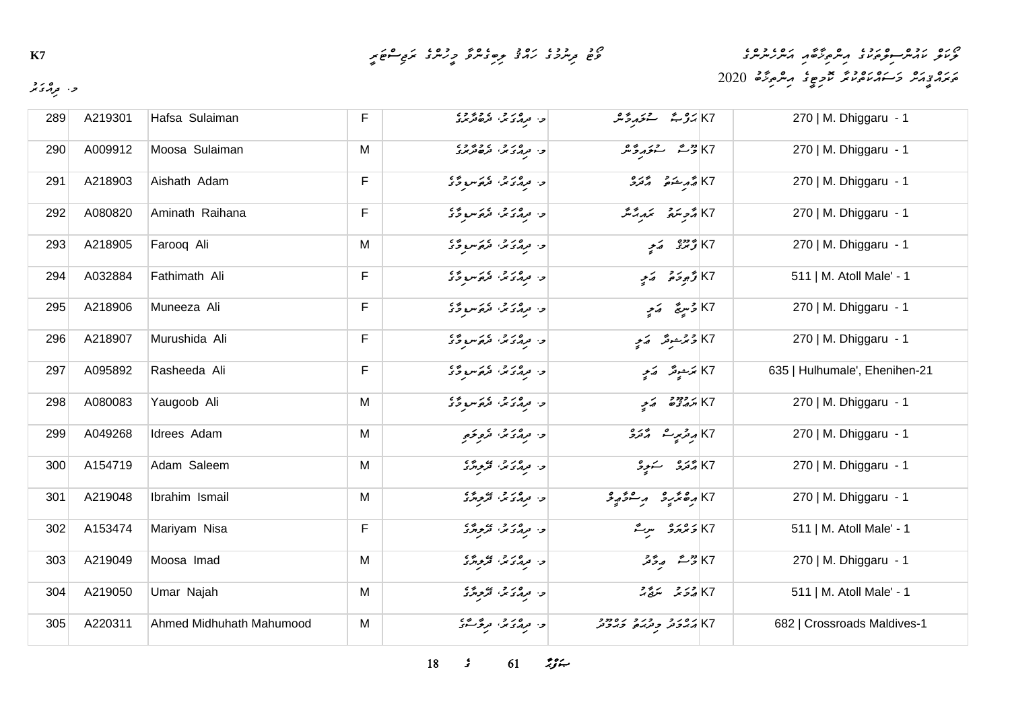*sCw7q7s5w7m< o<n9nOoAw7o< sCq;mAwBoEw7q<m; wBm;vB* م من المرة المرة المرة المرجع المرجع في المركبة 2020<br>مجم*د المريض المربوط المربع المرجع في المراجع المركبة* 

| 289 | A219301 | Hafsa Sulaiman           | F | د. ترمرو بر دوره د و<br>د. ترمرو بر، تره تربرو        | K7 ئەۋىبە سە <i>خ</i> ەر <i>ۇ</i> ند | 270   M. Dhiggaru - 1         |
|-----|---------|--------------------------|---|-------------------------------------------------------|--------------------------------------|-------------------------------|
| 290 | A009912 | Moosa Sulaiman           | M | و برمرد و و و و و و و و و و ح<br>د برمرد مر تره ترمرد | K7 چېنځه شوکړو شر                    | 270   M. Dhiggaru - 1         |
| 291 | A218903 | Aishath Adam             | F | د مرد د تره مرسو و د                                  | K7 مەم شىم مەمرى                     | 270   M. Dhiggaru - 1         |
| 292 | A080820 | Aminath Raihana          | F | والمملائ من المركة مس والمحالي                        | K7 مُجِيبَعْدُ عَمَدِيَّتَكَ         | 270   M. Dhiggaru - 1         |
| 293 | A218905 | Farooq Ali               | M | والمتهدى مركز المركوب المحالي                         | K7 وُحِمَّةٌ صَعِ                    | 270   M. Dhiggaru - 1         |
| 294 | A032884 | Fathimath Ali            | F | والممردون المركم الموافق                              | K7 وَّجِوحَةُ صَعِ                   | 511   M. Atoll Male' - 1      |
| 295 | A218906 | Muneeza Ali              | F | د مرد د تره مرسو و د                                  | K7 څېږیځ ټ <i>ړم</i> و               | 270   M. Dhiggaru - 1         |
| 296 | A218907 | Murushida Ali            | F | والمتهدى مركز المركوب المحالي                         | K7 دُبُرْجُوبَرٌ    رَبِّي           | 270   M. Dhiggaru - 1         |
| 297 | A095892 | Rasheeda Ali             | F | والمحمد والمحمد والمحمد والمحمد والمحمد               | K7 مَرْجومَّر - مَرْمٍ               | 635   Hulhumale', Ehenihen-21 |
| 298 | A080083 | Yaugoob Ali              | M | و مرد و د کار مورد                                    | K7 ا <i>نگەنچى ھ</i> ور              | 270   M. Dhiggaru - 1         |
| 299 | A049268 | Idrees Adam              | M | و· فره د تمر گرو څرو                                  | K7 <sub>م</sub> وترموے گھری          | 270   M. Dhiggaru - 1         |
| 300 | A154719 | Adam Saleem              | M | و· فره د تم قر پر و د                                 | K7 مَرْتَرْدْ سَجِرْدْ               | 270   M. Dhiggaru - 1         |
| 301 | A219048 | Ibrahim Ismail           | M | و٠ قراري کا ترج پر و                                  | K7 مەھمەر ھەر مەمۇم بى               | 270   M. Dhiggaru - 1         |
| 302 | A153474 | Mariyam Nisa             | F | و· فره د تم قر پر و د                                 | K7 كەبەد ھەر سىرىگە                  | 511   M. Atoll Male' - 1      |
| 303 | A219049 | Moosa Imad               | M | و٠ قراري کا ترج پر و                                  | K7 چرم پر محمد                       | 270   M. Dhiggaru - 1         |
| 304 | A219050 | Umar Najah               | M | و٠ فره د چې مخرچو کړي                                 | K7 مەكەبىر سى <i>نى</i> گە           | 511   M. Atoll Male' - 1      |
| 305 | A220311 | Ahmed Midhuhath Mahumood | M | د· دره د تر گرگر در                                   |                                      | 682   Crossroads Maldives-1   |

 $18$  *s* 61 *i*<sub>3</sub> *i*<sub>4</sub>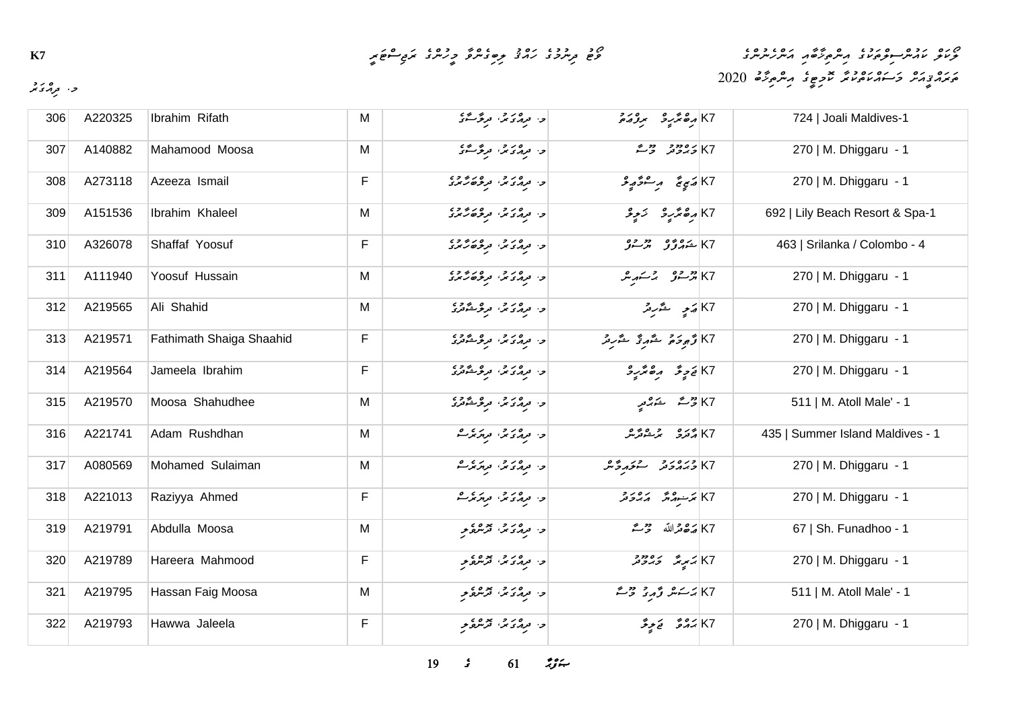*sCw7q7s5w7m< o<n9nOoAw7o< sCq;mAwBoEw7q<m; wBm;vB* م من المرة المرة المرة المرجع المرجع في المركبة 2020<br>مجم*د المريض المربوط المربع المرجع في المراجع المركبة* 

| 306 | A220325 | Ibrahim Rifath           | M | د· دره د تر گرگری                           | K7 مەھەرىپ مەدەم                            | 724   Joali Maldives-1           |
|-----|---------|--------------------------|---|---------------------------------------------|---------------------------------------------|----------------------------------|
| 307 | A140882 | Mahamood Moosa           | M | و٠ تروری، تروگری                            | K7 دەدە دېم ئ                               | 270   M. Dhiggaru - 1            |
| 308 | A273118 | Azeeza Ismail            | F | و مرد و مرد و عدد و ع                       | K7 مَي تَمَ مِ سُرْدَّمِ ثَرَ               | 270   M. Dhiggaru - 1            |
| 309 | A151536 | Ibrahim Khaleel          | M | و٠ قرار در در در دو د و د                   | K7 <sub>م</sub> ەنزىر ئىچى                  | 692   Lily Beach Resort & Spa-1  |
| 310 | A326078 | Shaffaf Yoosuf           | F | و مرد و مرد و عدد و ع                       | K7 شەر <i>ۇۋ بېر د</i> و                    | 463   Srilanka / Colombo - 4     |
| 311 | A111940 | Yoosuf Hussain           | M | و مرد و مرو و ع<br>د مرد و مرا مرود مرد و ع | K7 پر قسمبر بر شهر بر                       | 270   M. Dhiggaru - 1            |
| 312 | A219565 | Ali Shahid               | M | و٠ قرور در ورورو دو ٥                       | K7 <i>ھَ۔</i> شَرِمْرُ                      | 270   M. Dhiggaru - 1            |
| 313 | A219571 | Fathimath Shaiga Shaahid | F | و٠ قرور در ورورو دو ٥                       | K7 رَّجِودَةُ حُنَّمَرِ ثَمَّ حُدَّرِ مَّرْ | 270   M. Dhiggaru - 1            |
| 314 | A219564 | Jameela Ibrahim          | F | و برورو برورود                              | K7 <sub>ق</sub> وچۇ م <i>ەھترى</i> د        | 270   M. Dhiggaru - 1            |
| 315 | A219570 | Moosa Shahudhee          | M | و٠ ترور در ورورو و د                        | K7 چرمحہ خوبرمبر                            | 511   M. Atoll Male' - 1         |
| 316 | A221741 | Adam Rushdhan            | M | د· مهدى من مهتر عرف                         | K7 كەنىرى بەرشەنگەنلەر                      | 435   Summer Island Maldives - 1 |
| 317 | A080569 | Mohamed Sulaiman         | M | د. مهدى من مهتر مرت                         | K7 <i>دېمم</i> ونر شوروگر                   | 270   M. Dhiggaru - 1            |
| 318 | A221013 | Raziyya Ahmed            | F | و مرد ده کرد و بر                           | K7 بز <i>بیره بر مرد و د</i>                | 270   M. Dhiggaru - 1            |
| 319 | A219791 | Abdulla Moosa            | M | د برمړي پروه د                              | K7 مَەقراللە مىچە تە                        | 67   Sh. Funadhoo - 1            |
| 320 | A219789 | Hareera Mahmood          | F | و مردوس مودوس                               | K7 بَرَمِرِيمٌ     وَبُرْدُورٌ              | 270   M. Dhiggaru - 1            |
| 321 | A219795 | Hassan Faig Moosa        | M | و مردوس مودوم                               | K7 ئەسەبلا ۋە ئ <sup>ى ھ</sup> ەتتە         | 511   M. Atoll Male' - 1         |
| 322 | A219793 | Hawwa Jaleela            | F | د مرد د بروی د                              | K7  رَرُهٌ کَ <sub>مَ</sub> حِرَّدُ         | 270   M. Dhiggaru - 1            |

*19 s* 61 *i*<sub>S</sub> $\approx$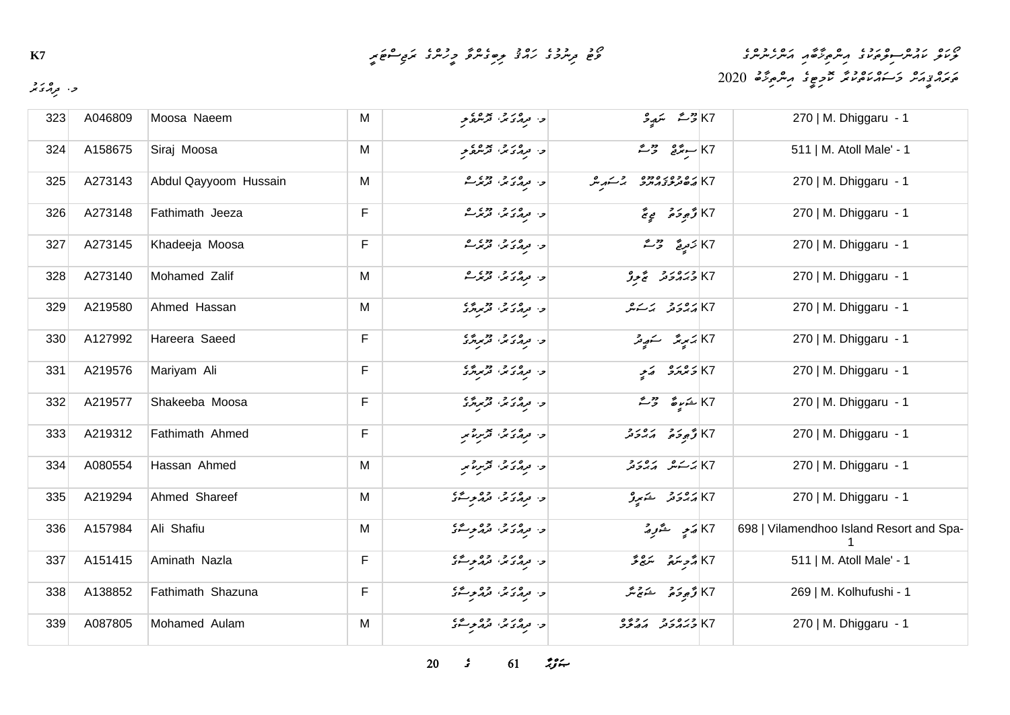*sCw7q7s5w7m< o<n9nOoAw7o< sCq;mAwBoEw7q<m; wBm;vB* م من المرة المرة المرة المرجع المرجع في المركبة 2020<br>مجم*د المريض المربوط المربع المرجع في المراجع المركبة* 

| 323 | A046809 | Moosa Naeem           | M            | د پروژنز ترشونو          | K7 چُرمَش سَمِيرڤ          | 270   M. Dhiggaru - 1                    |
|-----|---------|-----------------------|--------------|--------------------------|----------------------------|------------------------------------------|
| 324 | A158675 | Siraj Moosa           | M            | د· مرد دې موړه مو        | K7 سوبرٌ ۾ وَ"             | 511   M. Atoll Male' - 1                 |
| 325 | A273143 | Abdul Qayyoom Hussain | M            | و٠ مرد ۶ و وو وو ع       | K7 ره ده ده ده ده چرخه ش   | 270   M. Dhiggaru - 1                    |
| 326 | A273148 | Fathimath Jeeza       | $\mathsf F$  | و . مهروسی . مهرم        | K7 وَّجِرَة حَمَّ مِيَّ    | 270   M. Dhiggaru - 1                    |
| 327 | A273145 | Khadeeja Moosa        | F            | و . مهروسی افزیز ک       | K7 زَمِرِجٌ     تِرْ ثُرُ  | 270   M. Dhiggaru - 1                    |
| 328 | A273140 | Mohamed Zalif         | M            | و . فره و . و . و . و    | K7 دېم دې پخ د و           | 270   M. Dhiggaru - 1                    |
| 329 | A219580 | Ahmed Hassan          | M            | و. فرمری می فرمزمری      | K7 <i>مەدە</i> ر ئەسەھ     | 270   M. Dhiggaru - 1                    |
| 330 | A127992 | Hareera Saeed         | $\mathsf F$  | د. مرد د در در در        | K7 كەمچە مەھمەتىر          | 270   M. Dhiggaru - 1                    |
| 331 | A219576 | Mariyam Ali           | F            | و٠ قراري و دو دو د       | K7 <i>وَجُهْدُوْ مَ</i> حِ | 270   M. Dhiggaru - 1                    |
| 332 | A219577 | Shakeeba Moosa        | F            | و. مرد و دو دو ده        | K7 شەير <i>ەڭ ق-</i> شە    | 270   M. Dhiggaru - 1                    |
| 333 | A219312 | Fathimath Ahmed       | F            | و مورد و محمد المحموم من | K7 رُّجِوَة مَدَوَنَّرَ    | 270   M. Dhiggaru - 1                    |
| 334 | A080554 | Hassan Ahmed          | M            | و مرد دیگر تر برنامر     | K7 پرستر <i>ش پروژ</i> وتر | 270   M. Dhiggaru - 1                    |
| 335 | A219294 | Ahmed Shareef         | M            | و مرد د ده در ده         | K7 <i>جەنجەنى</i> خەمرى    | 270   M. Dhiggaru - 1                    |
| 336 | A157984 | Ali Shafiu            | M            | و مردوس وه ورو           | K7  رَمِ شَورتُ            | 698   Vilamendhoo Island Resort and Spa- |
| 337 | A151415 | Aminath Nazla         | $\mathsf{F}$ | و مرد ده وه ورو و        | K7 مُجِسَعَة سَيَّجَة      | 511   M. Atoll Male' - 1                 |
| 338 | A138852 | Fathimath Shazuna     | F            | د. مرد در ده در در       | K7 زَّەپرىق شىمى ش         | 269   M. Kolhufushi - 1                  |
| 339 | A087805 | Mohamed Aulam         | M            | و مرد ده وه ورځ          | $5522228$ K7               | 270   M. Dhiggaru - 1                    |

 $20$  *s* 61 *if*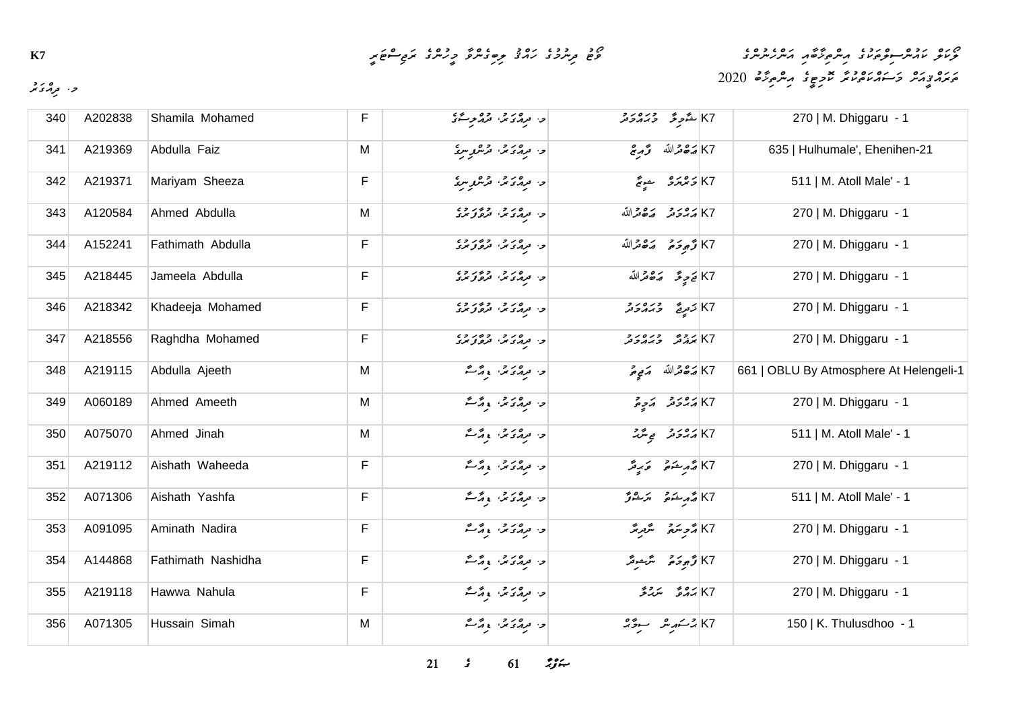*sCw7q7s5w7m< o<n9nOoAw7o< sCq;mAwBoEw7q<m; wBm;vB* م من المرة المرة المرة المرجع المرجع في المركبة 2020<br>مجم*د المريض المربوط المربع المرجع في المراجع المركبة* 

| ه ر د<br>تربر ی مر<br>ر . |  |
|---------------------------|--|
|---------------------------|--|

| 340 | A202838 | Shamila Mohamed    | $\mathsf{F}$ | د. مرد د ده ده د د                                     | K7 حَمَّوِتَر وَبَرْدُورْ                 | 270   M. Dhiggaru - 1                   |
|-----|---------|--------------------|--------------|--------------------------------------------------------|-------------------------------------------|-----------------------------------------|
| 341 | A219369 | Abdulla Faiz       | M            | د· مرد د تر مر مر مر د ک                               | K7 كەھەرللە ئ <i>ۇم</i> ى                 | 635   Hulhumale', Ehenihen-21           |
| 342 | A219371 | Mariyam Sheeza     | $\mathsf F$  | و مردوس فرهوسره                                        | K7 ك <i>و بروگر شوچ</i> گا                | 511   M. Atoll Male' - 1                |
| 343 | A120584 | Ahmed Abdulla      | M            | و - مرمر و - وه د و و<br>و - مرمر و بن - مرغ تو بن و ع | K7 كەبروتىر كەھەرللە                      | 270   M. Dhiggaru - 1                   |
| 344 | A152241 | Fathimath Abdulla  | F            | و٠ ترمرو و و و د و ،<br>و٠ ترمرو س٠ تروکو سرو          | K7 وَج <i>وِحَة مَ</i> هْقَراللّه         | 270   M. Dhiggaru - 1                   |
| 345 | A218445 | Jameela Abdulla    | $\mathsf F$  | و٠ ترمرو و و و د و ،<br>و٠ ترمرو س٠ تروکو سرو          | K7 قومٍ مَنْ قَدَّاللَّهُ –               | 270   M. Dhiggaru - 1                   |
| 346 | A218342 | Khadeeja Mohamed   | F            | و٠ ترمرو و و و د و ،<br>د او ترمروس تروکوس             | K7 كَتْمِيعٌ - 3ْكَتْمْدَوْمْرْ           | 270   M. Dhiggaru - 1                   |
| 347 | A218556 | Raghdha Mohamed    | $\mathsf F$  | و . ترمرو . و . و . و .<br>د . ترمرو بن . تروکو برو    | K7 <i>بَرْدُ بَنْ دِرُودِ</i> رْ          | 270   M. Dhiggaru - 1                   |
| 348 | A219115 | Abdulla Ajeeth     | M            | د. مرمزی و محمد م                                      | K7 مَەھەراللە مَەمچە                      | 661   OBLU By Atmosphere At Helengeli-1 |
| 349 | A060189 | Ahmed Ameeth       | M            | د. مرمزی بوم ه                                         | K7 كەندى قىر كەردە                        | 270   M. Dhiggaru - 1                   |
| 350 | A075070 | Ahmed Jinah        | M            | د. مرمزی و مرگ                                         | K7   پر بر ڈی سی مگر <sup>2</sup>         | 511   M. Atoll Male' - 1                |
| 351 | A219112 | Aishath Waheeda    | F            | د. مرد د د کار ش                                       | K7 مُەم شەقر ئۇ ئوتىر                     | 270   M. Dhiggaru - 1                   |
| 352 | A071306 | Aishath Yashfa     | $\mathsf F$  | د. مرمزی و محمد م                                      | K7 مُ مِسْدَمْ مَرْسْرُتْرَ               | 511   M. Atoll Male' - 1                |
| 353 | A091095 | Aminath Nadira     | $\mathsf{F}$ | و. مرمزی و محمد م                                      | K7 مُّحِ مَنَّعْهُ مُتَّقِيعٌ             | 270   M. Dhiggaru - 1                   |
| 354 | A144868 | Fathimath Nashidha | F            | د. مرمزی و مرگ                                         | K7 وَّجِرَدَةٌ مَّرْسُوشَّ                | 270   M. Dhiggaru - 1                   |
| 355 | A219118 | Hawwa Nahula       | $\mathsf F$  | د. مرمز کمر ، و مرگ                                    | K7 يَہُمَّ سَرَجَّ                        | 270   M. Dhiggaru - 1                   |
| 356 | A071305 | Hussain Simah      | M            | د. مرد د تر پارسه                                      | K7  برْسَمْ پِر مِسْتَ مِنْ مِسْتَدَبَّرِ | 150   K. Thulusdhoo - 1                 |

 $21$  *s* 61  $29$   $\div$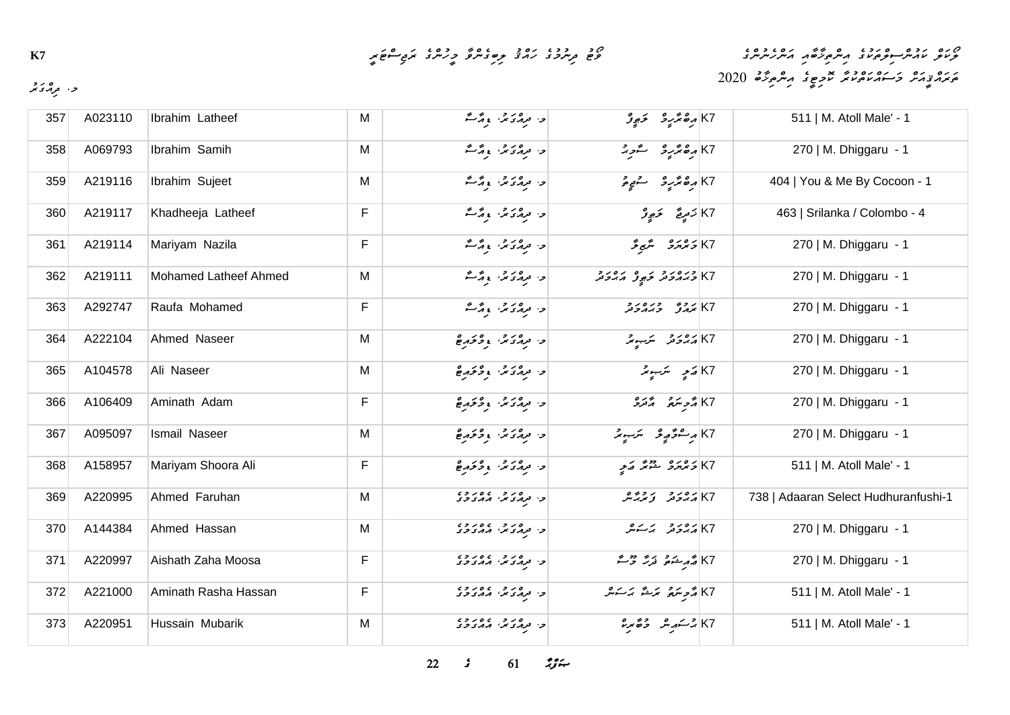*sCw7q7s5w7m< o<n9nOoAw7o< sCq;mAwBoEw7q<m; wBm;vB* م من المرة المرة المرة المرجع المرجع في المركبة 2020<br>مجم*د المريض المربوط المربع المرجع في المراجع المركبة* 

| 357 | A023110 | Ibrahim Latheef              | M           | د. مرمزی و مرگ                              | K7 <sub>م</sub> ەنگەپ <sup>ى</sup> خېرى                                                              | 511   M. Atoll Male' - 1             |
|-----|---------|------------------------------|-------------|---------------------------------------------|------------------------------------------------------------------------------------------------------|--------------------------------------|
| 358 | A069793 | Ibrahim Samih                | M           | د. م <i>ره د تنگ</i> ۽ هُڻگ                 | K7 رەئزى <sub>ر</sub> و ش <sub>ۈ</sub> ر                                                             | 270   M. Dhiggaru - 1                |
| 359 | A219116 | Ibrahim Sujeet               | M           | د. مرمزی و محمد م                           | K7 مەھەر بەر ئەلبى قىلىش كىلىماتى ئالىرى ئالىرى ئالىرى ئالىرى ئالىرى ئالىرى كىلەن ئالىرى ئالىرى ئالا | 404   You & Me By Cocoon - 1         |
| 360 | A219117 | Khadheeja Latheef            | $\mathsf F$ | د. مرمزی و محمد م                           | K7 كَ <sup>و</sup> ِيعٌ - كَ <sup>م</sup> ِيوثٌ                                                      | 463   Srilanka / Colombo - 4         |
| 361 | A219114 | Mariyam Nazila               | F           | د. مرمزی و مرگ                              | K7 ئ <i>ۇيۇدۇ بىگ</i> ې ئ <sup>ۇ</sup>                                                               | 270   M. Dhiggaru - 1                |
| 362 | A219111 | <b>Mohamed Latheef Ahmed</b> | M           | د. مرد د د کار ش                            | K7 دېممرد <sub>کبي</sub> و ټرونر                                                                     | 270   M. Dhiggaru - 1                |
| 363 | A292747 | Raufa Mohamed                | F           | د. مرد دند، و ژگ                            | K7 يَرْ <i>دُوْ جَدُودُو</i> ر                                                                       | 270   M. Dhiggaru - 1                |
| 364 | A222104 | Ahmed Naseer                 | M           | و مرد د د و و و د                           | K7 <i>مەدە</i> مەسىر                                                                                 | 270   M. Dhiggaru - 1                |
| 365 | A104578 | Ali Naseer                   | M           | و مردوس وو وره                              | K7 <i>ھَ۔ پہ مَہوم</i> ڈ                                                                             | 270   M. Dhiggaru - 1                |
| 366 | A106409 | Aminath Adam                 | F           | د مرد د د و و در ه                          | K7 مُحْرِسَمُ مُحَرِّدٌ                                                                              | 270   M. Dhiggaru - 1                |
| 367 | A095097 | Ismail Naseer                | M           | و مهدى ، وكرم                               | K7 <sub>م</sub> رىئى <i>م ئەرىپى</i> مىتى ئىستىمىتى كىل                                              | 270   M. Dhiggaru - 1                |
| 368 | A158957 | Mariyam Shoora Ali           | F           | و مرمى ، و و د مو                           | K7 كا <i>تروري سيمبر كمامي</i>                                                                       | 511   M. Atoll Male' - 1             |
| 369 | A220995 | Ahmed Faruhan                | M           | ه دره عدده<br>د ترمرد بر ممدوره             | K7 <i>ړې د وی</i> په                                                                                 | 738   Adaaran Select Hudhuranfushi-1 |
| 370 | A144384 | Ahmed Hassan                 | M           | ه به در ۲۵۷۵۶<br>د ترمرد بر ممروری          | K7 كەبروتى كەسكەش                                                                                    | 270   M. Dhiggaru - 1                |
| 371 | A220997 | Aishath Zaha Moosa           | F           | د. درمرد عمر ده در د                        | K7 مُەم شەھ نىرگ تۆگ                                                                                 | 270   M. Dhiggaru - 1                |
| 372 | A221000 | Aminath Rasha Hassan         | F           |                                             | K7 مَّ <i>جِ سَعْهِ بَرَ</i> ــَّةَ بَرَــَـدَّرَ                                                    | 511   M. Atoll Male' - 1             |
| 373 | A220951 | Hussain Mubarik              | M           | و· ترمرد عمر عمد د ع<br>ح· ترمرد عرا مصر حر | K7 يُرْسَمْ بِيرْ وَصَّعِرْ لَا                                                                      | 511   M. Atoll Male' - 1             |

 $22$  *s* 61  $23$   $\div$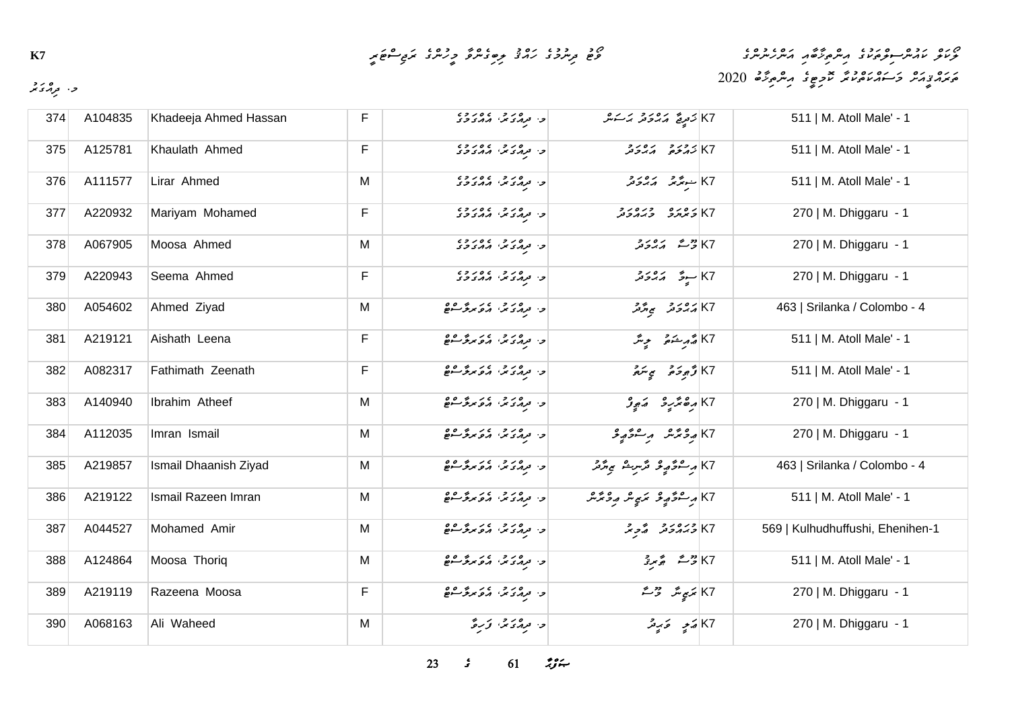*sCw7q7s5w7m< o<n9nOoAw7o< sCq;mAwBoEw7q<m; wBm;vB 2020<sup>, م</sup>وجدة المصرورة المجموعة المستورجة والم*جموعة والمجموعة والمجموعة والمجموعة والمجموعة والمجموعة والمجموعة

| 374 | A104835 | Khadeeja Ahmed Hassan | F | و· ترمرو عمر ده دوه<br>د ترمروس ممدورو | K7 دَىرِيَّ كەردە كەسكىل                 | 511   M. Atoll Male' - 1         |
|-----|---------|-----------------------|---|----------------------------------------|------------------------------------------|----------------------------------|
| 375 | A125781 | Khaulath Ahmed        | F | و· ترمرو عمرو و ع                      | K7 زورو بره رو                           | 511   M. Atoll Male' - 1         |
| 376 | A111577 | Lirar Ahmed           | M | ه مرد و وروه<br>د مرد د برا            | K7 ښ <i>ونگر پر دی</i> وته               | 511   M. Atoll Male' - 1         |
| 377 | A220932 | Mariyam Mohamed       | F | כי ממציתי החגבה<br>כי ממציתי ההגבה     | K7 كويرو وبرورو                          | 270   M. Dhiggaru - 1            |
| 378 | A067905 | Moosa Ahmed           | M | ه مردی بر ۱۵۷۰<br>مسجد برای برابردی    | K7 پیشه پرورو                            | 270   M. Dhiggaru - 1            |
| 379 | A220943 | Seema Ahmed           | F | ه مرد عمر ده ده.<br>د مهدي مه دوي      | K7 بے پر <i>م</i> کومر                   | 270   M. Dhiggaru - 1            |
| 380 | A054602 | Ahmed Ziyad           | M | و مرد د د د و ده                       | K7 كەشكەقىر ب <i>ې</i> رگەتمە            | 463   Srilanka / Colombo - 4     |
| 381 | A219121 | Aishath Leena         | F | والمجرد والمحادث والمحمد والمحافظ      | K7 مُەمشەم م <sub>و</sub> مگر            | 511   M. Atoll Male' - 1         |
| 382 | A082317 | Fathimath Zeenath     | F | و مرد و عرض وه                         | K7 زَّەھْ ئې ئىھ                         | 511   M. Atoll Male' - 1         |
| 383 | A140940 | Ibrahim Atheef        | M | و مرد و عرض وه                         | K7 مەھەر ئەھ كەم <u>و</u> ر              | 270   M. Dhiggaru - 1            |
| 384 | A112035 | Imran Ismail          | M | و برمری برابر مرکز کرده                | K7 مەمگىر مەش <i>ۇم</i> ۇ                | 270   M. Dhiggaru - 1            |
| 385 | A219857 | Ismail Dhaanish Ziyad | M | و برمری برابر مرکز کرده                | K7 مِــْدَّمِيْدْ مَرَّسِـْ بِمِتَرْمَرْ | 463   Srilanka / Colombo - 4     |
| 386 | A219122 | Ismail Razeen Imran   | M | و برد و عدد و ه                        | K7 مەشگەپ ئىككى مەھەر بىر                | 511   M. Atoll Male' - 1         |
| 387 | A044527 | Mohamed Amir          | M | و برمان مار و ده                       | K7 <i>جەنگە جۇ ھ</i> ۇمگ                 | 569   Kulhudhuffushi, Ehenihen-1 |
| 388 | A124864 | Moosa Thoriq          | M | و برماد و عام و وه                     | K7 تۇيىم قېمى <i>رىتى</i>                | 511   M. Atoll Male' - 1         |
| 389 | A219119 | Razeena Moosa         | F | و مرد و عرض وه                         | K7 بَرَبِي مَرَ 2°بَّ                    | 270   M. Dhiggaru - 1            |
| 390 | A068163 | Ali Waheed            | M | والمجمده وكالمراكض                     | K7  رَمِ وَرِيْرٌ                        | 270   M. Dhiggaru - 1            |

 $23$  *s* 61 *if***<sub>s</sub>**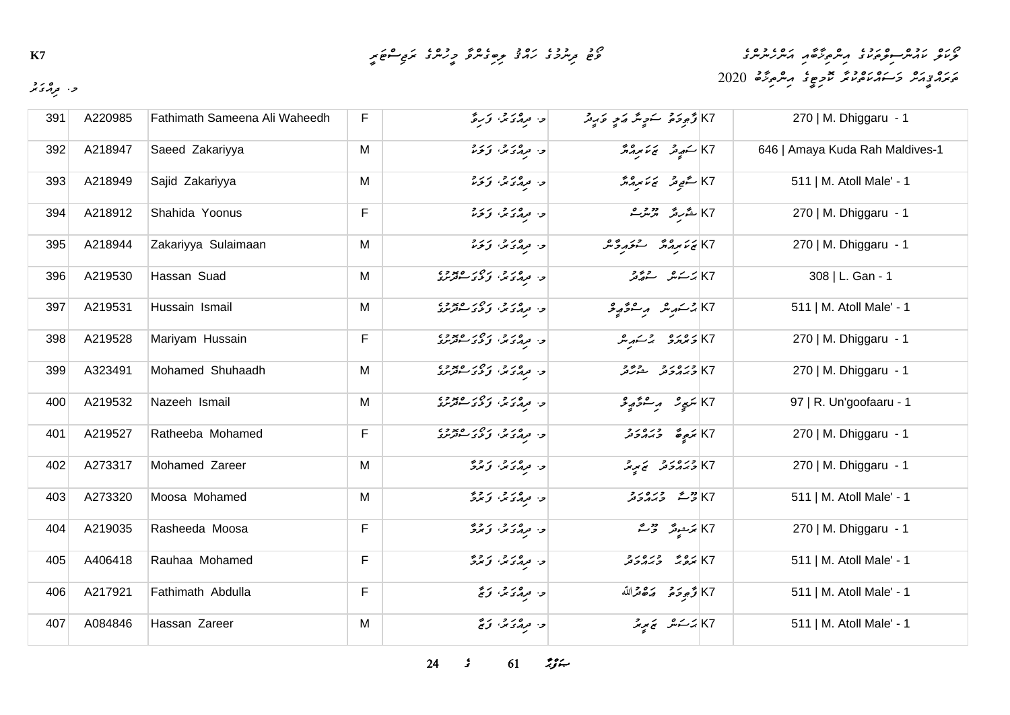*sCw7q7s5w7m< o<n9nOoAw7o< sCq;mAwBoEw7q<m; wBm;vB* م من المرة المرة المرة المرجع المرجع في المركبة 2020<br>مجم*د المريض المربوط المربع المرجع في المراجع المركبة* 

| 391 | A220985 | Fathimath Sameena Ali Waheedh | F | وا فره د تمر کورنگ                                  | K7 ژ <sub>جو</sub> دَمْ سَوِيٹر مَرْمٍ وَب <sub>رِ</sub> تْر | 270   M. Dhiggaru - 1           |
|-----|---------|-------------------------------|---|-----------------------------------------------------|--------------------------------------------------------------|---------------------------------|
| 392 | A218947 | Saeed Zakariyya               | M | و مرد دی. ترت                                       | K7 سَم <i>وِيْرْ تم تَأْمِيدْهُ</i> رَّ                      | 646   Amaya Kuda Rah Maldives-1 |
| 393 | A218949 | Sajid Zakariyya               | M | والمتهمات وكالمرد                                   | K7 سَمَّوِيْرٌ نَجْ مَعْ مَعْرَضَّةً                         | 511   M. Atoll Male' - 1        |
| 394 | A218912 | Shahida Yoonus                | F | و مرد وی کرد و                                      | K7 شوبەتر مەشرىب                                             | 270   M. Dhiggaru - 1           |
| 395 | A218944 | Zakariyya Sulaimaan           | M | و مرد دی. ژود                                       | K7 ئ <i>ے ئا بىرە ئۇ ئىسى ئىمرى ئى</i> ر                     | 270   M. Dhiggaru - 1           |
| 396 | A219530 | Hassan Suad                   | M | و به ورو بره بر ويو و ،<br>و به وي بن تونوي سيمبرس  | K7 پرسٹر سے پڑھر                                             | 308   L. Gan - 1                |
| 397 | A219531 | Hussain Ismail                | M | و برورو بره بر ويووه<br>و بروري بر ويور سيتربرد     | K7  پرستمبر شریح میڈر<br> -                                  | 511   M. Atoll Male' - 1        |
| 398 | A219528 | Mariyam Hussain               | F | و به ورو بره بر ويدو ۽<br>و بهري تر ونوي سنتر بري   | K7 كەبەر بىر ئەسەر بىر                                       | 270   M. Dhiggaru - 1           |
| 399 | A323491 | Mohamed Shuhaadh              | M | و برور و ده د ه پروه<br>و برورس ولاد سترس           | K7 <i>وبروبو هيمر شور ش</i>                                  | 270   M. Dhiggaru - 1           |
| 400 | A219532 | Nazeeh Ismail                 | M | و به ورو بره بر ويو و ،<br>و به وي بن تونو ي سيتمرس | K7 ىنب <i>ې</i> ر مەش <i>ۇم</i> ۇ                            | 97   R. Un'goofaaru - 1         |
| 401 | A219527 | Ratheeba Mohamed              | F | و به ورو بره بر ويو و ،<br>و به وي بن تونو ي سيتمرس | K7 <i>بَرْمِ ھُ - 3، دو د</i>                                | 270   M. Dhiggaru - 1           |
| 402 | A273317 | Mohamed Zareer                | M | و مرد در و دو                                       | K7 <i>\$2,22 بي بريز</i>                                     | 270   M. Dhiggaru - 1           |
| 403 | A273320 | Moosa Mohamed                 | M | و مرد و د و د                                       | K7 ژئے دی۔ در                                                | 511   M. Atoll Male' - 1        |
| 404 | A219035 | Rasheeda Moosa                | F | و مرد وی و دو                                       | K7 بَرَحْبِوَرُ 2°بُّ                                        | 270   M. Dhiggaru - 1           |
| 405 | A406418 | Rauhaa Mohamed                | F | والمجمدي ومروح                                      | K7 تره په دره د د                                            | 511   M. Atoll Male' - 1        |
| 406 | A217921 | Fathimath Abdulla             | F | و مرد ده کامخ                                       | K7 <i>وَّجِيحَة مَنْ هُدَ</i> اللّه                          | 511   M. Atoll Male' - 1        |
| 407 | A084846 | Hassan Zareer                 | M | و٠ قرەرى تونج                                       | K7   پرسترېنه کامپریټر                                       | 511   M. Atoll Male' - 1        |

 $24$  *s* 61 *if*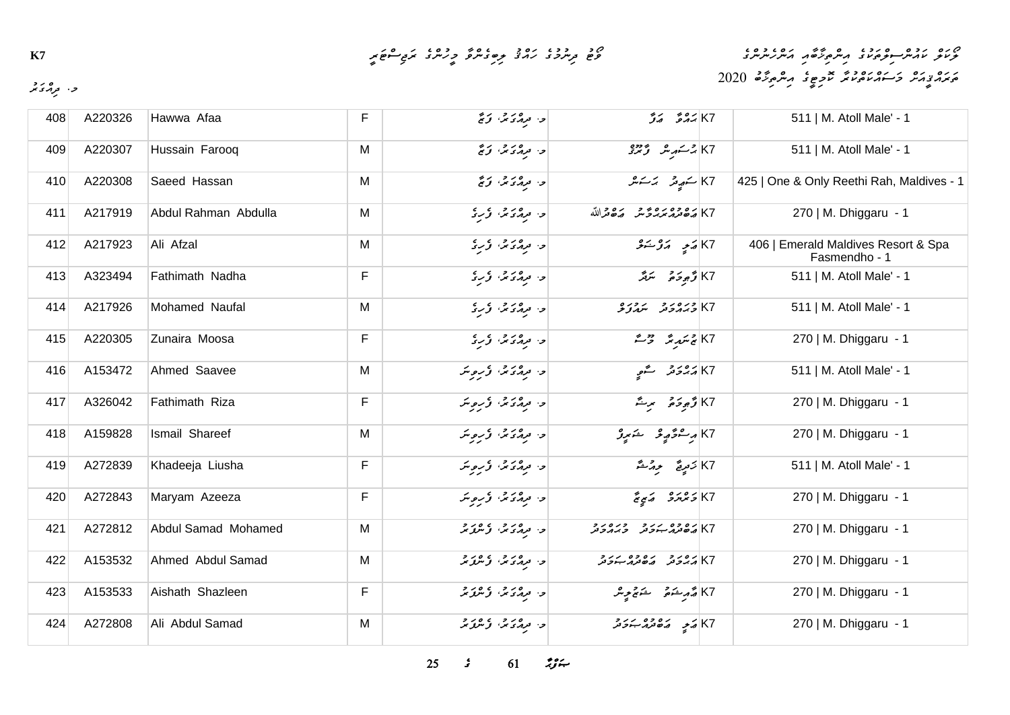*sCw7q7s5w7m< o<n9nOoAw7o< sCq;mAwBoEw7q<m; wBm;vB* م من المرة المرة المرة المرجع المرجع في المركبة 2020<br>مجم*د المريض المربوط المربع المرجع في المراجع المركبة* 

| 408 | A220326 | Hawwa Afaa                 | F | و بروری وَنَج       | $\begin{array}{cc} \mathcal{J}_{\mathcal{A}} & \mathcal{J}_{\mathcal{A}} \mathcal{L} \end{array} K7$ | 511   M. Atoll Male' - 1                             |
|-----|---------|----------------------------|---|---------------------|------------------------------------------------------------------------------------------------------|------------------------------------------------------|
| 409 | A220307 | Hussain Farooq             | M | و مرد دی. وَیَ      | K7 پرسے ہر میں محتمد تھا۔<br>K7                                                                      | 511   M. Atoll Male' - 1                             |
| 410 | A220308 | Saeed Hassan               | M | و مردوس ترج         | K7  سەرپىق   پرسىسى                                                                                  | 425   One & Only Reethi Rah, Maldives - 1            |
| 411 | A217919 | Abdul Rahman Abdulla       | M | و بروژنر، ژبر       | K7 رُەممەر ئەھمە بەھمەللە                                                                            | 270   M. Dhiggaru - 1                                |
| 412 | A217923 | Ali Afzal                  | M | و . مره د تمر کور د | K7 <i>جَرِي پَرُوْ شَرُّ</i>                                                                         | 406   Emerald Maldives Resort & Spa<br>Fasmendho - 1 |
| 413 | A323494 | Fathimath Nadha            | F | و . مره د تمر کور د | K7 <i>وَّج</i> وحَمْ سَمَّتَر                                                                        | 511   M. Atoll Male' - 1                             |
| 414 | A217926 | Mohamed Naufal             | M | و . مره د تمر کور د | K7 دېږدو شمه دي.                                                                                     | 511   M. Atoll Male' - 1                             |
| 415 | A220305 | Zunaira Moosa              | F | و مرد دی. کرد       | K7 نج سَمبر بمَثَ حَقَّ مُتَّ                                                                        | 270   M. Dhiggaru - 1                                |
| 416 | A153472 | Ahmed Saavee               | M | و مرد دی. ژبرویتر   | K7   پر بر بح گرمي سگرمي                                                                             | 511   M. Atoll Male' - 1                             |
| 417 | A326042 | Fathimath Riza             | F | و مهدی تر کورونتر   | K7 وَّجِوَدَةٌ مِنْ شَ                                                                               | 270   M. Dhiggaru - 1                                |
| 418 | A159828 | Ismail Shareef             | M | و مرد دی. ژبره ش    | K7 <sub>م</sub> رےدو پو شکر و                                                                        | 270   M. Dhiggaru - 1                                |
| 419 | A272839 | Khadeeja Liusha            | F | و مرد دی. ژبرویتر   | K7 كَعرِيحٌ مِيرُحَدٌ                                                                                | 511   M. Atoll Male' - 1                             |
| 420 | A272843 | Maryam Azeeza              | F | و مرد د د کارونک    | K7 <i>جَهْدَدْ مَيِّ</i>                                                                             | 270   M. Dhiggaru - 1                                |
| 421 | A272812 | <b>Abdul Samad Mohamed</b> | M | و بردوس وعدد        | K7 رە دە بەر د دېرەر د                                                                               | 270   M. Dhiggaru - 1                                |
| 422 | A153532 | Ahmed Abdul Samad          | M | ه مهروس و مرد       | K7 رور د موده برر د                                                                                  | 270   M. Dhiggaru - 1                                |
| 423 | A153533 | Aishath Shazleen           | F | و بردوس وعدد        | K7 مەم ئىكىم ئىكەنچە ئويىر                                                                           | 270   M. Dhiggaru - 1                                |
| 424 | A272808 | Ali Abdul Samad            | M | و مرد در و عرد و    | K7 كمبر كەھەركە بەرد                                                                                 | 270   M. Dhiggaru - 1                                |

 $25$  *s* 61 *if*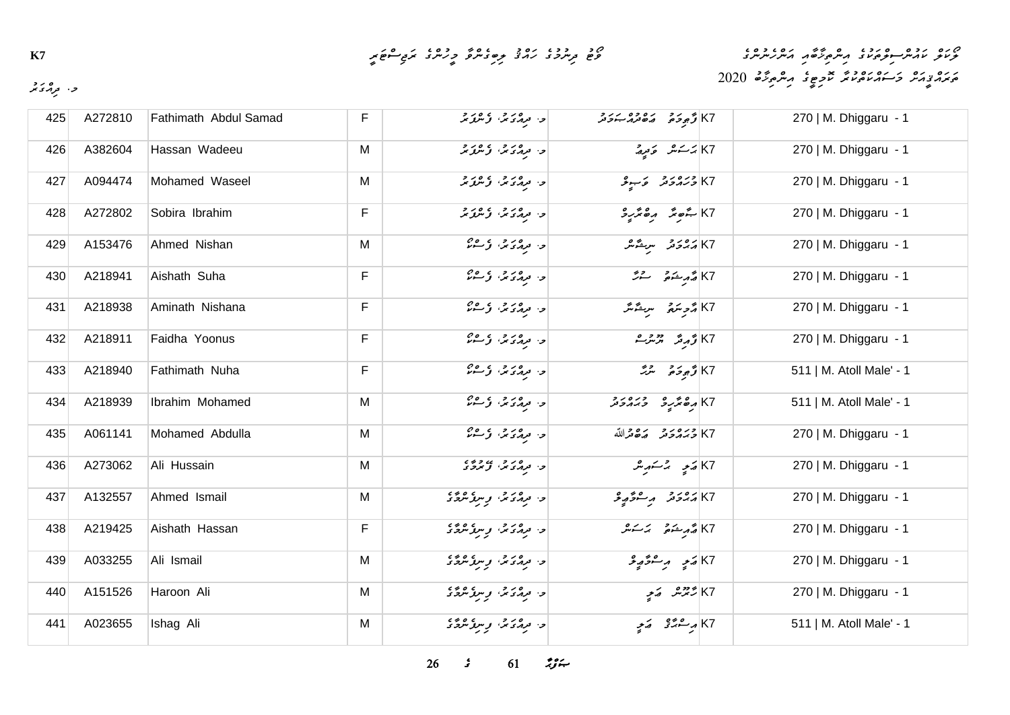*sCw7q7s5w7m< o<n9nOoAw7o< sCq;mAwBoEw7q<m; wBm;vB* م من المرة المرة المرة المرجع المرجع في المركبة 2020<br>مجم*د المريض المربوط المربع المرجع في المراجع المركبة* 

| 425 | A272810 | Fathimath Abdul Samad | F | أوا فرم وتمر وتحسن محمد        | K7 ژ <sub>نج ج</sub> ړه ده مرد د               | 270   M. Dhiggaru - 1    |
|-----|---------|-----------------------|---|--------------------------------|------------------------------------------------|--------------------------|
| 426 | A382604 | Hassan Wadeeu         | M | أوا فيهرئ مي والمعرفة          | K7 بَرْسَة مَّة وَمِيهُ                        | 270   M. Dhiggaru - 1    |
| 427 | A094474 | Mohamed Waseel        | M | أوا فيمكن فما والمحامد والمحمد | K7 <i>وُرَوْدُو وَجِ</i> وْ                    | 270   M. Dhiggaru - 1    |
| 428 | A272802 | Sobira Ibrahim        | F | و مهدى مى مەر د                | K7 بەھ ئەرھەئرى <sub>ي</sub><br>*              | 270   M. Dhiggaru - 1    |
| 429 | A153476 | Ahmed Nishan          | M | ه مرد در و مشر                 | K7 <i>ړې دی.</i> سرچی کل                       | 270   M. Dhiggaru - 1    |
| 430 | A218941 | Aishath Suha          | F | د. مرد در و و م                | K7 مۇم شوم ئىسىمىسىتىسى كىلىك                  | 270   M. Dhiggaru - 1    |
| 431 | A218938 | Aminath Nishana       | F | د. مرد د بر و م                | K7 مَّ حِ سَمَّة مِّ سِشَمَّدَ                 | 270   M. Dhiggaru - 1    |
| 432 | A218911 | Faidha Yoonus         | F | ه مرد در و ده                  | K7 تۇم <sub>ە</sub> ش مەمىرىشە                 | 270   M. Dhiggaru - 1    |
| 433 | A218940 | Fathimath Nuha        | F | و· مِرەرى كۆسىما               | K7 وَّج <i>وح</i> و مَرْرً                     | 511   M. Atoll Male' - 1 |
| 434 | A218939 | Ibrahim Mohamed       | M | ه مرد در و مره                 | K7 مەمگرى ئەممەدىر                             | 511   M. Atoll Male' - 1 |
| 435 | A061141 | Mohamed Abdulla       | M | ه مرد دي و مه                  | K7 ويروبو حك محمدالله                          | 270   M. Dhiggaru - 1    |
| 436 | A273062 | Ali Hussain           | M | و. مردرو عادوه                 | K7 <i>ڇَجِي پُٽمبريئر</i>                      | 270   M. Dhiggaru - 1    |
| 437 | A132557 | Ahmed Ismail          | M | و· مرمونه وسومعده              | K7 كەبرى قىر مەش <i>ۇر ب</i> ۇ                 | 270   M. Dhiggaru - 1    |
| 438 | A219425 | Aishath Hassan        | F | و· مردوبر؛ وسومبرده            | K7 <i>ھي ھڪو پرڪيش</i>                         | 270   M. Dhiggaru - 1    |
| 439 | A033255 | Ali Ismail            | M | د. درمری و سرگامده ک           | K7 <sub>ھ</sub> َ جِس مِسْءُ مَ <sub>ھ</sub> و | 270   M. Dhiggaru - 1    |
| 440 | A151526 | Haroon Ali            | M | و مرد د د مرکبرده              | K7 رَحَمَدْ مَ <sub>ح</sub> ِ                  | 270   M. Dhiggaru - 1    |
| 441 | A023655 | Ishag Ali             | M | د. مرمز نما به مرکز مرگزی      | K7 <sub>م</sub> رشر <i>نی م</i> َی             | 511   M. Atoll Male' - 1 |

 $26$  *s*  $61$  *z***<sub>3</sub>** $25$ **</sub>**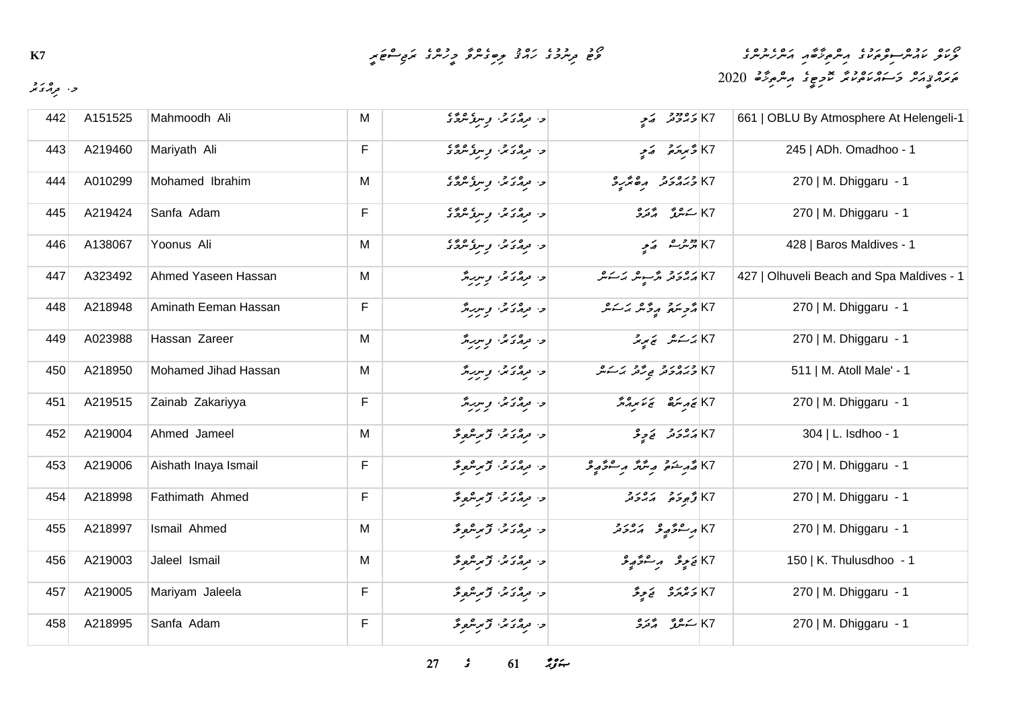*sCw7q7s5w7m< o<n9nOoAw7o< sCq;mAwBoEw7q<m; wBm;vB* م من المرة المرة المرة المرجع المرجع في المركبة 2020<br>مجم*د المريض المربوط المربع المرجع في المراجع المركبة* 

| 442 | A151525 | Mahmoodh Ali         | M | د· مرړۍ تر، وسرگرڅونه       | K7  <i>525 مگ</i> و                         | 661   OBLU By Atmosphere At Helengeli-1   |
|-----|---------|----------------------|---|-----------------------------|---------------------------------------------|-------------------------------------------|
| 443 | A219460 | Mariyath Ali         | F | د. مهدرس: وسرو مرد د        | K7 <i>وُمبرمَرْهُ مَ</i> حِرِ               | 245   ADh. Omadhoo - 1                    |
| 444 | A010299 | Mohamed Ibrahim      | M | و مهدی پر سرو و ده          | K7 <i>جُهُدُو دَ" مِرْهُ بَرْدِ</i>         | 270   M. Dhiggaru - 1                     |
| 445 | A219424 | Sanfa Adam           | F | و مردومي وسره وده           | K7 سەندىۋ م <sup>ە</sup> ترى                | 270   M. Dhiggaru - 1                     |
| 446 | A138067 | Yoonus Ali           | M | و مرد دي وسر ۱۶۵۰           | K7 ټرين ځې په                               | 428   Baros Maldives - 1                  |
| 447 | A323492 | Ahmed Yaseen Hassan  | M | د· مرد د تر، و سربار گ      | K7 كەندى قرىسوسى ئەس <i>ت</i> ىش            | 427   Olhuveli Beach and Spa Maldives - 1 |
| 448 | A218948 | Aminath Eeman Hassan | F | و- فره د محمد و سربره گ     | K7 مٌحِ سَمَعٌ بِرِحٌسٌ بَرَ سَسَرٌ         | 270   M. Dhiggaru - 1                     |
| 449 | A023988 | Hassan Zareer        | M | د. مەدكەت مەسرىد            | K7   پرسترېن ئ <sub>م تم</sub> ريز          | 270   M. Dhiggaru - 1                     |
| 450 | A218950 | Mohamed Jihad Hassan | M | د مهدی چی و سربه گ          | K7 دُيَرُودَ <sub>فِر</sub> ِدَّرَ بَرَسَسْ | 511   M. Atoll Male' - 1                  |
| 451 | A219515 | Zainab Zakariyya     | F | و- فره کامل، و سرباه        | K7 <i>تجم<sup>م متر</sup>قع تأسيم م</i> تر  | 270   M. Dhiggaru - 1                     |
| 452 | A219004 | Ahmed Jameel         | M | د مردد و بورشون             | K7 كەنزى كى يەر ئى                          | 304   L. Isdhoo - 1                       |
| 453 | A219006 | Aishath Inaya Ismail | F | د مردد د تورشون             | K7 مۇم شەھ مەسىر مەسىر ئەربىر ئى            | 270   M. Dhiggaru - 1                     |
| 454 | A218998 | Fathimath Ahmed      | F | د مرد ديم تر مر شرو څ       | K7 <i>وُّهِ وَمَعْ مَدُونَدْ</i>            | 270   M. Dhiggaru - 1                     |
| 455 | A218997 | <b>Ismail Ahmed</b>  | M | د مرد ديم تر مر شرو ځ       | K7 <sub>م</sub> رےد <i>ۇ يەھەدە</i>         | 270   M. Dhiggaru - 1                     |
| 456 | A219003 | Jaleel Ismail        | M | د مرد ديم تر مر شره گر      | K7 ئ <sub>ے تو</sub> ثر پر شو <i>گہ</i> و   | 150   K. Thulusdhoo - 1                   |
| 457 | A219005 | Mariyam Jaleela      | F | د مرد ديد تر مر شرورتگر     | K7 وَيُرْبَرُوْ ۖ يَ <sub>جُ</sub> وِدُّ    | 270   M. Dhiggaru - 1                     |
| 458 | A218995 | Sanfa Adam           | F | و مرد دي محمد شهر محمد الله | K7 سەمبىر ئەمرىئە                           | 270   M. Dhiggaru - 1                     |

 $27$  *s* 61  $29$   $\leftarrow$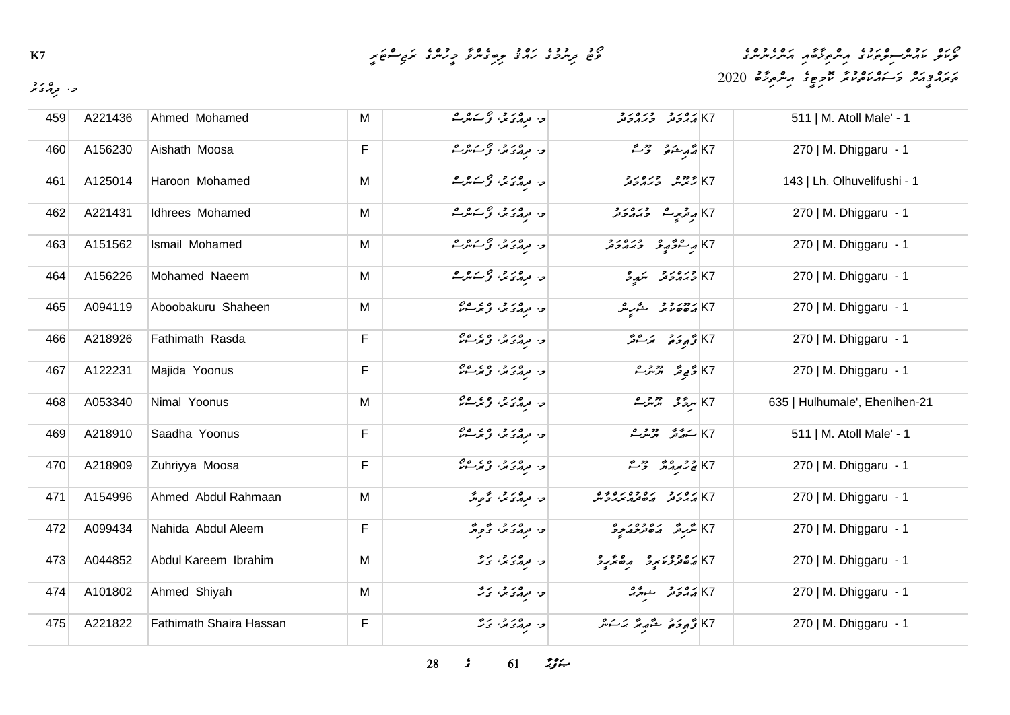*sCw7q7s5w7m< o<n9nOoAw7o< sCq;mAwBoEw7q<m; wBm;vB* م من المرة المرة المرة المرجع المرجع في المركبة 2020<br>مجم*د المريض المربوط المربع المرجع في المراجع المركبة* 

| 459 | A221436 | Ahmed Mohamed           | M | و مهدرس کو شهر شور                        | K7 ג׳כנק כג'קכנק                                                                                              | 511   M. Atoll Male' - 1      |
|-----|---------|-------------------------|---|-------------------------------------------|---------------------------------------------------------------------------------------------------------------|-------------------------------|
| 460 | A156230 | Aishath Moosa           | F | د برمړي کې شرکت ک                         | K7 گەرىش <i>ەۋ</i> قر <sup>م</sup> گە                                                                         | 270   M. Dhiggaru - 1         |
| 461 | A125014 | Haroon Mohamed          | M | د· مهدر در هم کرده می                     | K7 رُيمر به دره د د                                                                                           | 143   Lh. Olhuvelifushi - 1   |
| 462 | A221431 | Idhrees Mohamed         | M | د پروری کی کنگرے                          | K7 موٹر موٹر میں مقدم تھا<br>K7                                                                               | 270   M. Dhiggaru - 1         |
| 463 | A151562 | <b>Ismail Mohamed</b>   | M | د. مەدىر ئەسكەن قى                        | K7 <sub>م</sub> ِ سْرَ <sub>ّدَ م</sub> ِ وَيَرْمُ وَيْدَ                                                     | 270   M. Dhiggaru - 1         |
| 464 | A156226 | Mohamed Naeem           | M | و مهدر در هم کر کرده ک                    | K7  <i>3223 سَمِي</i> و                                                                                       | 270   M. Dhiggaru - 1         |
| 465 | A094119 | Aboobakuru Shaheen      | M | و مرد و و وه وه                           | K7 رود و حسن شرید                                                                                             | 270   M. Dhiggaru - 1         |
| 466 | A218926 | Fathimath Rasda         | F | و مرد د و و و ه و ه                       | K7 <i>وَّجِوَدَهُ</i> تَرَسُّعَتَرُ                                                                           | 270   M. Dhiggaru - 1         |
| 467 | A122231 | Majida Yoonus           | F | و مردوس وبرس                              | K7 دُّجِيرٌ مُرْسْرٌ —                                                                                        | 270   M. Dhiggaru - 1         |
| 468 | A053340 | Nimal Yoonus            | M | و مردوس وبرگ                              | K7 سرگە ئۇ تەشرىسە                                                                                            | 635   Hulhumale', Ehenihen-21 |
| 469 | A218910 | Saadha Yoonus           | F | ه مرد در و ده م                           | K7 سَرَوْتَرَ بِرَتْتَرَبَّتْهِ                                                                               | 511   M. Atoll Male' - 1      |
| 470 | A218909 | Zuhriyya Moosa          | F | و . مرد و و و و و ه<br>و . مرد و بر بر سر | 23 32 11                                                                                                      | 270   M. Dhiggaru - 1         |
| 471 | A154996 | Ahmed Abdul Rahmaan     | M | و مرد در و وگر                            | K7 ג <i>و د و د وو د و و و</i>                                                                                | 270   M. Dhiggaru - 1         |
| 472 | A099434 | Nahida Abdul Aleem      | F | و مرد دی. د و تر                          | K7 تَ <i>مْرِيمُ - مُقْعَرْ مُدَّوِدُ</i>                                                                     | 270   M. Dhiggaru - 1         |
| 473 | A044852 | Abdul Kareem Ibrahim    | M | و مرد دی. د ژ                             | K7 בֿ <i>י 1929 בֿ مەھىرد</i> ۇ                                                                               | 270   M. Dhiggaru - 1         |
| 474 | A101802 | Ahmed Shiyah            | M | د مرد دی. در                              | K7 كەبرى ئىر ئىشلىر ئىشلار بىر ئىستىلار ئىستىلار ئىستىلار ئىستىلار ئىستىلار ئىستىلار ئىستىلار ئىستىلار ئىستىل | 270   M. Dhiggaru - 1         |
| 475 | A221822 | Fathimath Shaira Hassan | F | د مرد دی. در                              | K7 <i>وَّەودَە خۇم</i> بۇ ئەس <i>ە</i> ش                                                                      | 270   M. Dhiggaru - 1         |

 $28$  *s* 61 *if*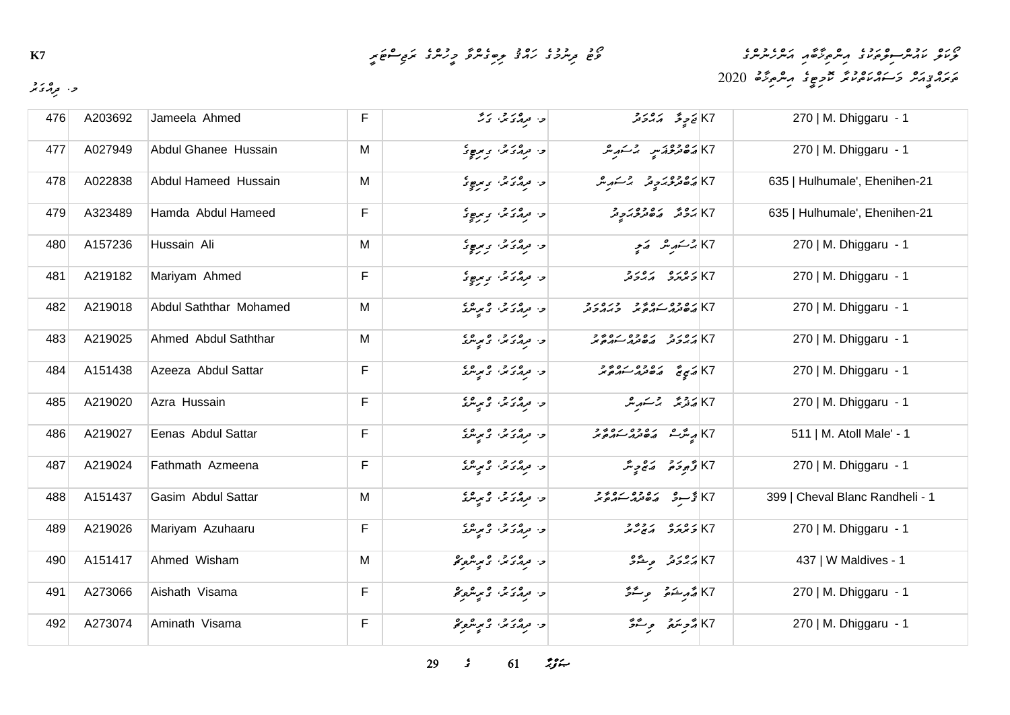*sCw7q7s5w7m< o<n9nOoAw7o< sCq;mAwBoEw7q<m; wBm;vB* م من المرة المرة المرة المرجع المرجع في المركبة 2020<br>مجم*د المريض المربوط المربع المرجع في المراجع المركبة* 

| 476 | A203692 | Jameela Ahmed          | $\mathsf F$ | و بروری دی             | K7 كۆرگە كەش <sup>ى</sup> كەنتىر                                                                     | 270   M. Dhiggaru - 1           |
|-----|---------|------------------------|-------------|------------------------|------------------------------------------------------------------------------------------------------|---------------------------------|
| 477 | A027949 | Abdul Ghanee Hussain   | M           | د مرد دی. و مرج د      | K7 كەھىر <i>گەنزىيە جىسكىر</i> ىگر                                                                   | 270   M. Dhiggaru - 1           |
| 478 | A022838 | Abdul Hameed Hussain   | M           | و. مرد د تر او مرج د   | K7 <i>مەھەر 3- بولىرىش</i>                                                                           | 635   Hulhumale', Ehenihen-21   |
| 479 | A323489 | Hamda Abdul Hameed     | F           | و مرد و د و مرج د      | K7 גُوْتَرُ مَەمْر <i>وْبَ</i> رِمْ                                                                  | 635   Hulhumale', Ehenihen-21   |
| 480 | A157236 | Hussain Ali            | M           | د. ترمرد تمر، تر مرج د | K7  پرستمبر بھ بچہ ج                                                                                 | 270   M. Dhiggaru - 1           |
| 481 | A219182 | Mariyam Ahmed          | F           | د مرد د کرد و مرج ک    | K7 <i>څغه ده</i> په مخت                                                                              | 270   M. Dhiggaru - 1           |
| 482 | A219018 | Abdul Saththar Mohamed | M           | د. مهدی شي محمد شر     | K7 كەھەرمەم دەم دەرد                                                                                 | 270   M. Dhiggaru - 1           |
| 483 | A219025 | Ahmed Abdul Saththar   | M           | و مهرو و و ده و        | K7 زورو رووه رودو                                                                                    | 270   M. Dhiggaru - 1           |
| 484 | A151438 | Azeeza Abdul Sattar    | E           | و. مهروسي، ومرسى       | K7 كۈي كەھەركە مەمەردىن كىيەتقىرى كىيەتقىر كىيەتقىر كىيەتقىر كىيەتقىر كىيەتقىر كىيەتقىر كىيەتقىر كىي | 270   M. Dhiggaru - 1           |
| 485 | A219020 | Azra Hussain           | F           | د. مهدى مى كەمپىر      | K7 كەنترىتى بەيرىتىر                                                                                 | 270   M. Dhiggaru - 1           |
| 486 | A219027 | Eenas Abdul Sattar     | F           | د. مهدی شي محمد شر     | K7 <sub>م</sub> ېشت مەھ <i>ىمەتىمى</i> دە                                                            | 511   M. Atoll Male' - 1        |
| 487 | A219024 | Fathmath Azmeena       | F           | و٠ مردو و مرهو         | K7 <i>وَّجِودَة مَعْ جِسَّ</i> ر                                                                     | 270   M. Dhiggaru - 1           |
| 488 | A151437 | Gasim Abdul Sattar     | M           | و. مهری نمی می میرس    | K7 تخ سو مى ھەرم مەدە بو                                                                             | 399   Cheval Blanc Randheli - 1 |
| 489 | A219026 | Mariyam Azuhaaru       | F           | و مردوس ومرد           | K7 كەيمەر 2 مەم بىرىم                                                                                | 270   M. Dhiggaru - 1           |
| 490 | A151417 | Ahmed Wisham           | M           | و مردوس ومرهوم         | K7   كەبۇ <i>جى قى</i> مىگەنى                                                                        | 437   W Maldives - 1            |
| 491 | A273066 | Aishath Visama         | F           | و مرد د د کام مرمود    | K7 مەم شەقىم بورگىۋ                                                                                  | 270   M. Dhiggaru - 1           |
| 492 | A273074 | Aminath Visama         | F           | د مرد د د کمپرس        | K7 مُرْحِسَمُ وِسُمَرَّ                                                                              | 270   M. Dhiggaru - 1           |

 $29$  *s* 61  $29$   $\div$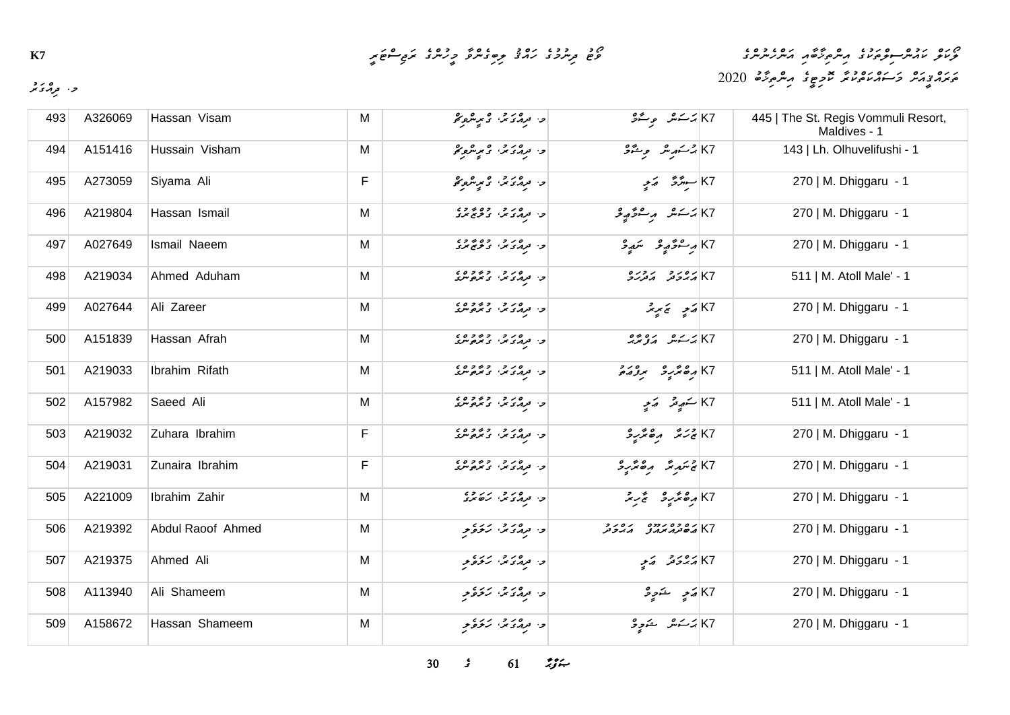*sCw7q7s5w7m< o<n9nOoAw7o< sCq;mAwBoEw7q<m; wBm;vB* م من المرة المرة المرة المرجع المرجع في المركبة 2020<br>مجم*د المريض المربوط المربع المرجع في المراجع المركبة* 

| 493 | A326069 | Hassan Visam      | M | د مرد د د کمپرس                             | K7 بَرَسَة مِنْ مِنْ قَرْ                          | 445   The St. Regis Vommuli Resort,<br>Maldives - 1 |
|-----|---------|-------------------|---|---------------------------------------------|----------------------------------------------------|-----------------------------------------------------|
| 494 | A151416 | Hussain Visham    | M | د. مرد دير، ومرشور                          |                                                    | 143   Lh. Olhuvelifushi - 1                         |
| 495 | A273059 | Siyama Ali        | F | و مردوس ومرهوم                              | K7 سەندى كەمبە                                     | 270   M. Dhiggaru - 1                               |
| 496 | A219804 | Hassan Ismail     | M | ه در در ده وه ده<br>د ترمرد بر د نرم برد    | K7  كەسكەر بەس <sup>ى</sup> دۇرپى                  | 270   M. Dhiggaru - 1                               |
| 497 | A027649 | Ismail Naeem      | M |                                             | K7 م <i>وس<sup>و</sup>د موقت</i> متمد <sup>و</sup> | 270   M. Dhiggaru - 1                               |
| 498 | A219034 | Ahmed Aduham      | M | ه د مرد د د وه وه و<br>د مرد د بر د بروس    | K7 <i>ביביב הבניב</i>                              | 511   M. Atoll Male' - 1                            |
| 499 | A027644 | Ali Zareer        | M | ه د مرد د دوه ده<br>د مرد د بر د بروس       | K7 <i>ھَ۔</i> پچ پر چ                              | 270   M. Dhiggaru - 1                               |
| 500 | A151839 | Hassan Afrah      | M | ه د ورو و و وه و<br>د ورون و نروس           | K7 ئەسەمىر مەرىجە                                  | 270   M. Dhiggaru - 1                               |
| 501 | A219033 | Ibrahim Rifath    | M | ه د مرد د د ده ده ده د<br>د مرد د بر د بروس | K7 مەھ ئۇر ئەر مەد مەد                             | 511   M. Atoll Male' - 1                            |
| 502 | A157982 | Saeed Ali         | M | ه د و د و د وه وه<br>د درمري کاموس          | K7 سک <i>ھی قدم</i> ح                              | 511   M. Atoll Male' - 1                            |
| 503 | A219032 | Zuhara Ibrahim    | F | ه د ورد و دوه و ده<br>د درار د س            | K7 ىن ئەش مەھەرد                                   | 270   M. Dhiggaru - 1                               |
| 504 | A219031 | Zunaira Ibrahim   | F | ه د ورو و و وه و<br>د ورون و نروس           | K7 ىنىدى <i>گە مۇھۇر</i> ۋ                         | 270   M. Dhiggaru - 1                               |
| 505 | A221009 | Ibrahim Zahir     | M | و مردوس کرده                                | K7 مەھ <i>ئۇر</i> ئىچ بىر                          | 270   M. Dhiggaru - 1                               |
| 506 | A219392 | Abdul Raoof Ahmed | M | و مهدى پر رکزوم                             | K7 בסינמים נסנים<br>K7 בשנג בגול גבינ              | 270   M. Dhiggaru - 1                               |
| 507 | A219375 | Ahmed Ali         | M | و مرد د کرو گرو                             | K7 كەندى قىمى كەر                                  | 270   M. Dhiggaru - 1                               |
| 508 | A113940 | Ali Shameem       | M | و مهدى پر رکزوم                             | K7  ر <sub>َمْ</sub> مِ شَرِوْ                     | 270   M. Dhiggaru - 1                               |
| 509 | A158672 | Hassan Shameem    | M | د پروژگر، ژوکوپو                            | K7 بَرَسَسٌ شَر <i>وِ</i> وْ                       | 270   M. Dhiggaru - 1                               |

*30 sC 61 nNw?mS*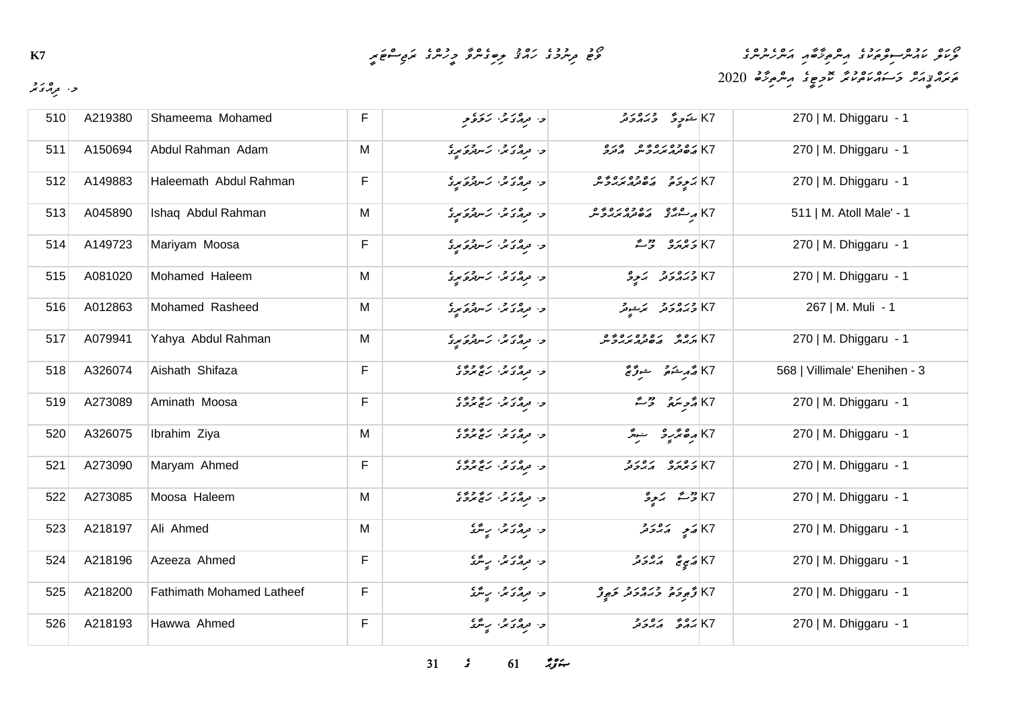*sCw7q7s5w7m< o<n9nOoAw7o< sCq;mAwBoEw7q<m; wBm;vB* م من المرة المرة المرة المرجع المرجع في المركبة 2020<br>مجم*د المريض المربوط المربع المرجع في المراجع المركبة* 

| 510 | A219380 | Shameema Mohamed                 | F            | د· مرد د تر کرد و                                  | K7 خورځ و <i>ډو</i> ونو                                                                              | 270   M. Dhiggaru - 1         |
|-----|---------|----------------------------------|--------------|----------------------------------------------------|------------------------------------------------------------------------------------------------------|-------------------------------|
| 511 | A150694 | Abdul Rahman Adam                | M            | و مردومه که دور د                                  | K7 رە دەرە دە بەرە                                                                                   | 270   M. Dhiggaru - 1         |
| 512 | A149883 | Haleemath Abdul Rahman           | $\mathsf F$  | د. مرد دي. رسيزه مره                               | K7 كرودو بره وه بره وه<br>K7 كرودو مەھەر بربروش                                                      | 270   M. Dhiggaru - 1         |
| 513 | A045890 | Ishaq Abdul Rahman               | M            | و. مهدى من كالمعرض من                              | K7 مەشقىق مەھ مەم مەھ مەدەب                                                                          | 511   M. Atoll Male' - 1      |
| 514 | A149723 | Mariyam Moosa                    | $\mathsf F$  | د. مرد د د. د. مرد در د.                           | K7 دېرو وگ                                                                                           | 270   M. Dhiggaru - 1         |
| 515 | A081020 | Mohamed Haleem                   | M            | و مرد و کردو د                                     | K7 <i>\$22.25 برو</i> و                                                                              | 270   M. Dhiggaru - 1         |
| 516 | A012863 | Mohamed Rasheed                  | M            | و مردو بر کسرگرویزه                                | K7 <i>وُبَرُودَوْ بَرَ</i> حُوثَرُ                                                                   | 267   M. Muli - 1             |
| 517 | A079941 | Yahya Abdul Rahman               | M            | و مردو بر کسرگرویزه                                | K7 بروی برووه بروی و<br>K7 بربربر پرکاربربرگرمر                                                      | 270   M. Dhiggaru - 1         |
| 518 | A326074 | Aishath Shifaza                  | F            | و . مرد و . ر و و و .<br>و . مرد و بر . ر مخ برو و | K7 مُرمِشَعْ سِوَّجَ                                                                                 | 568   Villimale' Ehenihen - 3 |
| 519 | A273089 | Aminath Moosa                    | $\mathsf{F}$ | و. مردوس کرومی                                     | K7 گەجەتتىھ ق <sup>ىم</sup> ش                                                                        | 270   M. Dhiggaru - 1         |
| 520 | A326075 | Ibrahim Ziya                     | M            | د. درمرد رودون                                     | K7 مەھمىر ئىسىسىسى كىلىن ئىسىسى كىلىكى بىرىگە كىلىن ئىسى كىلىن ئىسى كىلەت كىلىن كىلەت كىلەت كىلەت كى | 270   M. Dhiggaru - 1         |
| 521 | A273090 | Maryam Ahmed                     | $\mathsf F$  | و. مردوس کرووی                                     | K7 <i>څې پره ده د</i>                                                                                | 270   M. Dhiggaru - 1         |
| 522 | A273085 | Moosa Haleem                     | M            | والمتردوج المروج بودان                             | K7 پر پر برو                                                                                         | 270   M. Dhiggaru - 1         |
| 523 | A218197 | Ali Ahmed                        | M            | د· مِرەرى پەشكە                                    | K7 <i>جَرِي ج</i> ڏڪ                                                                                 | 270   M. Dhiggaru - 1         |
| 524 | A218196 | Azeeza Ahmed                     | F            | د· مرد د پر گر                                     | K7 كەيپى كەبر <i>ە د</i> ىر                                                                          | 270   M. Dhiggaru - 1         |
| 525 | A218200 | <b>Fathimath Mohamed Latheef</b> | F            | د مرد دی. رنگی                                     | K7 زَّەپ ئەرەر ئەر ئۇيۇ                                                                              | 270   M. Dhiggaru - 1         |
| 526 | A218193 | Hawwa Ahmed                      | F            | د مروکاتر، رنگوی                                   | K7 يَهُمُّ مَدْوَمْر                                                                                 | 270   M. Dhiggaru - 1         |

 $31$  *s* 61  $23$   $\div$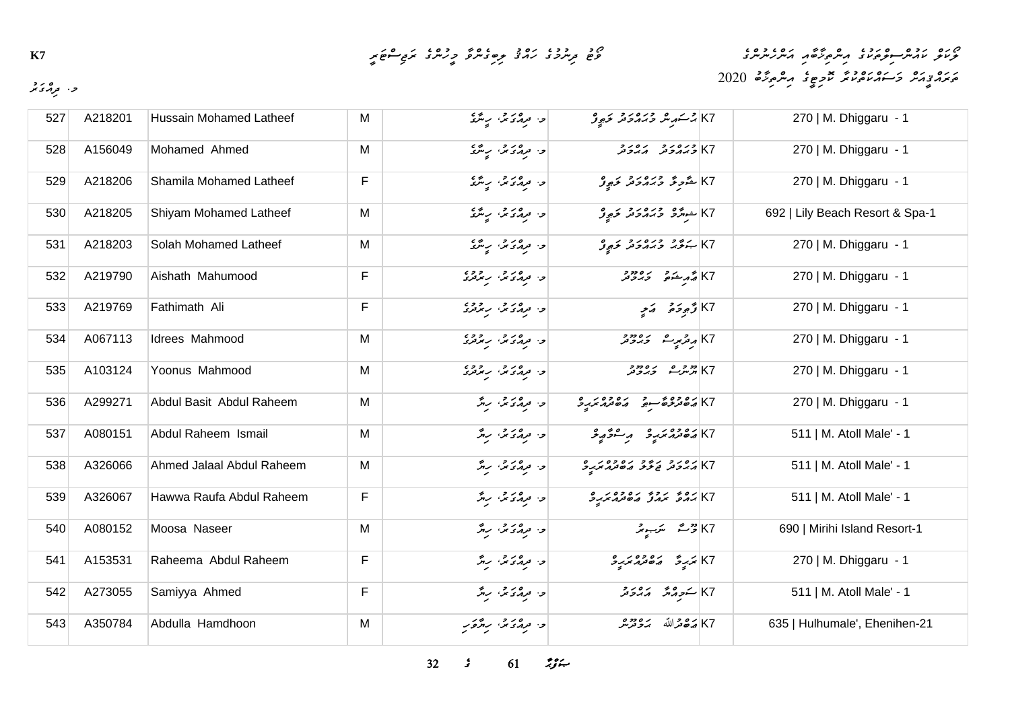*sCw7q7s5w7m< o<n9nOoAw7o< sCq;mAwBoEw7q<m; wBm;vB* م من المرة المرة المرة المرجع المرجع في المركبة 2020<br>مجم*د المريض المربوط المربع المرجع في المراجع المركبة* 

| 527 | A218201 | <b>Hussain Mohamed Latheef</b> | M           | د مروئ پر شمکی         | K7 يُرْسَمُ مِنْ دَيْرَ دُورٍ وَجَوِرْ    | 270   M. Dhiggaru - 1           |
|-----|---------|--------------------------------|-------------|------------------------|-------------------------------------------|---------------------------------|
| 528 | A156049 | Mohamed Ahmed                  | M           | د مهرد تر، رسمه        | K7 <i>وبرە دە بەر دەر</i>                 | 270   M. Dhiggaru - 1           |
| 529 | A218206 | Shamila Mohamed Latheef        | F           | و٠ فروړي رسمه          | K7 څونځ و <i>ټرونو</i> نو <sub>ن</sub> وو | 270   M. Dhiggaru - 1           |
| 530 | A218205 | <b>Shiyam Mohamed Latheef</b>  | M           | د· مرور د پر سر کرد    | K7 خېرگو دره د د وگړو                     | 692   Lily Beach Resort & Spa-1 |
| 531 | A218203 | Solah Mohamed Latheef          | M           | د· مِرەرى پەشكە        | K7 جۇڭ دىرەرد <sub>كەب</sub> ۇ            | 270   M. Dhiggaru - 1           |
| 532 | A219790 | Aishath Mahumood               | F           | و به ده د چې کم مرد ده | K7 مەم ھەم ئەمەدە<br>K7 مەم ھەم ئ         | 270   M. Dhiggaru - 1           |
| 533 | A219769 | Fathimath Ali                  | F           | و برورنی رپرتری        | K7 <i>وُّجوحَ</i> هُمَ سَمَ               | 270   M. Dhiggaru - 1           |
| 534 | A067113 | Idrees Mahmood                 | M           | و . فره د چې . مرفرو . | K7 <sub>مو</sub> ترموے محصوص              | 270   M. Dhiggaru - 1           |
| 535 | A103124 | Yoonus Mahmood                 | M           | و مورد تور دود.        | K7 ټريژے ئ <i>و دو</i> فر                 | 270   M. Dhiggaru - 1           |
| 536 | A299271 | Abdul Basit Abdul Raheem       | M           | و مرور تر بار          | K7 رە دە بەر دە دەر بەر                   | 270   M. Dhiggaru - 1           |
| 537 | A080151 | Abdul Raheem Ismail            | M           | د مرور تر به گ         | K7 مەھەممىي مەشر <i>ۇم</i> ۇ              | 511   M. Atoll Male' - 1        |
| 538 | A326066 | Ahmed Jalaal Abdul Raheem      | M           | و مرد دی. باز          | K7   ربرو در دره ده در کرد و در کرد و     | 511   M. Atoll Male' - 1        |
| 539 | A326067 | Hawwa Raufa Abdul Raheem       | $\mathsf F$ | و مرد دی. باز          | K7 גמל גמל גסכסגם                         | 511   M. Atoll Male' - 1        |
| 540 | A080152 | Moosa Naseer                   | M           | و مرد دی. رنگ          | K7 رُمْتُہ مَرْسِومُرُ                    | 690   Mirihi Island Resort-1    |
| 541 | A153531 | Raheema Abdul Raheem           | F           | و مرد دی. رنگ          | K7 <i>تربي</i> و مص <i>مره تربي</i> و     | 270   M. Dhiggaru - 1           |
| 542 | A273055 | Samiyya Ahmed                  | F           | د مرور تر به گ         | K7 جوړه په دره ک                          | 511   M. Atoll Male' - 1        |
| 543 | A350784 | Abdulla Hamdhoon               | M           | و مرد دی. رنگور        | K7 مَەھْرَاللە بەدەرە                     | 635   Hulhumale', Ehenihen-21   |

**32** *s* **61** *z***<sub>***f***</sub>**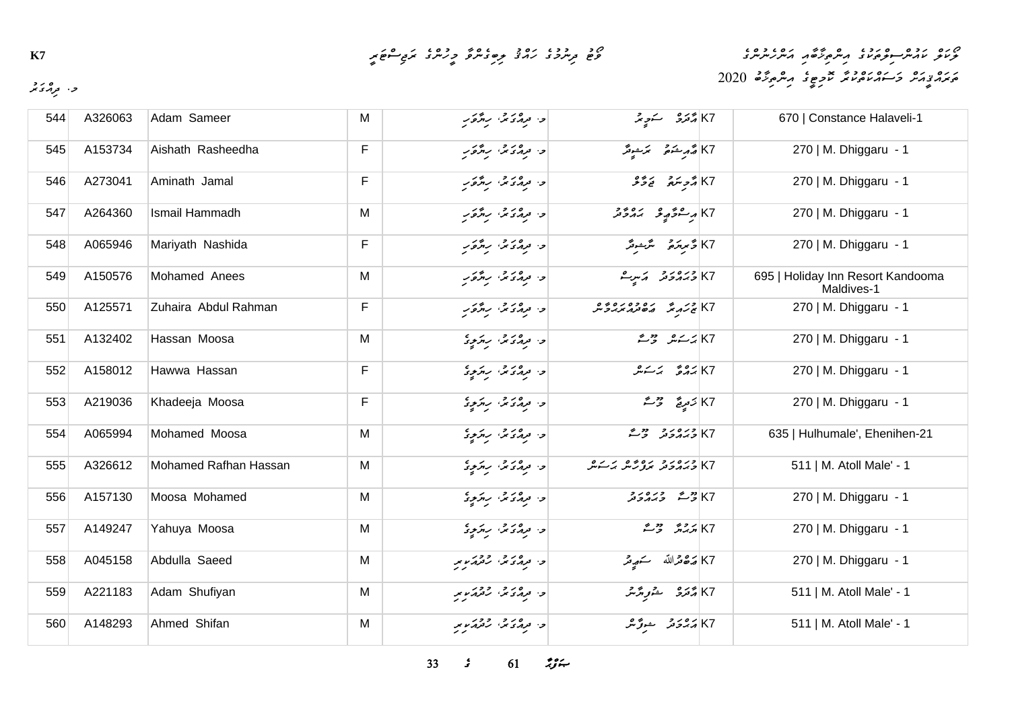*sCw7q7s5w7m< o<n9nOoAw7o< sCq;mAwBoEw7q<m; wBm;vB* م من المرة المرة المرة المرجع المرجع في المركبة 2020<br>مجم*د المريض المربوط المربع المرجع في المراجع المركبة* 

| 544 | A326063 | Adam Sameer           | M           | و مرد دی. روژن    | K7  پر تنزی مسکو پر                       | 670   Constance Halaveli-1                      |
|-----|---------|-----------------------|-------------|-------------------|-------------------------------------------|-------------------------------------------------|
| 545 | A153734 | Aishath Rasheedha     | F           | و مهدى چې رېژو په | K7 م <i>ەم ھەم مەھبىرى</i> گە             | 270   M. Dhiggaru - 1                           |
| 546 | A273041 | Aminath Jamal         | F           | و مهدى چې رېژو په | K7 مُجِسَع <sup>ة</sup> يَحَوُّرُ         | 270   M. Dhiggaru - 1                           |
| 547 | A264360 | Ismail Hammadh        | M           | و مرد دی. روژن    | K7 <sub>م</sub> رےد <sub>گ</sub> ری پروور | 270   M. Dhiggaru - 1                           |
| 548 | A065946 | Mariyath Nashida      | $\mathsf F$ | و مرد دی. روژن    | K7 دُبرِ مَرْمَ مُحْرَشِيْرَ              | 270   M. Dhiggaru - 1                           |
| 549 | A150576 | Mohamed Anees         | M           | و مرد دی. روژن    | K7 <i>ۋېزو دۆ</i> كەيرىش                  | 695   Holiday Inn Resort Kandooma<br>Maldives-1 |
| 550 | A125571 | Zuhaira Abdul Rahman  | F           | و مرد دی. به دوبر | K7 يې <i>زېږ په</i> موسوده ده په و        | 270   M. Dhiggaru - 1                           |
| 551 | A132402 | Hassan Moosa          | M           | د. مهدی چی به کوی | K7 پر کشی وی ش                            | 270   M. Dhiggaru - 1                           |
| 552 | A158012 | Hawwa Hassan          | F           | و مرد و د ک       | K7 ئەيمۇ ئەسكىر                           | 270   M. Dhiggaru - 1                           |
| 553 | A219036 | Khadeeja Moosa        | F           | د مرد دی. ریزوی   | K7 زَمِرِجٌ     تِرْ ثُمَّ                | 270   M. Dhiggaru - 1                           |
| 554 | A065994 | Mohamed Moosa         | M           | و مرد دی. رنگوی   | K7 دېزونه وخت                             | 635   Hulhumale', Ehenihen-21                   |
| 555 | A326612 | Mohamed Rafhan Hassan | M           | د مرور تر سر در   | K7 دېرورو پروژنگر ټرېگر                   | 511   M. Atoll Male' - 1                        |
| 556 | A157130 | Moosa Mohamed         | M           | و مرد دی. روود    | K7 ژئے دی۔<br>دی ا                        | 270   M. Dhiggaru - 1                           |
| 557 | A149247 | Yahuya Moosa          | M           | د. مرد دی. ریزوی  | K7 پرير وحيد                              | 270   M. Dhiggaru - 1                           |
| 558 | A045158 | Abdulla Saeed         | M           | و مردوس رودبر     | K7 مَەھمَراللە س <i>ەم</i> ەتر            | 270   M. Dhiggaru - 1                           |
| 559 | A221183 | Adam Shufiyan         | M           | و مردوس رودبا بر  | K7 گەنىزى ھەر ئەگەر                       | 511   M. Atoll Male' - 1                        |
| 560 | A148293 | Ahmed Shifan          | M           | و مردوس رود ر     | K7 <i>ړېږ ته څوگنگ</i>                    | 511   M. Atoll Male' - 1                        |

**33** *s* **61** *n***<sub>y</sub> <b>***s*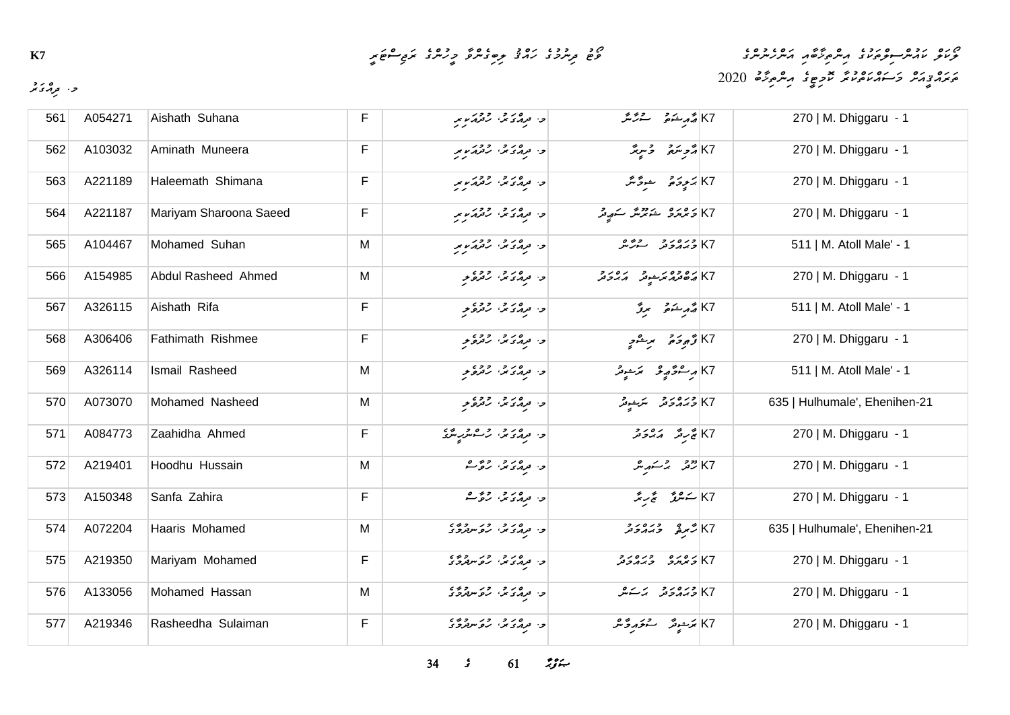*sCw7q7s5w7m< o<n9nOoAw7o< sCq;mAwBoEw7q<m; wBm;vB* م من المرة المرة المرة المرجع المرجع في المركبة 2020<br>مجم*د المريض المربوط المربع المرجع في المراجع المركبة* 

| 561 | A054271 | Aishath Suhana             | F           | د مرد د دور پ                             | K7 مەم ئىسكەم ئىسى ئىشكە                           | 270   M. Dhiggaru - 1         |
|-----|---------|----------------------------|-------------|-------------------------------------------|----------------------------------------------------|-------------------------------|
| 562 | A103032 | Aminath Muneera            | F           | د. مهدى من رقيم مور                       | K7 مَّ <i>جِسَمَّة - جَ</i> سِمَّ                  | 270   M. Dhiggaru - 1         |
| 563 | A221189 | Haleemath Shimana          | F           | و مردوس رودبر                             | K7 بَر <i>ْدٍ دَهْ</i> شَرْدَ شَرْدَ بَرْ          | 270   M. Dhiggaru - 1         |
| 564 | A221187 | Mariyam Sharoona Saeed     | $\mathsf F$ | و مردوس رودربا                            | K7 <i>وَ بُرْمَرْ وَ مُنْ بِرُمْزِ سَهُ بِ</i> رَ  | 270   M. Dhiggaru - 1         |
| 565 | A104467 | Mohamed Suhan              | M           | و مرد و وور در                            | K7 <i>ۋېرو دو مەش</i> ر                            | 511   M. Atoll Male' - 1      |
| 566 | A154985 | <b>Abdul Rasheed Ahmed</b> | M           | و مهدى چې د وي                            | K7 كەھەركە <i>كەن كەندە تەر</i>                    | 270   M. Dhiggaru - 1         |
| 567 | A326115 | Aishath Rifa               | F           | د· دره د نه رود و                         | K7 مەم شىم ئىس بىر ئىس بىر ئى                      | 511   M. Atoll Male' - 1      |
| 568 | A306406 | Fathimath Rishmee          | $\mathsf F$ | و . مورد و . وو . و .                     | K7 وَجوحَة مِ سِشْعٍ                               | 270   M. Dhiggaru - 1         |
| 569 | A326114 | Ismail Rasheed             | M           | و . مهدى من روى و .                       | K7 م <sup>ر</sup> مەگەر بىر سىر مىزدىر كىرىدىن كىل | 511   M. Atoll Male' - 1      |
| 570 | A073070 | Mohamed Nasheed            | M           | د· مرد د پر رود د                         | K7 <i>وُبَرُوونُ سَ سَبِحِينُ</i>                  | 635   Hulhumale', Ehenihen-21 |
| 571 | A084773 | Zaahidha Ahmed             | F           | و مرور و و و و ده                         | K7 يَحْرِيمٌ     مَدْوَمْرُ     (K7                | 270   M. Dhiggaru - 1         |
| 572 | A219401 | Hoodhu Hussain             | M           | و مردوس روم                               | K7 انژفر بر شهر مثر                                | 270   M. Dhiggaru - 1         |
| 573 | A150348 | Sanfa Zahira               | $\mathsf F$ | و مردوس روم                               | K7 سەنىدىگە ئىچ س <sup>ى</sup> گە                  | 270   M. Dhiggaru - 1         |
| 574 | A072204 | Haaris Mohamed             | M           | و مرمر و وي دوره<br>د مرمرۍ مراجعي مرمرون | K7 جُمِيمُ وَبَرَوْدَوْرَ                          | 635   Hulhumale', Ehenihen-21 |
| 575 | A219350 | Mariyam Mohamed            | F           | و برورو ورسوده                            | K7 كويرو وبرورو                                    | 270   M. Dhiggaru - 1         |
| 576 | A133056 | Mohamed Hassan             | M           | و٠ قرار در ۶ در ۲۵۶                       | K7 <i>جەيدە بىر يىشى</i>                           | 270   M. Dhiggaru - 1         |
| 577 | A219346 | Rasheedha Sulaiman         | F           | و٠ قرار در در دوره و د                    | K7 <i>بَرَحِيوَدَّ سُنْجَ مِ</i> رَدَّسْ           | 270   M. Dhiggaru - 1         |

**34** *s* **61** *if***<sub>i</sub>**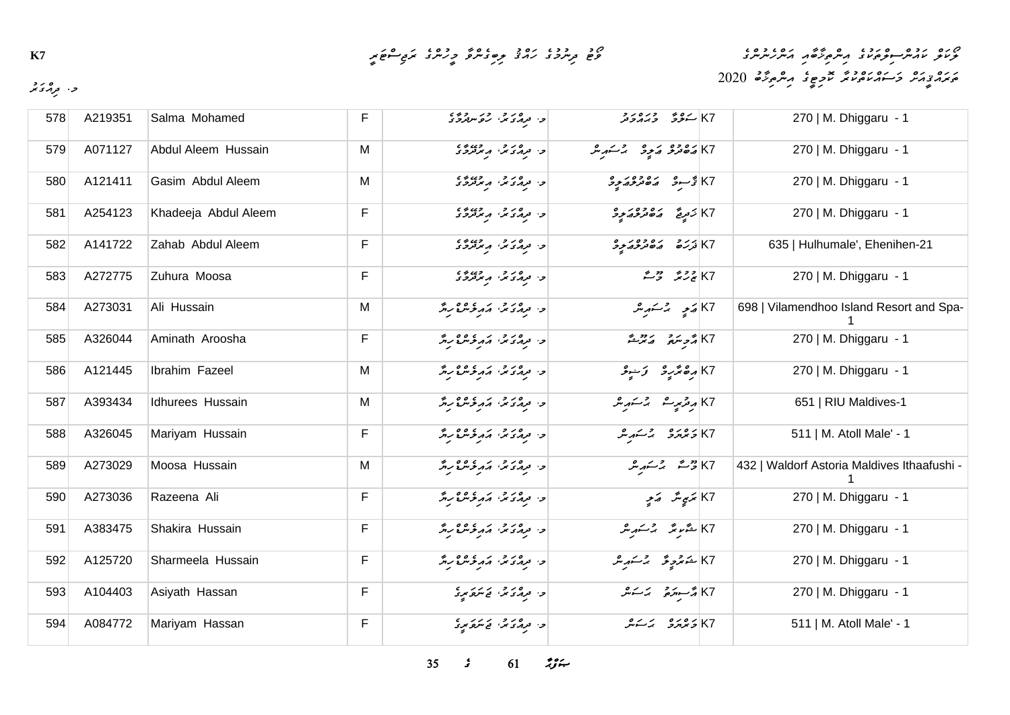*sCw7q7s5w7m< o<n9nOoAw7o< sCq;mAwBoEw7q<m; wBm;vB* م من المرة المرة المرة المرجع المرجع في المركبة 2020<br>مجم*د المريض المربوط المربع المرجع في المراجع المركبة* 

| 578 | A219351 | Salma Mohamed        | F            | و برورو ورسوده                          | K7 ينوڤ وبەدە د                                      | 270   M. Dhiggaru - 1                       |
|-----|---------|----------------------|--------------|-----------------------------------------|------------------------------------------------------|---------------------------------------------|
| 579 | A071127 | Abdul Aleem Hussain  | M            | د· مرد د د به مرمور د د                 | K7 <i>مَـُ هُدُوْ مَ</i> جِرْ مَـُــَمَ <i>رِ</i> سْ | 270   M. Dhiggaru - 1                       |
| 580 | A121411 | Gasim Abdul Aleem    | M            | و. مردوس برمورون                        | K7 تَوْسِعْ مُقْتَعْرَ مُعْرَفَةً مِرْحَ             | 270   M. Dhiggaru - 1                       |
| 581 | A254123 | Khadeeja Abdul Aleem | $\mathsf F$  | و برمرو بر ون د و<br>د برمروس مرمربروی  | K7 زَمِرِيَّ صَ <i>حْرُوْجُووْ</i>                   | 270   M. Dhiggaru - 1                       |
| 582 | A141722 | Zahab Abdul Aleem    | $\mathsf{F}$ | و مردوبر و ودرود.<br>د مردروس د مرمروز  | K7 نَرَرَى صَرْحَ <i>مَرْحَمَ جِ</i> حْ              | 635   Hulhumale', Ehenihen-21               |
| 583 | A272775 | Zuhura Moosa         | F            | و مردوس بر بروروس<br>د مردوس بر برمردوس | $23$ $22$ K7                                         | 270   M. Dhiggaru - 1                       |
| 584 | A273031 | Ali Hussain          | M            | و مرموس مرکوش باش                       | K7   تەمچە    جاسىمبرىشى                             | 698   Vilamendhoo Island Resort and Spa-    |
| 585 | A326044 | Aminath Aroosha      | $\mathsf F$  | و مرد در که در در محمد بر               | K7 مُجَمِّسَمَّةَ مَحْمَشَّةً                        | 270   M. Dhiggaru - 1                       |
| 586 | A121445 | Ibrahim Fazeel       | M            | و مرمونها مهر و هو برگ                  | K7  بر <i>&amp;بۇرى ق-بۇ</i>                         | 270   M. Dhiggaru - 1                       |
| 587 | A393434 | Idhurees Hussain     | M            | و مرمونها مهر و هو مر                   | K7 <sub>م</sub> یٹرمی <sup>2</sup> برگسریٹر          | 651   RIU Maldives-1                        |
| 588 | A326045 | Mariyam Hussain      | F            | و مرد دي زر ده ديگر                     | K7 <i>جەنگە جىسىم</i> ەش                             | 511   M. Atoll Male' - 1                    |
| 589 | A273029 | Moosa Hussain        | M            | و مرد دير کرد ورو برگر                  | K7 رُمْشَہ پُرِسَہر مِرْ                             | 432   Waldorf Astoria Maldives Ithaafushi - |
| 590 | A273036 | Razeena Ali          | $\mathsf F$  | د مرد د تر که ویرانگر                   | K7 بَرَ <sub>مٍ</sub> بَرَّ کَہ مِ                   | 270   M. Dhiggaru - 1                       |
| 591 | A383475 | Shakira Hussain      | $\mathsf F$  | د مرد د بر کار و مرد بر                 | K7 شۇرىگە كەسىمبەش                                   | 270   M. Dhiggaru - 1                       |
| 592 | A125720 | Sharmeela Hussain    | $\mathsf{F}$ | و مرد دي زر ده ديگر                     | K7 خەترى <sub>چ</sub> ى ئەسكەپ                       | 270   M. Dhiggaru - 1                       |
| 593 | A104403 | Asiyath Hassan       | F            | والمجرار والمحاسب والمحامرة             | K7 گەسىل <i>ەر بەسكەنل</i> ە                         | 270   M. Dhiggaru - 1                       |
| 594 | A084772 | Mariyam Hassan       | F            | و مردوس في سكومره                       | K7 كەممەر بەسەھ                                      | 511   M. Atoll Male' - 1                    |

**35** *s* **61** *n***<sub>s</sub>**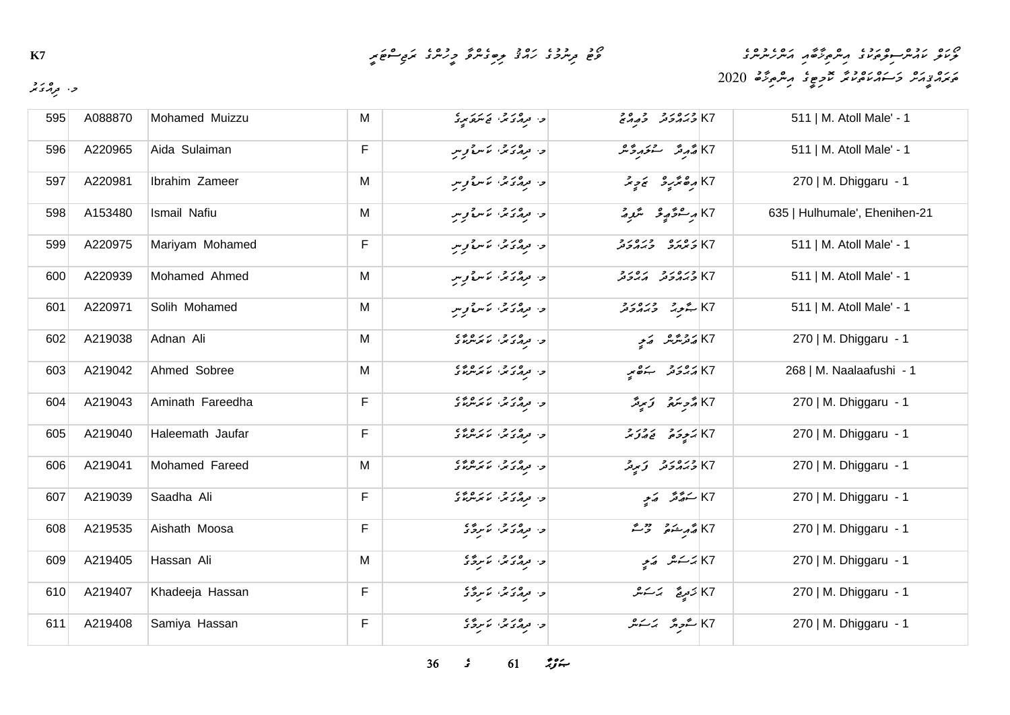*sCw7q7s5w7m< o<n9nOoAw7o< sCq;mAwBoEw7q<m; wBm;vB* م من المرة المرة المرة المرجع المرجع في المركبة 2020<br>مجم*د المريض المربوط المربع المرجع في المراجع المركبة* 

| 595 | A088870 | Mohamed Muizzu   | M | و مرد د د کارو مرد                                                                                              | K7 <i>בגמכת במ</i> ת                                                                                | 511   M. Atoll Male' - 1      |
|-----|---------|------------------|---|-----------------------------------------------------------------------------------------------------------------|-----------------------------------------------------------------------------------------------------|-------------------------------|
| 596 | A220965 | Aida Sulaiman    | F | د مرد د کار تاریخ با می                                                                                         | K7 مَيْ مِيعَر مِيْ مِيْ مِيْ مِيْتَ مِيْتَ مِيْتَ مِيْتَ مِيْتِ مِيْتِ مِيْتِ مِيْتِ مِيْتِ مِيْتِ | 511   M. Atoll Male' - 1      |
| 597 | A220981 | Ibrahim Zameer   | M | د مرد دی گاهدار می                                                                                              | K7 مەھەرىپى تەمەتر                                                                                  | 270   M. Dhiggaru - 1         |
| 598 | A153480 | Ismail Nafiu     | M | والمجمدى مركز مكاسية والبر                                                                                      | K7 م <i>وس<sup>و</sup>د موقتر مگرم</i> ة                                                            | 635   Hulhumale', Ehenihen-21 |
| 599 | A220975 | Mariyam Mohamed  | F | والمرمروم الأسماريس                                                                                             | K7 <i>בُمُ</i> رُوَ دِيَرُدُدَ                                                                      | 511   M. Atoll Male' - 1      |
| 600 | A220939 | Mohamed Ahmed    | M | والمجمدى من المستقرض                                                                                            | K7 <i>בגמבית המבית</i>                                                                              | 511   M. Atoll Male' - 1      |
| 601 | A220971 | Solih Mohamed    | M | ح مرد د د کار توس                                                                                               | K7 جۇمۇ مىمبەد قىر                                                                                  | 511   M. Atoll Male' - 1      |
| 602 | A219038 | Adnan Ali        | M | و مردوس متر مده                                                                                                 | K7 كەنترىترىترى كەي <u>ج</u>                                                                        | 270   M. Dhiggaru - 1         |
| 603 | A219042 | Ahmed Sobree     | M | و مردوم نومون                                                                                                   | K7 كەبرى ئەھىر                                                                                      | 268   M. Naalaafushi - 1      |
| 604 | A219043 | Aminath Fareedha | F | و مردوس متر مده                                                                                                 | K7 مَّ حِ سَمَّةٌ وَ مَرِ مَّذَ                                                                     | 270   M. Dhiggaru - 1         |
| 605 | A219040 | Haleemath Jaufar | F | والمتراد والمتحد المتحدد والمحدد والمحدد والمحدد والمحدد والمحدد والمحدد والمحدد والمحدد والمحدد والمحدد والمحد | K7 يَر <i>وِدَهُ فَهُوَ بَرْ</i>                                                                    | 270   M. Dhiggaru - 1         |
| 606 | A219041 | Mohamed Fareed   | M | و مردوس کامر مده                                                                                                | K7  32,25 كوميتر                                                                                    | 270   M. Dhiggaru - 1         |
| 607 | A219039 | Saadha Ali       | F | و مردوس متر ده ده                                                                                               | K7 سَتَمَدَّقَہ مَ <i>زَمو</i>                                                                      | 270   M. Dhiggaru - 1         |
| 608 | A219535 | Aishath Moosa    | F | و مرد و تر کامرد و                                                                                              | K7 مەم شەھ ق <sup>ىم</sup> ئى                                                                       | 270   M. Dhiggaru - 1         |
| 609 | A219405 | Hassan Ali       | M | و مرد دی. نامرد د                                                                                               | K7 ټرسکر ک <i>ړې</i>                                                                                | 270   M. Dhiggaru - 1         |
| 610 | A219407 | Khadeeja Hassan  | F | و مرد دی. نامرد د                                                                                               | K7 زَمِرِيحٌ ) بَرَسَرْشَ                                                                           | 270   M. Dhiggaru - 1         |
| 611 | A219408 | Samiya Hassan    | F | و وړونه نموده                                                                                                   | K7 ڪوپڙ پرڪي <i>ر</i>                                                                               | 270   M. Dhiggaru - 1         |

 $36$   $5$   $61$   $25$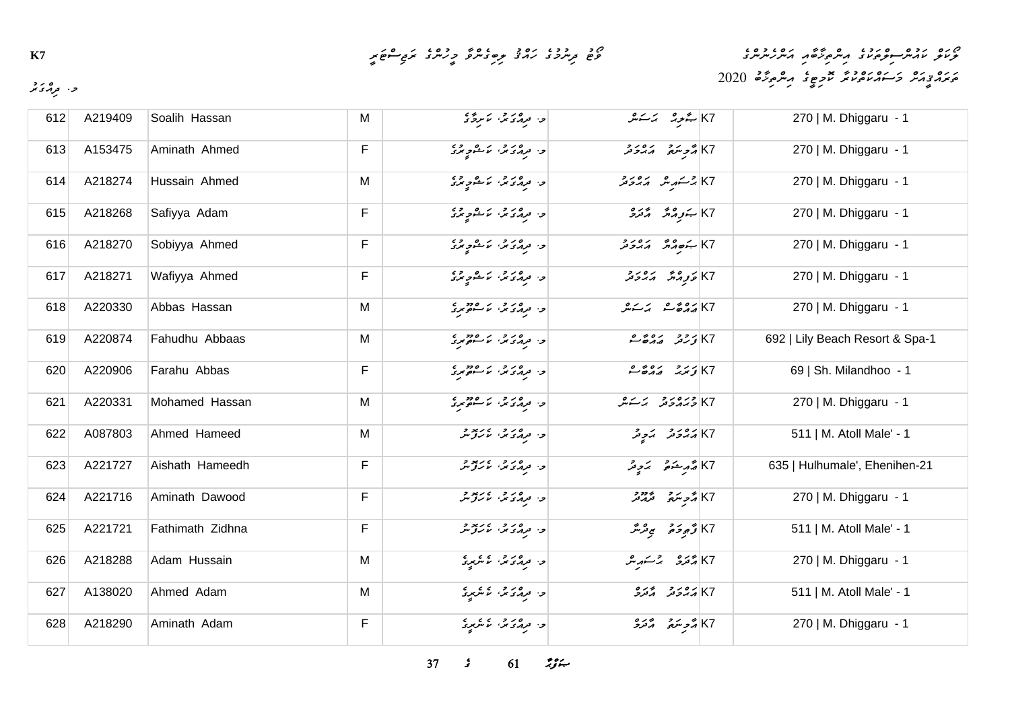*sCw7q7s5w7m< o<n9nOoAw7o< sCq;mAwBoEw7q<m; wBm;vB* م من المرة المرة المرة المرجع المرجع في المركبة 2020<br>مجم*د المريض المربوط المربع المرجع في المراجع المركبة* 

| 612 | A219409 | Soalih Hassan    | M | د مرد د تر کامرد د                        | K7  بەم بەر ئەسەمىر                         | 270   M. Dhiggaru - 1           |
|-----|---------|------------------|---|-------------------------------------------|---------------------------------------------|---------------------------------|
| 613 | A153475 | Aminath Ahmed    | F | د· مردر در کار شور دی                     | K7 مُجِسَعَةِ مَدَخَّدَ                     | 270   M. Dhiggaru - 1           |
| 614 | A218274 | Hussain Ahmed    | M | د مرد د تر و د و                          | K7 يُرْسَمْ مِيْتَ مَدَوَمْرَ               | 270   M. Dhiggaru - 1           |
| 615 | A218268 | Safiyya Adam     | F | و مردوس کا شور ده                         | K7 جَوِړ <i>ه د م</i> حمد                   | 270   M. Dhiggaru - 1           |
| 616 | A218270 | Sobiyya Ahmed    | F | و مردوس کا شور ده                         | $5.201$ $5.901$ $K7$                        | 270   M. Dhiggaru - 1           |
| 617 | A218271 | Wafiyya Ahmed    | F | د· مرد د تر کا کاموند                     | K7 <i>قۇمىگە مەمەدى</i> ر                   | 270   M. Dhiggaru - 1           |
| 618 | A220330 | Abbas Hassan     | M | د مرد د رو دود د                          | K7 مَهْرَهُ شَهْرَ سَنَدْسُ                 | 270   M. Dhiggaru - 1           |
| 619 | A220874 | Fahudhu Abbaas   | M | و مرد و رود و و و د                       | K7 ۇرقر مەمۇب                               | 692   Lily Beach Resort & Spa-1 |
| 620 | A220906 | Farahu Abbas     | F | ه به مرد در دود د.<br>د تورد د بر استور   | K7 دَيَرَ پَه پِه شَمَّ                     | 69   Sh. Milandhoo - 1          |
| 621 | A220331 | Mohamed Hassan   | M | ه به مرد بر دود بر<br>د ترمرد بر بر موبرد | K7 <i>جەممى بىر يى</i> كىش                  | 270   M. Dhiggaru - 1           |
| 622 | A087803 | Ahmed Hameed     | M | و بورو در در دو د                         | K7 كەندى كەر قر                             | 511   M. Atoll Male' - 1        |
| 623 | A221727 | Aishath Hameedh  | F | و مردوس عربود                             | K7 مُەم شەھ بەھ بىر                         | 635   Hulhumale', Ehenihen-21   |
| 624 | A221716 | Aminath Dawood   | F | و- ترمروجي عربيو و<br>و- ترمري عربي مر    | K7 مُجِ سَمَعُ مَسْ <i>مَدة</i>             | 270   M. Dhiggaru - 1           |
| 625 | A221721 | Fathimath Zidhna | F | و مردوس عربود                             | K7 رَّج <i>وحَة</i> ب <sub>ِ</sub> فَرْمَّد | 511   M. Atoll Male' - 1        |
| 626 | A218288 | Adam Hussain     | M | د. مهری سی، اما شرمزی                     | K7 گەنىزى بەسەمبەنلە                        | 270   M. Dhiggaru - 1           |
| 627 | A138020 | Ahmed Adam       | M | د. مهدى مى ، مكرم دى                      | K7 كەبرى بەر ئەر                            | 511   M. Atoll Male' - 1        |
| 628 | A218290 | Aminath Adam     | F | د. دره د ته ۱۰ شرمرگ                      | K7 مُجِ سَمَعٌ مُحَمَّدٌ                    | 270   M. Dhiggaru - 1           |

*37 sC 61 nNw?mS*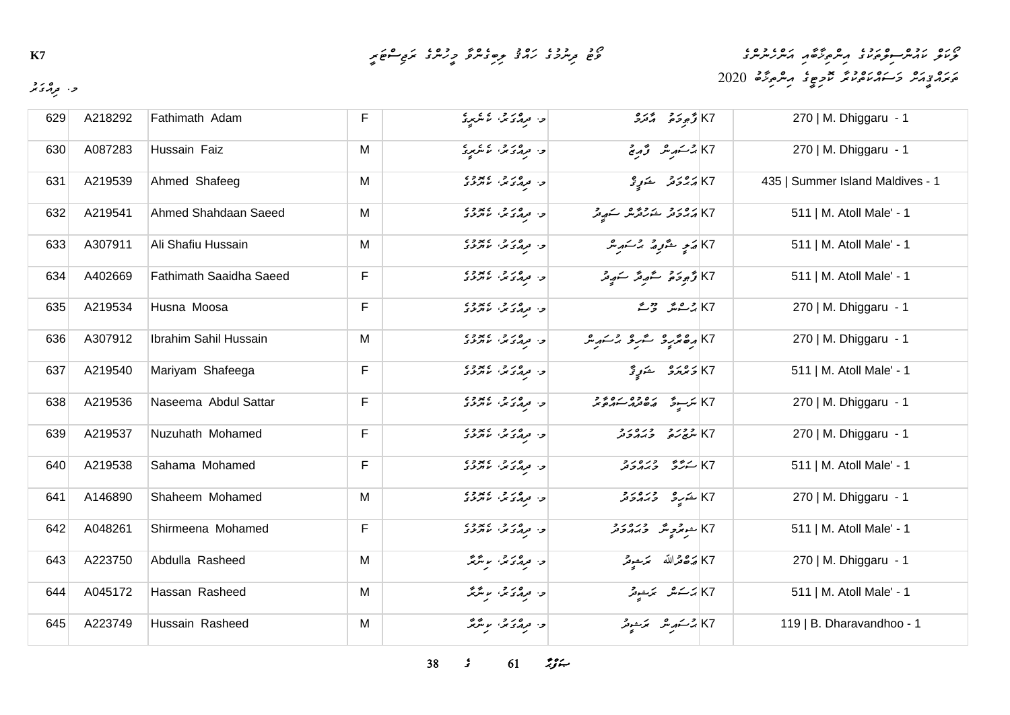*sCw7q7s5w7m< o<n9nOoAw7o< sCq;mAwBoEw7q<m; wBm;vB* م من المرة المرة المرة المرجع المرجع في المركبة 2020<br>مجم*د المريض المربوط المربع المرجع في المراجع المركبة* 

| 629 | A218292 | Fathimath Adam          | $\mathsf F$ | د. دره د تر، ۱۰ شرمرد                | K7 <i>وَّجِ حَمْ</i> مُحَمَّد                                                                             | 270   M. Dhiggaru - 1            |
|-----|---------|-------------------------|-------------|--------------------------------------|-----------------------------------------------------------------------------------------------------------|----------------------------------|
| 630 | A087283 | Hussain Faiz            | M           | د· مرد د چر ع عربر و                 | K7 بڑے پہ ق <sub>ری</sub> ج                                                                               | 270   M. Dhiggaru - 1            |
| 631 | A219539 | Ahmed Shafeeg           | M           | و برمرو عدد و د                      |                                                                                                           | 435   Summer Island Maldives - 1 |
| 632 | A219541 | Ahmed Shahdaan Saeed    | M           | כי נקחביתי ממשבים<br>כי נקחביתי ממשב | K7 كەندى ئەر ئەر ئەر ئىكەن كىرى كىرى كىرى ئىكەن ئىكەن ئىكەن ئىكەن ئىكەن ئىكەن ئىكەن ئىكەن ئىكەن ئىكەن ئىك | 511   M. Atoll Male' - 1         |
| 633 | A307911 | Ali Shafiu Hussain      | M           | ه د ور د د د ده<br>د درمرد س مامرود  | K7 كەيچ ئىشرو2 كەسكەپ ئىر                                                                                 | 511   M. Atoll Male' - 1         |
| 634 | A402669 | Fathimath Saaidha Saeed | F           | ه د ور د د د ده<br>د درمرد س مامرود  | K7 ۇ <sub>جو</sub> رۇ شەرىر سەرىر                                                                         | 511   M. Atoll Male' - 1         |
| 635 | A219534 | Husna Moosa             | F           | ه د ور د د د ده<br>د درمرد س ماهرود  | K7 پڑھ تھ س                                                                                               | 270   M. Dhiggaru - 1            |
| 636 | A307912 | Ibrahim Sahil Hussain   | M           |                                      | K7 رەڭرىرى سەربى جاسەربىر                                                                                 | 270   M. Dhiggaru - 1            |
| 637 | A219540 | Mariyam Shafeega        | F           | כי נקח ב שיות בשיר ב                 | K7 كەنگەنىڭ ھەرىجى                                                                                        | 511   M. Atoll Male' - 1         |
| 638 | A219536 | Naseema Abdul Sattar    | F           | ه د ور د د د ده<br>د درمرد س ماهرود  | K7 سُرَ بِهِ صَمَّ صَمَّدَ مِنْ مَصْرِ مِنْ مَنْ حَمْدِ مِنْ                                              | 270   M. Dhiggaru - 1            |
| 639 | A219537 | Nuzuhath Mohamed        | F           | ه د ور د د د ده<br>د درمرد س ماهرود  | K7 شيخ شهر وره د و                                                                                        | 270   M. Dhiggaru - 1            |
| 640 | A219538 | Sahama Mohamed          | F           | ه د ور د د د ده<br>د درمرد س مامرود  | K7 شرَرَّة وبرورو                                                                                         | 511   M. Atoll Male' - 1         |
| 641 | A146890 | Shaheem Mohamed         | M           | כי נקח ב שיות בשיר ב                 | K7 خرىرى ئى <i>ئەرەبى</i>                                                                                 | 270   M. Dhiggaru - 1            |
| 642 | A048261 | Shirmeena Mohamed       | F           | ه د ور د د د ده<br>د درمرد س مامرود  | K7 خومرتو متر و 1952 كر                                                                                   | 511   M. Atoll Male' - 1         |
| 643 | A223750 | Abdulla Rasheed         | M           | و مرد دی باشگ                        | K7 كَرْهُ قْرْاللَّه تْمَرْشِيْتْرْ                                                                       | 270   M. Dhiggaru - 1            |
| 644 | A045172 | Hassan Rasheed          | M           | د. مرد د تر، برنگر                   | K7   پرستربر   پر <sub>شو</sub> بر                                                                        | 511   M. Atoll Male' - 1         |
| 645 | A223749 | Hussain Rasheed         | M           | د مرود کر مسرگر                      | K7 پرڪيريش ڪرشونگر                                                                                        | 119   B. Dharavandhoo - 1        |

**38** *s* **61** *n***<sub>s</sub>**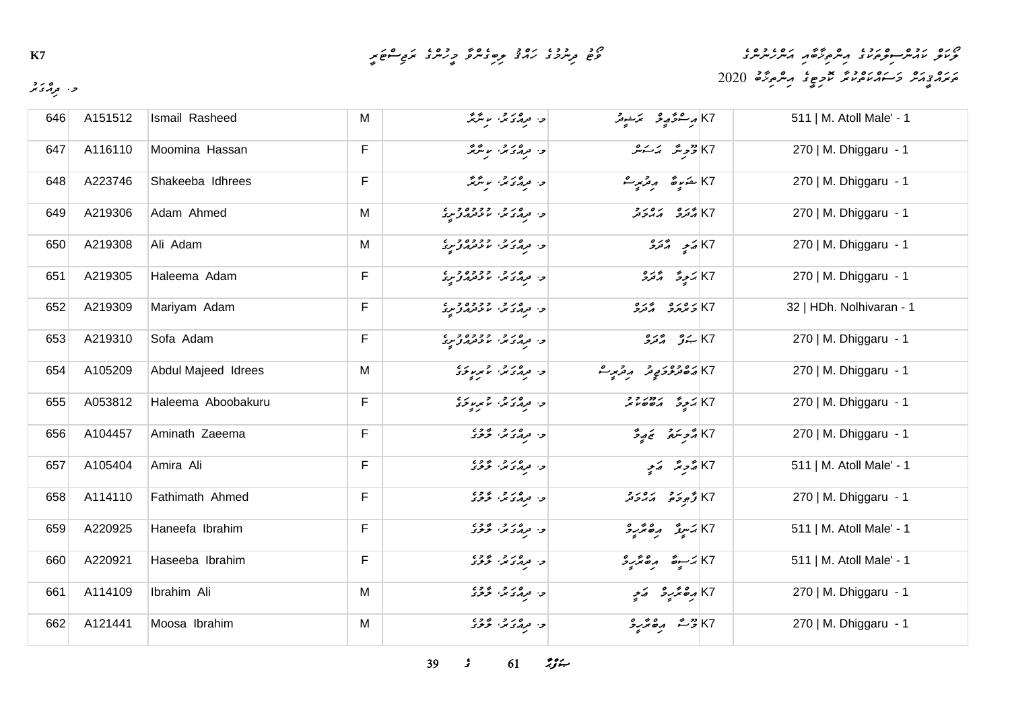*sCw7q7s5w7m< o<n9nOoAw7o< sCq;mAwBoEw7q<m; wBm;vB* م من المسجد المسجد المسجد المسجد المسجد العام 2020<br>مسجد المسجد المسجد المسجد المسجد المسجد المسجد المسجد المسجد ال

| 646 | A151512 | Ismail Rasheed      | M           | د· مره د تر سر سر تر                               | K7  مِرْ سُمُوَّ مِرْ = مَرْسُوِمْر        | 511   M. Atoll Male' - 1 |
|-----|---------|---------------------|-------------|----------------------------------------------------|--------------------------------------------|--------------------------|
| 647 | A116110 | Moomina Hassan      | F           | د. مرد د تر، باشگر                                 | K7 تۇم بىر ئەسەملە                         | 270   M. Dhiggaru - 1    |
| 648 | A223746 | Shakeeba Idhrees    | F           | د. مهدر نمر، با مگرنگر                             | K7 خَمَرِيُّ مِثْرَمَرِيْتُ                | 270   M. Dhiggaru - 1    |
| 649 | A219306 | Adam Ahmed          | M           | و مرد و وووه و و<br>د مرد و مر ملامرو و و          | K7 پرو بره برو                             | 270   M. Dhiggaru - 1    |
| 650 | A219308 | Ali Adam            | M           | و مرد و وووه و و<br>و مرد و مر ملامرو ترو          | K7  رَمٍ گ <sup>5</sup> مرَ مُ             | 270   M. Dhiggaru - 1    |
| 651 | A219305 | Haleema Adam        | $\mathsf F$ | و به مرو وووه و د<br>د به مرد د سربر د برد         | K7 بَرْمٍ وَ مُرْمَرُو                     | 270   M. Dhiggaru - 1    |
| 652 | A219309 | Mariyam Adam        | F           | د. مرد در دوده و د و<br>د مرد د بر، ما د مرد و مرد | K7 كەبھەرە مەمر <i>ە</i>                   | 32   HDh. Nolhivaran - 1 |
| 653 | A219310 | Sofa Adam           | F           | و بره د د دوه و د د<br>د بره د س                   | K7 بەز ئەترى                               | 270   M. Dhiggaru - 1    |
| 654 | A105209 | Abdul Majeed Idrees | M           | و مردوس الممراكزة                                  | K7 مَەھەر ئۇ ئوقرا مەرترىپ <sup>ى</sup> .  | 270   M. Dhiggaru - 1    |
| 655 | A053812 | Haleema Aboobakuru  | $\mathsf F$ | د مرد دی. نامریوی                                  | K7 بَرْمٍ \$ 187 م                         | 270   M. Dhiggaru - 1    |
| 656 | A104457 | Aminath Zaeema      | $\mathsf F$ | و٠ تېره دي په ووه                                  | K7 مُحِسَمَ بِمَ مِنْ                      | 270   M. Dhiggaru - 1    |
| 657 | A105404 | Amira Ali           | F           | و فره د پوه د ده                                   | K7 م <i>مُّوبمَّہ</i> م <i>َہ</i> مِ       | 511   M. Atoll Male' - 1 |
| 658 | A114110 | Fathimath Ahmed     | F           | و په دوس نومون                                     | K7 ۇ <sub>ج</sub> وڭ مەردىر                | 270   M. Dhiggaru - 1    |
| 659 | A220925 | Haneefa Ibrahim     | F           | و٠ تورد در و و و و و                               | K7 بَسِرَةٌ مِنْ صَحَّرِ فِي               | 511   M. Atoll Male' - 1 |
| 660 | A220921 | Haseeba Ibrahim     | $\mathsf F$ | و٠ تورد د دو و د                                   | K7 برَــوَةُ مِـــوْمَرْرِدْ               | 511   M. Atoll Male' - 1 |
| 661 | A114109 | Ibrahim Ali         | M           | و په دره پوه                                       | K7 <sub>مو</sub> ھ مگر <sub>م</sub> و ھي ج | 270   M. Dhiggaru - 1    |
| 662 | A121441 | Moosa Ibrahim       | M           | و٠ ترړۍ تر ووه                                     | K7 ترشم برھ ترب <sub>ی</sub> ت             | 270   M. Dhiggaru - 1    |

**39** *s* **61** *z s*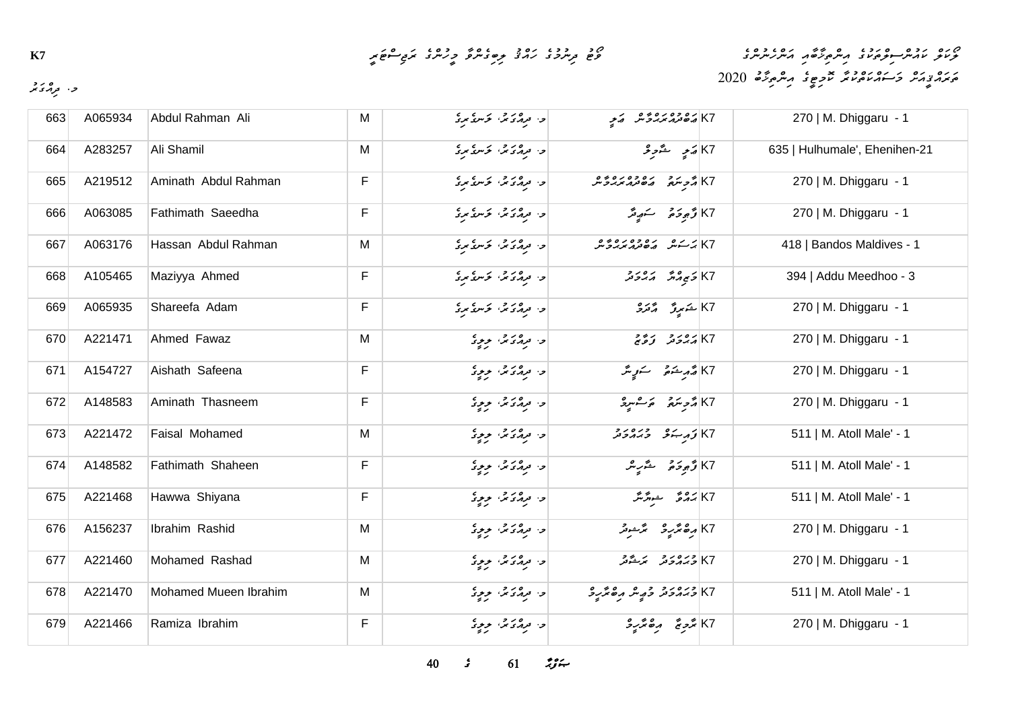*sCw7q7s5w7m< o<n9nOoAw7o< sCq;mAwBoEw7q<m; wBm;vB* م من المرة المرة المرة المرجع المرجع في المركبة 2020<br>مجم*د المريض المربوط المربع المرجع في المراجع المركبة* 

| 663 | A065934 | Abdul Rahman Ali      | M            | و مردوس كرسي مرد           | K7 <i>ړې ده د دې</i> هر کرم                                           | 270   M. Dhiggaru - 1         |
|-----|---------|-----------------------|--------------|----------------------------|-----------------------------------------------------------------------|-------------------------------|
| 664 | A283257 | Ali Shamil            | M            | و مهدى من كوسوم مرد        | K7 ړَم شَرَو و                                                        | 635   Hulhumale', Ehenihen-21 |
| 665 | A219512 | Aminath Abdul Rahman  | F            | والمتهادو والمستح المحاسبة | K7 جُ جِسَمَ صَحْرَ اللّهُ عَبْرَ مِسْرٍ حَمْدَ اللّهِ عَبَّرَ اللّهِ | 270   M. Dhiggaru - 1         |
| 666 | A063085 | Fathimath Saeedha     | F            | والمتردوسي كمحاس والمحاري  | K7 وَجِوَدَةُ سَمَيْتَرَ                                              | 270   M. Dhiggaru - 1         |
| 667 | A063176 | Hassan Abdul Rahman   | M            | والمجمدي كالمتعاطي         | K7 ئەسەش مەھ <i>ەممەدۋى</i> ر                                         | 418   Bandos Maldives - 1     |
| 668 | A105465 | Maziyya Ahmed         | F            | والمجمدي كالمتعاطي         | K7 دَىج مەممە مەردىمە                                                 | 394   Addu Meedhoo - 3        |
| 669 | A065935 | Shareefa Adam         | $\mathsf F$  | والمتهادو والمتحسن مرد     | K7 ش <i>ەمبەر مەم</i> رى                                              | 270   M. Dhiggaru - 1         |
| 670 | A221471 | Ahmed Fawaz           | M            | و مروری وور                | K7 كەندى ئەمەم ق                                                      | 270   M. Dhiggaru - 1         |
| 671 | A154727 | Aishath Safeena       | F            | د مرد دی. وود              | K7 <i>ھُ مِي ھُوَ سُ</i> وَ مِيْرَ                                    | 270   M. Dhiggaru - 1         |
| 672 | A148583 | Aminath Thasneem      | $\mathsf{F}$ | د مرد دی. وود              | K7 أَمُّ <i>جِسَعْهِ فَمُ</i> حَسِرِ جُهِ                             | 270   M. Dhiggaru - 1         |
| 673 | A221472 | Faisal Mohamed        | M            | د مرد دی. وود              | K7 زَرِسَوْ دَيَرُودَرْ                                               | 511   M. Atoll Male' - 1      |
| 674 | A148582 | Fathimath Shaheen     | F            | د مرد دی. وود              | K7 <i>وَّەودَة</i> شَرِسْر                                            | 511   M. Atoll Male' - 1      |
| 675 | A221468 | Hawwa Shiyana         | F            | د. مهدی شه و دی            | K7 <i>بَدْهُ وَ</i> شِبْرَسَّ                                         | 511   M. Atoll Male' - 1      |
| 676 | A156237 | Ibrahim Rashid        | M            | د مرور تر، وور             | K7 رەڭرىر ئىشىقر                                                      | 270   M. Dhiggaru - 1         |
| 677 | A221460 | Mohamed Rashad        | M            | د مرد دی. وود              | K7 <i>وبرە دو</i> برخۇنز                                              | 270   M. Dhiggaru - 1         |
| 678 | A221470 | Mohamed Mueen Ibrahim | M            | د مرد د تر وود             | K7 دبرورو و په ره ټر د                                                | 511   M. Atoll Male' - 1      |
| 679 | A221466 | Ramiza Ibrahim        | $\mathsf F$  | د مرد دی. وود              | K7 بَرُدِيَّ مِنْ بِرْدْ                                              | 270   M. Dhiggaru - 1         |

*40 sC 61 nNw?mS*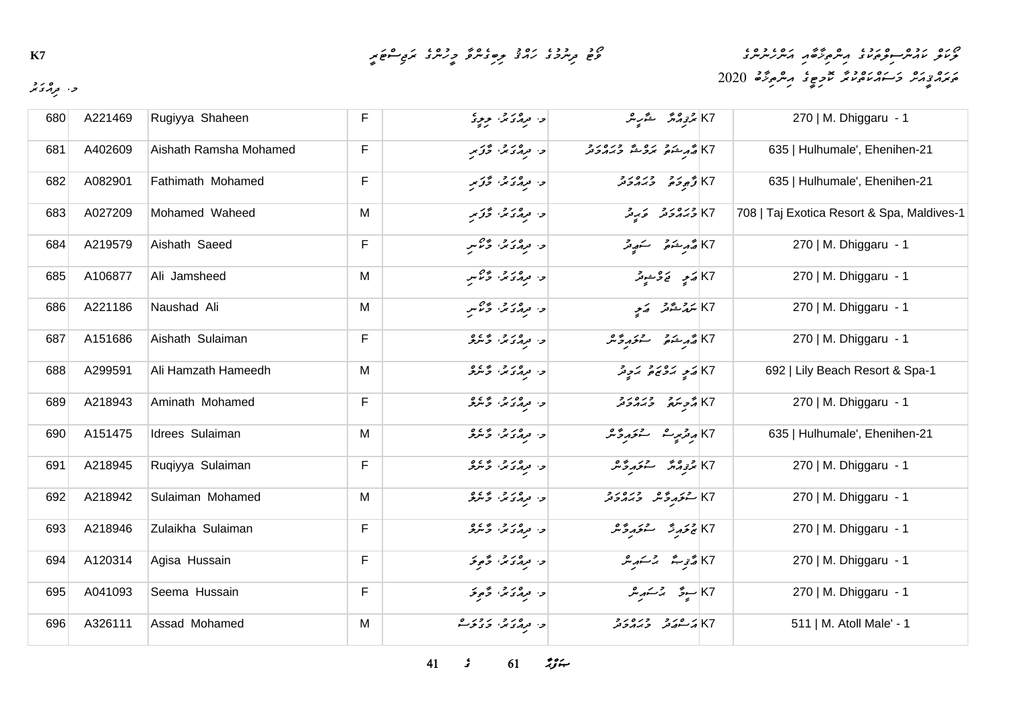*sCw7q7s5w7m< o<n9nOoAw7o< sCq;mAwBoEw7q<m; wBm;vB* م من المرة المرة المرة المرجع المرجع في المركبة 2020<br>مجم*د المريض المربوط المربع المرجع في المراجع المركبة* 

| 680 | A221469 | Rugiyya Shaheen        | F            | د مرور تر، وور      | K7 بر <sub>ُقِي</sub> مِ بَرَّ مُشَرِيمَر      | 270   M. Dhiggaru - 1                      |
|-----|---------|------------------------|--------------|---------------------|------------------------------------------------|--------------------------------------------|
| 681 | A402609 | Aishath Ramsha Mohamed | F            | د· مرورۍ تر گرگر مر | K7 مەم شەھ بىرى شەك دىرە دىر                   | 635   Hulhumale', Ehenihen-21              |
| 682 | A082901 | Fathimath Mohamed      | $\mathsf{F}$ | و مرد دی. دُوَسِ    | K7 ژُجِ دَمَ دَبَرُ دَبَر                      | 635   Hulhumale', Ehenihen-21              |
| 683 | A027209 | Mohamed Waheed         | M            | و مرد دی. د در بر   | K7 <i>\$ پروڅو وَب</i> وتر                     | 708   Taj Exotica Resort & Spa, Maldives-1 |
| 684 | A219579 | Aishath Saeed          | $\mathsf{F}$ | د مەددىر كەس        | K7 مُرمِّسَمُو سَمَ <i>وِيْدُ</i>              | 270   M. Dhiggaru - 1                      |
| 685 | A106877 | Ali Jamsheed           | M            | د بروری، ڈیمبر      | K7   رَمِي كَوَشِيمَرُ                         | 270   M. Dhiggaru - 1                      |
| 686 | A221186 | Naushad Ali            | M            | د· مرد دند، و پی س  | K7 سَمَ <i>دُ</i> شَمَّتْرَ – مَ <i>ج</i>      | 270   M. Dhiggaru - 1                      |
| 687 | A151686 | Aishath Sulaiman       | $\mathsf F$  | د. مهدى پى ئەنگە    | K7 مەم شەھرە سىغى مەمۇرىگە                     | 270   M. Dhiggaru - 1                      |
| 688 | A299591 | Ali Hamzath Hameedh    | M            | و مهروند و دو       | K7 كەبچە بەۋىج كەب <sub>چ</sub> ىتر            | 692   Lily Beach Resort & Spa-1            |
| 689 | A218943 | Aminath Mohamed        | F            | د ، وړوند وندو      | K7 مُوسَمَعُ وَيَمُدُونَرُ                     | 270   M. Dhiggaru - 1                      |
| 690 | A151475 | Idrees Sulaiman        | M            | و مهروس ومو         | K7 <sub>م</sub> ىرىم <sub>ى</sub> ت مەنزىرۇش   | 635   Hulhumale', Ehenihen-21              |
| 691 | A218945 | Ruqiyya Sulaiman       | $\mathsf{F}$ | و مردوس وترو        | K7 ىز <sub>تو</sub> رگە ئىكرىرۇ تىر            | 270   M. Dhiggaru - 1                      |
| 692 | A218942 | Sulaiman Mohamed       | M            | و بروی و وه         | K7 جۇمۇھە ئە <i>مەدە</i> ر                     | 270   M. Dhiggaru - 1                      |
| 693 | A218946 | Zulaikha Sulaiman      | F            | و مرد و د و ده و    | K7 ىخ <i>قرىر ئى مەخ مە</i> گە                 | 270   M. Dhiggaru - 1                      |
| 694 | A120314 | Agisa Hussain          | $\mathsf F$  | و مرد دی. و گوتر    | K7 مۇت <sub>و</sub> بىگە ب <sub>ە</sub> شكىرىش | 270   M. Dhiggaru - 1                      |
| 695 | A041093 | Seema Hussain          | F            | و مرد دی. و گوتر    | K7 سوءً برجستمبر مثر                           | 270   M. Dhiggaru - 1                      |
| 696 | A326111 | Assad Mohamed          | M            | ه وړه ده دوی ک      | K7 كەشھەتر <i>مەدەب</i> ر                      | 511   M. Atoll Male' - 1                   |

*41 s* 61 *i*<sub>S</sub> $\approx$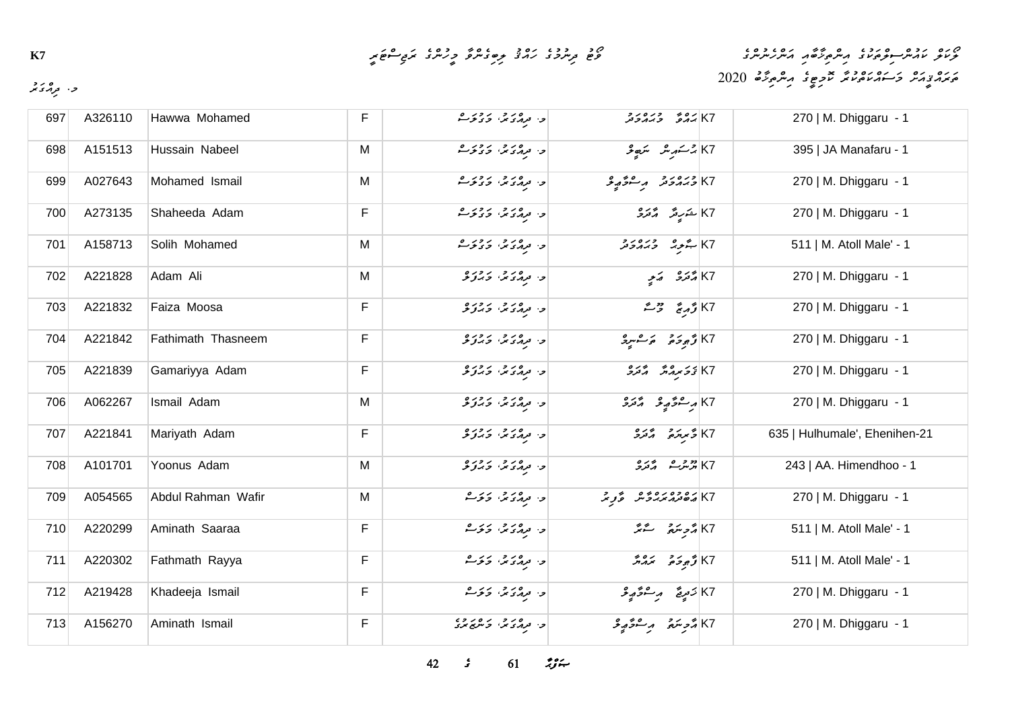*sCw7q7s5w7m< o<n9nOoAw7o< sCq;mAwBoEw7q<m; wBm;vB* م من المرة المرة المرة المرجع المرجع في المركبة 2020<br>مجم*د المريض المربوط المربع المرجع في المراجع المركبة* 

| 697 | A326110 | Hawwa Mohamed      | F           | و مردوس ووتوگ                                         | K7 پەرە دىرەرد                                     | 270   M. Dhiggaru - 1         |
|-----|---------|--------------------|-------------|-------------------------------------------------------|----------------------------------------------------|-------------------------------|
| 698 | A151513 | Hussain Nabeel     | M           | و مهدی پر وی ک                                        | K7 پر کمبر شریع ک                                  | 395   JA Manafaru - 1         |
| 699 | A027643 | Mohamed Ismail     | M           | و مهروس وووت                                          | K7 <i>وبروبرو به شوَّمٍ و</i>                      | 270   M. Dhiggaru - 1         |
| 700 | A273135 | Shaheeda Adam      | F           | والمتهدى مرور والمحارث                                | K7 شَرِيزٌ مُرْتَزَدٌ                              | 270   M. Dhiggaru - 1         |
| 701 | A158713 | Solih Mohamed      | M           | و مهدی دوره                                           | K7 جۇمۇ ئەيرە ئەر                                  | 511   M. Atoll Male' - 1      |
| 702 | A221828 | Adam Ali           | M           | و په ده د دروو                                        | K7  پژنربی کمی پر                                  | 270   M. Dhiggaru - 1         |
| 703 | A221832 | Faiza Moosa        | F           | و په ده د دروو                                        | K7 وَمِعَ حَمْتُ                                   | 270   M. Dhiggaru - 1         |
| 704 | A221842 | Fathimath Thasneem | F           | والمجمدي والمرواة                                     | K7 زُ <sub>ھِ ج</sub> َ مَ مُ سُرِ چُ              | 270   M. Dhiggaru - 1         |
| 705 | A221839 | Gamariyya Adam     | F           | و په ده د دروو                                        | K7 تۆك <i>ىمەمگە مەترى</i>                         | 270   M. Dhiggaru - 1         |
| 706 | A062267 | Ismail Adam        | M           | والمجمدي والمرواة                                     | K7 <sub>م</sub> رےد <i>ڈ <sub>م</sub>وٹر</i> قریرو | 270   M. Dhiggaru - 1         |
| 707 | A221841 | Mariyath Adam      | F           | و په ده د دروو                                        | K7 <i>وَّ بِرِ مَرَّة مُحَمَّ</i> دَ               | 635   Hulhumale', Ehenihen-21 |
| 708 | A101701 | Yoonus Adam        | M           | و مهروس کردو                                          | K7 ټريز شه پر پرو                                  | 243   AA. Himendhoo - 1       |
| 709 | A054565 | Abdul Rahman Wafir | M           | و ، مرد و تر و تر ش                                   | K7 مەھەممەر ئەربەت قۇي تىر                         | 270   M. Dhiggaru - 1         |
| 710 | A220299 | Aminath Saaraa     | F           | و ، مرد د پر و توگ                                    | K7 مُجْرِسَمُ مُسَمَّد                             | 511   M. Atoll Male' - 1      |
| 711 | A220302 | Fathmath Rayya     | F           | و مهروس وتوگ                                          | K7 زَّجِرْحَمْ سَ <i>مَهْ</i> شَ                   | 511   M. Atoll Male' - 1      |
| 712 | A219428 | Khadeeja Ismail    | F           | د. مهدى تركز ك                                        | K7 زَمِرِيَّ مِ سُوَّمٍ وُ                         | 270   M. Dhiggaru - 1         |
| 713 | A156270 | Aminath Ismail     | $\mathsf F$ | و . مرد و . د و . د . د .<br>د . مرد د بر . د سرج برد |                                                    | 270   M. Dhiggaru - 1         |

*42 s* 61 *i*<sub>S</sub> $\approx$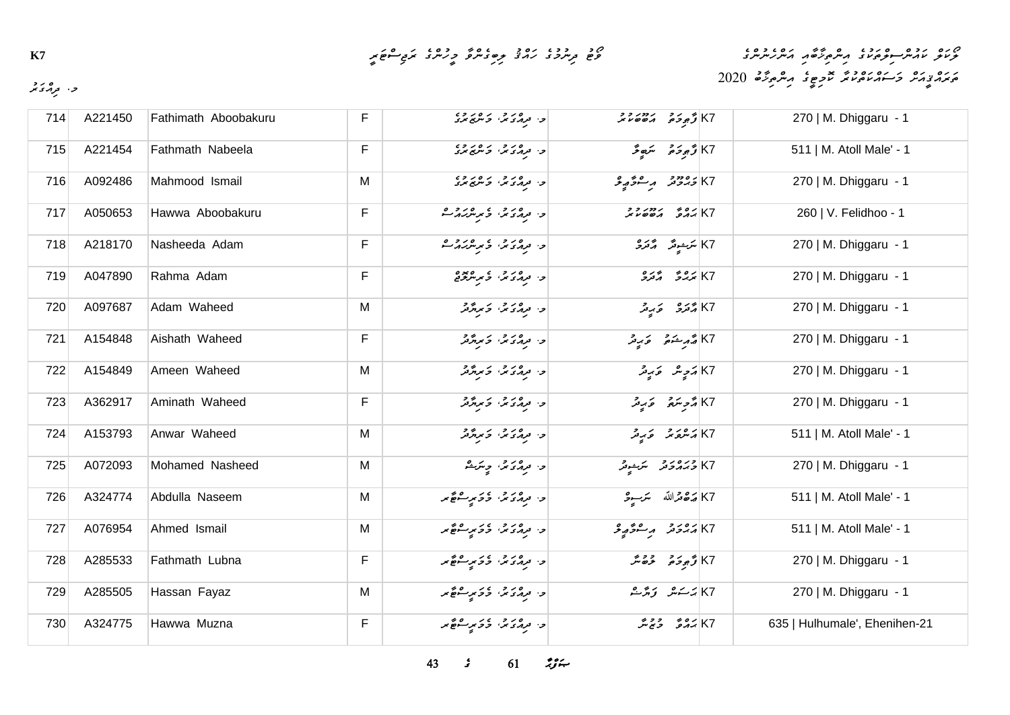*sCw7q7s5w7m< o<n9nOoAw7o< sCq;mAwBoEw7q<m; wBm;vB* م من المسجد المسجد المسجد المسجد المسجد العام 2020<br>مسجد المسجد المسجد المسجد المسجد المسجد المسجد المسجد المسجد ال

| 714 | A221450 | Fathimath Aboobakuru | $\mathsf F$ | و٠ ترور و د د د د د        | $22222$ $2927$ $87$ $87$            | 270   M. Dhiggaru - 1         |
|-----|---------|----------------------|-------------|----------------------------|-------------------------------------|-------------------------------|
| 715 | A221454 | Fathmath Nabeela     | $\mathsf F$ | و مردو کرده ده             | K7 زَّەپرْدَەْ سَھِرَّ              | 511   M. Atoll Male' - 1      |
| 716 | A092486 | Mahmood Ismail       | M           | و. مردوس وسروه             | K7 در دور در موگر و                 | 270   M. Dhiggaru - 1         |
| 717 | A050653 | Hawwa Aboobakuru     | $\mathsf F$ | و مرمومي ومرمرم و          | $22222$ $2027$ $82$ $87$            | 260   V. Felidhoo - 1         |
| 718 | A218170 | Nasheeda Adam        | $\mathsf F$ | و مردوس ومردو              | K7 سَرَسُومَّر   مُرَّمَرَوُ        | 270   M. Dhiggaru - 1         |
| 719 | A047890 | Rahma Adam           | $\mathsf F$ | و مرد و و و دره و          | K7 تزرُرٌ گ <sup>و</sup> تروُ       | 270   M. Dhiggaru - 1         |
| 720 | A097687 | Adam Waheed          | M           | و مردوس کريگر              | K7 مُرْمَرْد - مَ رِمْرِ            | 270   M. Dhiggaru - 1         |
| 721 | A154848 | Aishath Waheed       | F           | د. دره د تر کریزگر         | K7 مُمْ مِسْتَمْ وَمِيْتْر          | 270   M. Dhiggaru - 1         |
| 722 | A154849 | Ameen Waheed         | M           | د. دره د تر کره د          | K7 كەچ شەھ كەيدىگە                  | 270   M. Dhiggaru - 1         |
| 723 | A362917 | Aminath Waheed       | $\mathsf F$ | د. دره دنگ کامرهگر         | K7 مَّ <i>جِسَعَة وَ بِ</i> قَر     | 270   M. Dhiggaru - 1         |
| 724 | A153793 | Anwar Waheed         | M           | د. دره د تر کهره کر        | K7 كەشھەتمە ھ <sup>ى</sup> يەقر     | 511   M. Atoll Male' - 1      |
| 725 | A072093 | Mohamed Nasheed      | M           | د. ترمری تر، چنگو          | K7 <i>وُبَہُ وَمَدْ</i> سَرَشِيْتَر | 270   M. Dhiggaru - 1         |
| 726 | A324774 | Abdulla Naseem       | M           | و مردوس وومر مقد           | K7 رَحْمَرْاللَّهُ سَرَسِوْدُ       | 511   M. Atoll Male' - 1      |
| 727 | A076954 | Ahmed Ismail         | M           | والمرور والمحاكم والمستقصر | K7   ئەركەتىر بەيدىگە ئەرك          | 511   M. Atoll Male' - 1      |
| 728 | A285533 | Fathmath Lubna       | $\mathsf F$ | والمرور والمحاكم والمستقصر | K7 زَّەپرىق بۇھەش                   | 270   M. Dhiggaru - 1         |
| 729 | A285505 | Hassan Fayaz         | M           | و مردو د و و در مؤمر       | K7 پرسترش توپژشہ                    | 270   M. Dhiggaru - 1         |
| 730 | A324775 | Hawwa Muzna          | F           | و مردوس ووير مؤيد          | K7 بَرْدُوْ دَيْ شَ                 | 635   Hulhumale', Ehenihen-21 |

*43 sC 61 nNw?mS*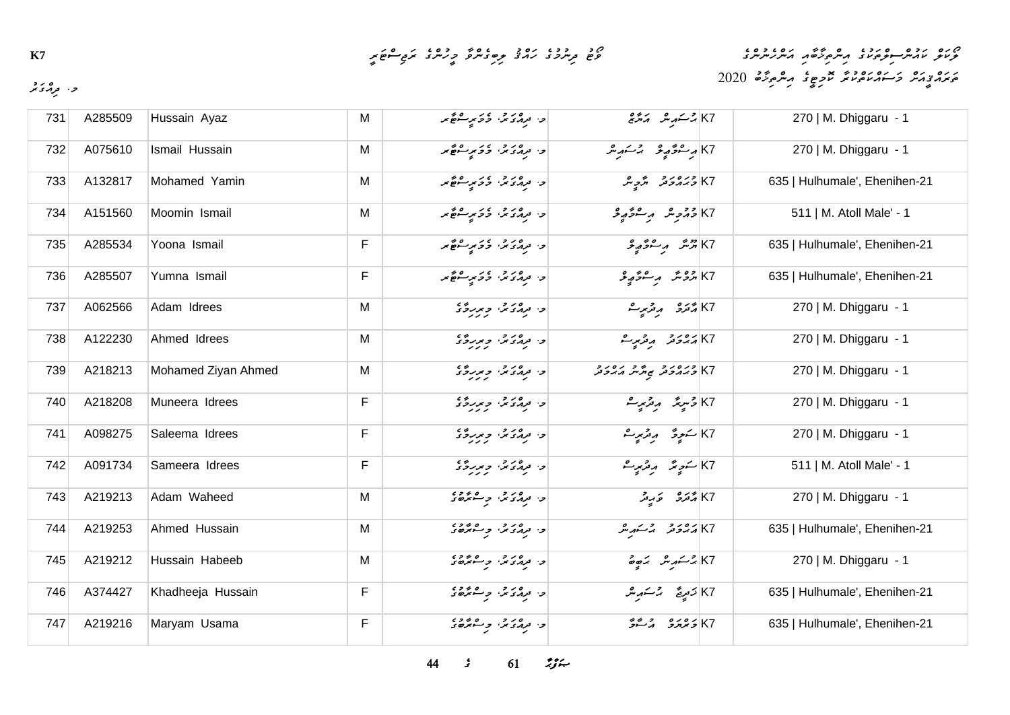*sCw7q7s5w7m< o<n9nOoAw7o< sCq;mAwBoEw7q<m; wBm;vB* م من المرة المرة المرة المرجع المرجع في المركبة 2020<br>مجم*د المريض المربوط المربع المرجع في المراجع المركبة* 

| 731 | A285509 | Hussain Ayaz        | M | و مردوس وومر شیخه          | K7 بر سَمبر شرح م <i>ح</i> قیم            | 270   M. Dhiggaru - 1         |
|-----|---------|---------------------|---|----------------------------|-------------------------------------------|-------------------------------|
| 732 | A075610 | Ismail Hussain      | M | د. مرد د د د د برسوځ مر    | K7 <sub>م</sub> رےد <i>ۇر</i> و جەسەر     | 270   M. Dhiggaru - 1         |
| 733 | A132817 | Mohamed Yamin       | M | و مردوس ووسع م             | K7 <i>\$ 22.25 مرَّح مر</i>               | 635   Hulhumale', Ehenihen-21 |
| 734 | A151560 | Moomin Ismail       | M | و مردوس وومر مقد           | K7  <i>وْډُوِ</i> سْ مِـــْوُّمِيْوْ      | 511   M. Atoll Male' - 1      |
| 735 | A285534 | Yoona Ismail        | F | والمردور والمراكب والمحامر | K7 ترىتر بەستۇربى ئى                      | 635   Hulhumale', Ehenihen-21 |
| 736 | A285507 | Yumna Ismail        | F | و مردوس وومر مقد           | K7 ىردىگە بەس <i>تۇم</i> بۇ               | 635   Hulhumale', Ehenihen-21 |
| 737 | A062566 | Adam Idrees         | M | و مردوس ومردون             | K7 مُرْتَدَدُ مِنْدَمِيْتُ                | 270   M. Dhiggaru - 1         |
| 738 | A122230 | Ahmed Idrees        | M | و مردوس ومرروی             | K7 كەبرى قىر مەمەر بىر بىر                | 270   M. Dhiggaru - 1         |
| 739 | A218213 | Mohamed Ziyan Ahmed | M | و مردوس ومرروى             | K7 دېرورو   پروگر ډېرونر                  | 270   M. Dhiggaru - 1         |
| 740 | A218208 | Muneera Idrees      | F | و مرد دی و مرزود           | K7 دُ سِرْ مَه مِرْمَرِ مُشَرِ مِنْ       | 270   M. Dhiggaru - 1         |
| 741 | A098275 | Saleema Idrees      | F | و مردوس ومررومی            | K7 سَمِرِیَّ م <i>رتزم</i> ی <sup>ہ</sup> | 270   M. Dhiggaru - 1         |
| 742 | A091734 | Sameera Idrees      | F | و مردوس ومررومی            | K7 سَوِيمٌ مِقْرَمِي <sup>م</sup> ُ       | 511   M. Atoll Male' - 1      |
| 743 | A219213 | Adam Waheed         | M | و مرد د و موده د           | K7 مُرْمَرْدْ - مَ بِرِمْر                | 270   M. Dhiggaru - 1         |
| 744 | A219253 | Ahmed Hussain       | M | و مردوند، و مشخصی          | K7 كەبروتىر بىر شەربىر                    | 635   Hulhumale', Ehenihen-21 |
| 745 | A219212 | Hussain Habeeb      | M | و مردوند، وت مرده          | K7 پر <i>شریر پر چ</i>                    | 270   M. Dhiggaru - 1         |
| 746 | A374427 | Khadheeja Hussain   | F | و مردوند، وت مرده          | K7 كەيرقى كەسكەپ مى                       | 635   Hulhumale', Ehenihen-21 |
| 747 | A219216 | Maryam Usama        | F | و مردوند، و مشخصی          | K7 كا <i>ترمز بالمرتباني</i>              | 635   Hulhumale', Ehenihen-21 |

*44 sC 61 nNw?mS*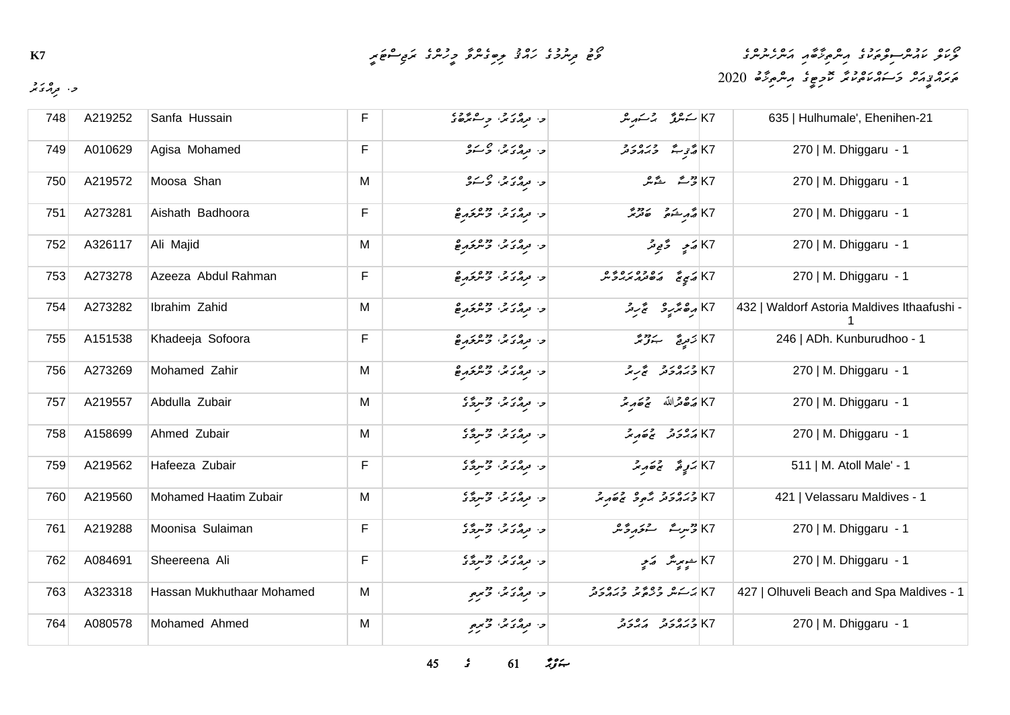*sCw7q7s5w7m< o<n9nOoAw7o< sCq;mAwBoEw7q<m; wBm;vB 2020*<br>*په پوهر وسوډيرونو لومو د موجو د مرمونه* 2020

| 748 | A219252 | Sanfa Hussain                | F            | و مردوند و مشخصی    | K7 سەئىر ئ <i>ۇ يىش</i> ەير                            | 635   Hulhumale', Ehenihen-21               |
|-----|---------|------------------------------|--------------|---------------------|--------------------------------------------------------|---------------------------------------------|
| 749 | A010629 | Agisa Mohamed                | F            | د. مهدري و ده       | K7 <sub>م</sub> ُت <sub>وِّ</sub> بُہٗ وَيَہُوفَتَر    | 270   M. Dhiggaru - 1                       |
| 750 | A219572 | Moosa Shan                   | M            | د. مرد دي. و ک      | K7 _ چرشہ مشرک                                         | 270   M. Dhiggaru - 1                       |
| 751 | A273281 | Aishath Badhoora             | F            | و. مردو بر دوه ده و | K7 مەم شەم ھەرىمە                                      | 270   M. Dhiggaru - 1                       |
| 752 | A326117 | Ali Majid                    | M            | ح مرد د دوه در ه    | K7  رَ <sub>ّحٍ</sub> وَّ <sub>مِ</sub> مِّر           | 270   M. Dhiggaru - 1                       |
| 753 | A273278 | Azeeza Abdul Rahman          | F            | و. مردوبر، ومرتوره  | K7 <i>בُبِي * مُ</i> ھ <sup>و</sup> م <i>م</i> ُديد مُ | 270   M. Dhiggaru - 1                       |
| 754 | A273282 | Ibrahim Zahid                | M            | و مردوس ومردم       | K7 مەھەرىپە تەرىتر                                     | 432   Waldorf Astoria Maldives Ithaafushi - |
| 755 | A151538 | Khadeeja Sofoora             | $\mathsf{F}$ | و مردوس ومروم       | K7 كَتْعِيقٌ سِكَوْتِمُدُ                              | 246   ADh. Kunburudhoo - 1                  |
| 756 | A273269 | Mohamed Zahir                | M            | و. مردو بر دوه ده و | K7  <i>وټرونو ځې</i> تر                                | 270   M. Dhiggaru - 1                       |
| 757 | A219557 | Abdulla Zubair               | M            | و مرد و در و در و   | K7 مَەھىراللە ج <i>ھەم</i> ىر                          | 270   M. Dhiggaru - 1                       |
| 758 | A158699 | Ahmed Zubair                 | M            | و. مهدى مى ومېږى    | K7 <i>محمد حقديم</i>                                   | 270   M. Dhiggaru - 1                       |
| 759 | A219562 | Hafeeza Zubair               | $\mathsf{F}$ | و مرد و در در       | K7 بَرَوٍ مَحْ مَصْهَدِ بِرْ                           | 511   M. Atoll Male' - 1                    |
| 760 | A219560 | <b>Mohamed Haatim Zubair</b> | M            | و مردوس ومردوع      | K7 در در در بر در در در در د                           | 421   Velassaru Maldives - 1                |
| 761 | A219288 | Moonisa Sulaiman             | F            | و مردوم ومروء       | K7  تۇس <sup>ىق</sup> سىمخ <sub>ى</sub> رى <i>جى</i> گ | 270   M. Dhiggaru - 1                       |
| 762 | A084691 | Sheereena Ali                | F            | و٠ مرد د د ومرد و   | K7 خومپرنگر <b>ک</b> ے پر                              | 270   M. Dhiggaru - 1                       |
| 763 | A323318 | Hassan Mukhuthaar Mohamed    | M            | د مرد در در در      | K7 پرېده وه وه وره د و                                 | 427   Olhuveli Beach and Spa Maldives - 1   |
| 764 | A080578 | Mohamed Ahmed                | M            | د. ترور د د و مره   | K7 <i>ב پرورو پرور</i> و                               | 270   M. Dhiggaru - 1                       |

*45 sC 61 nNw?mS*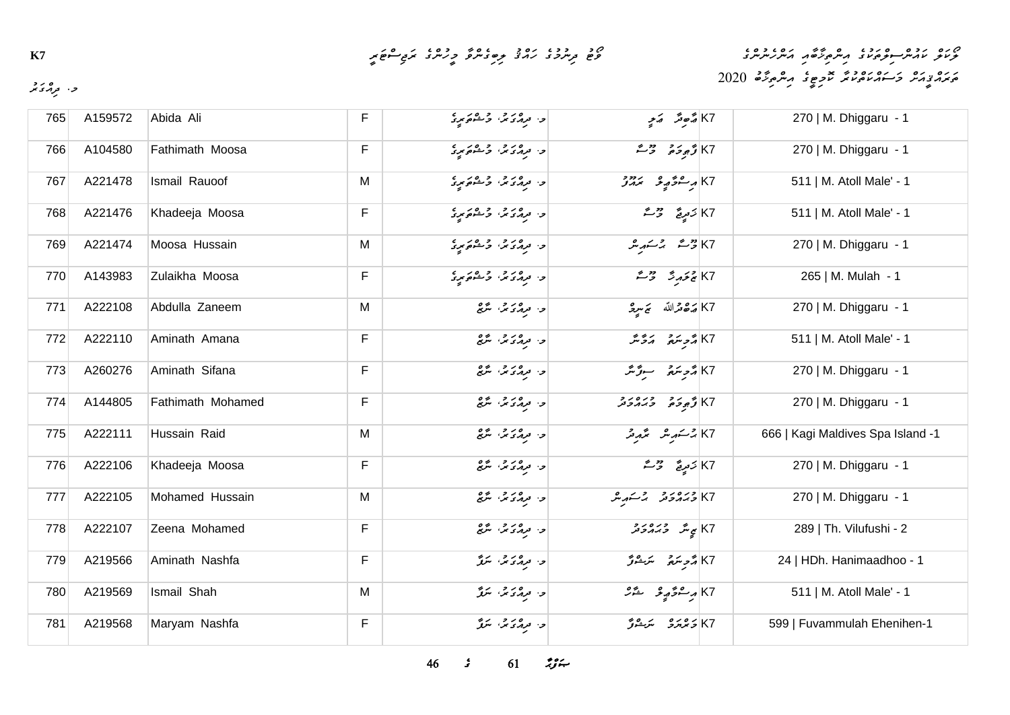*sCw7q7s5w7m< o<n9nOoAw7o< sCq;mAwBoEw7q<m; wBm;vB 2020*<br>*په پوهر وسوډيرونو لومو د موجو د مرمونه* 2020

| 765 | A159572 | Abida Ali         | F | و مرد د و و شو مړي                     |                                              | 270   M. Dhiggaru - 1             |
|-----|---------|-------------------|---|----------------------------------------|----------------------------------------------|-----------------------------------|
| 766 | A104580 | Fathimath Moosa   | F | د. مرد د د مشهور د                     | K7 رَّجِ دَمَّةَ مَنْ شَدَّ                  | 270   M. Dhiggaru - 1             |
| 767 | A221478 | Ismail Rauoof     | M | و مردوس وشوره                          | K7 <sub>م</sub> رشۇ <sub>م</sub> و مەدد      | 511   M. Atoll Male' - 1          |
| 768 | A221476 | Khadeeja Moosa    | F | و مردو و ورور و                        | K7 زَمرِيحٌ     وَ"سُرٌ                      | 511   M. Atoll Male' - 1          |
| 769 | A221474 | Moosa Hussain     | M | و مردوبر و دور د<br>و مردوبر، و شوتوبر | K7 چرىئە ب <sub>ە</sub> شكەپەنتىر            | 270   M. Dhiggaru - 1             |
| 770 | A143983 | Zulaikha Moosa    | F | و مردوبر و دور د<br>و مردوبر، و شوتوبر | K7 نج تحرم <sup>3</sup> تخ مستر              | 265   M. Mulah - 1                |
| 771 | A222108 | Abdulla Zaneem    | M | و٠ قرور و پر شيخ                       | K7 مَەھراللە ئ <sub>ە س</sub> ور             | 270   M. Dhiggaru - 1             |
| 772 | A222110 | Aminath Amana     | F | و٠ قرار در پر پر کا                    | K7 مَّ حِسَمَة مَدَّسَّر                     | 511   M. Atoll Male' - 1          |
| 773 | A260276 | Aminath Sifana    | F | و٠ فرور د عربي                         | K7 مَّ حِ سَمَّةٌ مَسِنَّةٌ مَّ              | 270   M. Dhiggaru - 1             |
| 774 | A144805 | Fathimath Mohamed | F | و مردوس شي                             | K7 ژ <sub>نج ح</sub> ده اور در در            | 270   M. Dhiggaru - 1             |
| 775 | A222111 | Hussain Raid      | M | و مردوس شي                             | K7 پر <i>کے مربی مرکب</i> وتر                | 666   Kagi Maldives Spa Island -1 |
| 776 | A222106 | Khadeeja Moosa    | F | و٠ قرار در پر پر کا                    |                                              | 270   M. Dhiggaru - 1             |
| 777 | A222105 | Mohamed Hussain   | M | و٠ فرور در عرضي                        | K7 دېم د د کار مرکز                          | 270   M. Dhiggaru - 1             |
| 778 | A222107 | Zeena Mohamed     | F | و٠ قرار در پر پر کا                    | K7 <sub>مې</sub> ش د <i>جن</i> مړوند         | 289   Th. Vilufushi - 2           |
| 779 | A219566 | Aminath Nashfa    | F | و . فره د ته سرگی کن                   | K7 مَّ حِ سَرَ سَنَ سَرْ سَرْ سَرْ سَرْ مَرْ | 24   HDh. Hanimaadhoo - 1         |
| 780 | A219569 | Ismail Shah       | M | و مرد ده سرگ                           | K7 <sub>م</sub> رےد <i>و پ</i> و شرو         | 511   M. Atoll Male' - 1          |
| 781 | A219568 | Maryam Nashfa     | F | و • فره د تمر سرگی سرگی                | K7 كەندىرى سىنىشۇ ئى                         | 599   Fuvammulah Ehenihen-1       |

*46 s* 61 *i*<sub>S</sub> $\approx$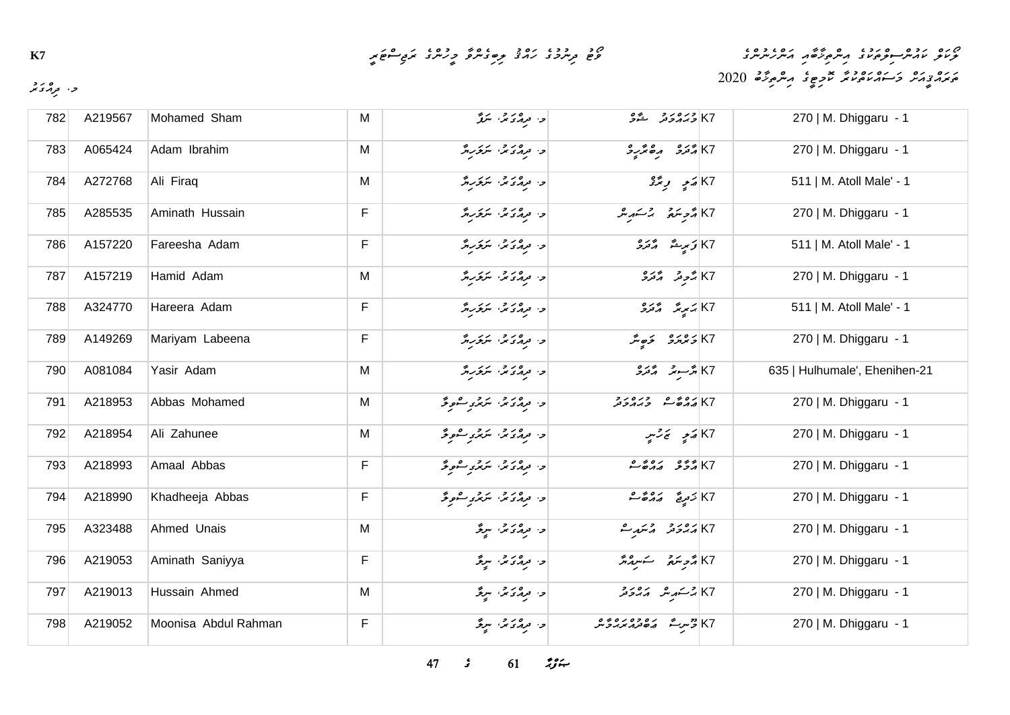*sCw7q7s5w7m< o<n9nOoAw7o< sCq;mAwBoEw7q<m; wBm;vB* م من المرة المرة المرة المرجع المرجع في المركبة 2020<br>مجم*د المريض المربوط المربع المرجع في المراجع المركبة* 

| 782 | A219567 | Mohamed Sham         | M            | و مرد دی. سَرَّ           | K7  <i>وبروبرة</i> شرو          | 270   M. Dhiggaru - 1         |
|-----|---------|----------------------|--------------|---------------------------|---------------------------------|-------------------------------|
| 783 | A065424 | Adam Ibrahim         | M            | د. دره د تر سرکر سر       | K7 مُحَرَّدُ مِـ صَحَّرِ وَ     | 270   M. Dhiggaru - 1         |
| 784 | A272768 | Ali Firaq            | M            | و مورد تر، سکر کر         | K7 <i>ڇپ وينگ</i> و             | 511   M. Atoll Male' - 1      |
| 785 | A285535 | Aminath Hussain      | $\mathsf F$  | و مهدى چى سركر بر         | K7 مُجِسَعَةِ مُحْسَبِسْ        | 270   M. Dhiggaru - 1         |
| 786 | A157220 | Fareesha Adam        | $\mathsf{F}$ | و مهدى چې سرگرېد          | K7 كۆمچەشقە ئەگەنگەنى           | 511   M. Atoll Male' - 1      |
| 787 | A157219 | Hamid Adam           | M            | و مرد دی. سرکر سر         | K7 جُّجِعْرُ مُحْمَدُّ          | 270   M. Dhiggaru - 1         |
| 788 | A324770 | Hareera Adam         | F            | و مرد دی. سرکر بر         | K7 كەمچەنتىر ئەقەرى             | 511   M. Atoll Male' - 1      |
| 789 | A149269 | Mariyam Labeena      | $\mathsf F$  | و مرد دی. سرکر برگ        | K7 <i>جەنگە ئۇھ</i> ىگە         | 270   M. Dhiggaru - 1         |
| 790 | A081084 | Yasir Adam           | M            | و وړه دی. سرکریز          | K7 پڑے پڑ گھری                  | 635   Hulhumale', Ehenihen-21 |
| 791 | A218953 | Abbas Mohamed        | M            | و مرد د تر شرقر شور محمد  | K7 دَرُهُ شَهِ دِيرِ دِرِ       | 270   M. Dhiggaru - 1         |
| 792 | A218954 | Ali Zahunee          | M            | و مرد د تر شرقر شور محمد  | K7 <i>ڇُجِه چَي</i> ٽسِ         | 270   M. Dhiggaru - 1         |
| 793 | A218993 | Amaal Abbas          | F            | و مرد د تر شرقر و هو نخ   | $2222$ $227$ K7                 | 270   M. Dhiggaru - 1         |
| 794 | A218990 | Khadheeja Abbas      | $\mathsf{F}$ | و مرد د کار شرکرد کشور مح | K7 زَمَرِيحَ     رَهُ صَلَّ – C | 270   M. Dhiggaru - 1         |
| 795 | A323488 | Ahmed Unais          | M            | د: تروکری، سرگر           | K7 <i>جەج</i> قى مەسىم ب        | 270   M. Dhiggaru - 1         |
| 796 | A219053 | Aminath Saniyya      | $\mathsf{F}$ | د پروژنما سرگی            | K7 مُجْرِسَهُ سَسِ <i>م</i> َهُ | 270   M. Dhiggaru - 1         |
| 797 | A219013 | Hussain Ahmed        | M            | د: تروکری، سرگر           | K7 يُرْسَمْ بِهِ بِرَوْرَ قَرْ  | 270   M. Dhiggaru - 1         |
| 798 | A219052 | Moonisa Abdul Rahman | $\mathsf F$  | د: تروکری، سرگی           | K7 ژمېرگ د ه وه د ه وه و        | 270   M. Dhiggaru - 1         |

*47 sC 61 nNw?mS*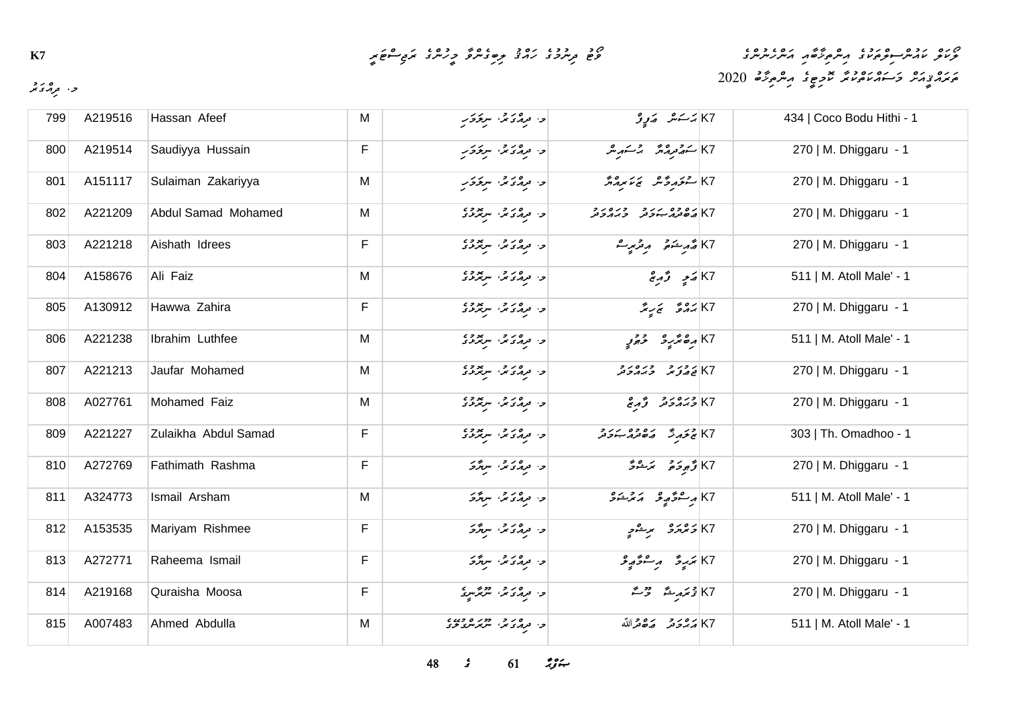*sCw7q7s5w7m< o<n9nOoAw7o< sCq;mAwBoEw7q<m; wBm;vB* م من المرة المرة المرة المرجع المرجع في المركبة 2020<br>مجم*د المريض المربوط المربع المرجع في المراجع المركبة* 

| 799 | A219516 | Hassan Afeef               | M            | د مرد دی. سرد در      | K7   پرستر کر کری کل                                | 434   Coco Bodu Hithi - 1 |
|-----|---------|----------------------------|--------------|-----------------------|-----------------------------------------------------|---------------------------|
| 800 | A219514 | Saudiyya Hussain           | F            | و مرد دی. سرگر کر     | K7 س <i>ەھەمەھەر جىسىمبە</i> ھر                     | 270   M. Dhiggaru - 1     |
| 801 | A151117 | Sulaiman Zakariyya         | M            | و- فرەرىمى سرىزىر بە  | K7 جۇمۇمىرى ئەرەمەر                                 | 270   M. Dhiggaru - 1     |
| 802 | A221209 | <b>Abdul Samad Mohamed</b> | $\mathsf{M}$ | و. فره د چې سرچرن د   | 71 - مەمرىر 2010 - 2010 كىل                         | 270   M. Dhiggaru - 1     |
| 803 | A221218 | Aishath Idrees             | F            | و. فره د چې سرچرن د   | K7 مەرشەمۇ بەرترىيەت<br>سىر                         | 270   M. Dhiggaru - 1     |
| 804 | A158676 | Ali Faiz                   | M            | و مرد و د به سربر د و | K7 <i>جَ جِ</i> وَ <i>مِ</i> ي                      | 511   M. Atoll Male' - 1  |
| 805 | A130912 | Hawwa Zahira               | F            | و مرد و د و .         | K7 ئەۋر <i>ۇ</i> ت <sub>ى بى</sub> ر                | 270   M. Dhiggaru - 1     |
| 806 | A221238 | Ibrahim Luthfee            | M            | و. فره د چې سرچرن د   | K7 <sub>م</sub> ەنگەپ <sup>ى ب</sup> ەقبۇر          | 511   M. Atoll Male' - 1  |
| 807 | A221213 | Jaufar Mohamed             | M            | و. فره د چې سرچرن     | K7 نے <i>مرکز پر جہاد ج</i> ر                       | 270   M. Dhiggaru - 1     |
| 808 | A027761 | Mohamed Faiz               | M            | و. فره د چې سرچرن د   | K7 <i>جەنگە خۇرى</i> ئ                              | 270   M. Dhiggaru - 1     |
| 809 | A221227 | Zulaikha Abdul Samad       | F            | و مرد و د و .         | K7 يحرك مەھىركە جەرجە                               | 303   Th. Omadhoo - 1     |
| 810 | A272769 | Fathimath Rashma           | F            | د. مرد د تر. سرگرد    | K7 <i>وَّجِ دَمَّةَ</i> سَشَرَقَّةَ                 | 270   M. Dhiggaru - 1     |
| 811 | A324773 | Ismail Arsham              | M            | د مرد د کر سرگرد      | K7 <sub>م</sub> رےد <i>ۇ<sub>م</sub>ى</i> كەرگىنىدۇ | 511   M. Atoll Male' - 1  |
| 812 | A153535 | Mariyam Rishmee            | F            | و مرد دي سرگر         | K7 كا <i>نگەنگ</i> ۇ بېشمۇ                          | 270   M. Dhiggaru - 1     |
| 813 | A272771 | Raheema Ismail             | F            | و مرد دی. سرگرد       | K7 بَرَرٍ حَرَّ مِرْ - مُحَرَّمٍ مِنْ الْمَرْدِ     | 270   M. Dhiggaru - 1     |
| 814 | A219168 | Quraisha Moosa             | $\mathsf F$  | د. مرد دی شرعی س      | K7 توتترم شد حق <sup>م</sup> شد                     | 270   M. Dhiggaru - 1     |
| 815 | A007483 | Ahmed Abdulla              | M            |                       | K7 كەبرو كەھەراللە                                  | 511   M. Atoll Male' - 1  |

*48 sC 61 nNw?mS*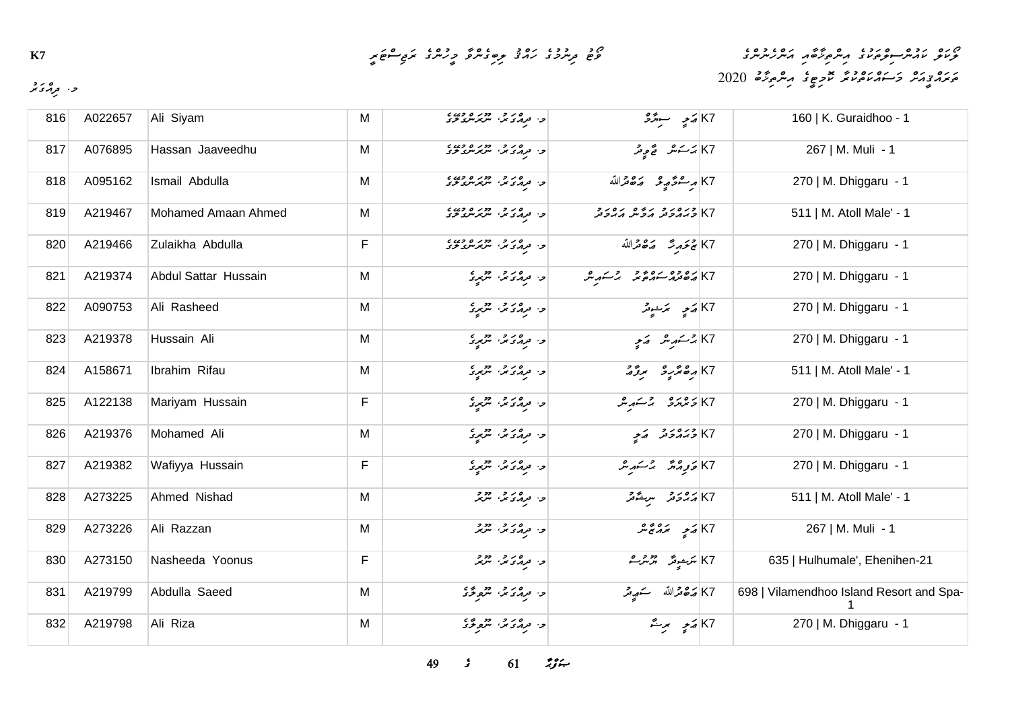*sCw7q7s5w7m< o<n9nOoAw7o< sCq;mAwBoEw7q<m; wBm;vB* م من المرة المرة المرة المرجع المرجع في المركبة 2020<br>مجم*د المريض المربوط المربع المرجع في المراجع المركبة* 

| 816 | A022657 | Ali Siyam            | M | ه مرد د دوره ددن<br>د مرد د بر سربر سرد         | K7 كەبىي سە <i>مەڭ</i>                                                                                         | 160   K. Guraidhoo - 1                   |
|-----|---------|----------------------|---|-------------------------------------------------|----------------------------------------------------------------------------------------------------------------|------------------------------------------|
| 817 | A076895 | Hassan Jaaveedhu     | M | ه د ده د د ده ده وره د د<br>د دروند سرپرسرونوی  | K7  برسكىش ق <sub>ى</sub> موقىر                                                                                | 267   M. Muli - 1                        |
| 818 | A095162 | Ismail Abdulla       | M | ه د ده د د ده ده وره د د<br>د دروند سرپرسرونوی  | K7 م <i>وستوقي قى</i> مەھمىراللە                                                                               | 270   M. Dhiggaru - 1                    |
| 819 | A219467 | Mohamed Amaan Ahmed  | M | כי נקור ביותר בעיט.<br>כי נקורוביתי ייתית מתוכל | K7 درورو ړو ه. ده ده د                                                                                         | 511   M. Atoll Male' - 1                 |
| 820 | A219466 | Zulaikha Abdulla     | F | ه د ده د د دده وره وره<br>د درورد س             | K7 كج <i>خرم تَنَ مَنْ هُ</i> قْرَاللَّه                                                                       | 270   M. Dhiggaru - 1                    |
| 821 | A219374 | Abdul Sattar Hussain | M | د. مرد د د امريز                                | K7 رەدە رەپرە دىر م                                                                                            | 270   M. Dhiggaru - 1                    |
| 822 | A090753 | Ali Rasheed          | M | د. مرد د د مرس                                  | K7 <i>ڇپ - مڌ</i> ڻيون <i>ٽر</i>                                                                               | 270   M. Dhiggaru - 1                    |
| 823 | A219378 | Hussain Ali          | M | د. ترور در انگریزی                              | K7  پرڪوپش ڪچي                                                                                                 | 270   M. Dhiggaru - 1                    |
| 824 | A158671 | Ibrahim Rifau        | M | د. ترور در انگریزی                              | K7 مەھەمگەر ئەسىردە ئە                                                                                         | 511   M. Atoll Male' - 1                 |
| 825 | A122138 | Mariyam Hussain      | F | د. مرد د د بر                                   | K7 كەبەر بەر يەسەر بىر                                                                                         | 270   M. Dhiggaru - 1                    |
| 826 | A219376 | Mohamed Ali          | M | د. مرد د د بر                                   | K7 دېم دې ه.                                                                                                   | 270   M. Dhiggaru - 1                    |
| 827 | A219382 | Wafiyya Hussain      | F | د. مرد د د بر                                   | K7 <i>قۇمىگە</i> جىسكىرىش                                                                                      | 270   M. Dhiggaru - 1                    |
| 828 | A273225 | Ahmed Nishad         | M | و برور دور<br>د برورس سرس                       | K7 كەبرى كەر سەيدى كەنتىكى بىر كەنتىكى بىر كەنتىكە بىر كەنتىكە بىر كەنتىكە كەنتىكە بىر كەنتىكە بىر كەنتىكە بىر | 511   M. Atoll Male' - 1                 |
| 829 | A273226 | Ali Razzan           | M | و مرد دو دود                                    | K7  رَمِي بَرَدْبَجْسْ                                                                                         | 267   M. Muli - 1                        |
| 830 | A273150 | Nasheeda Yoonus      | F | و مرد و دود.<br>د مرد د س                       | K7 سَرَڪونَ <i>رُ پُرُمَّرُڪُ</i>                                                                              | 635   Hulhumale', Ehenihen-21            |
| 831 | A219799 | Abdulla Saeed        | M | و مهروس تروی                                    | K7 كەھەراللە كىھەتر                                                                                            | 698   Vilamendhoo Island Resort and Spa- |
| 832 | A219798 | Ali Riza             | M | د. درمری شروعی                                  | K7 ړو برگ                                                                                                      | 270   M. Dhiggaru - 1                    |

*49 sC 61 nNw?mS*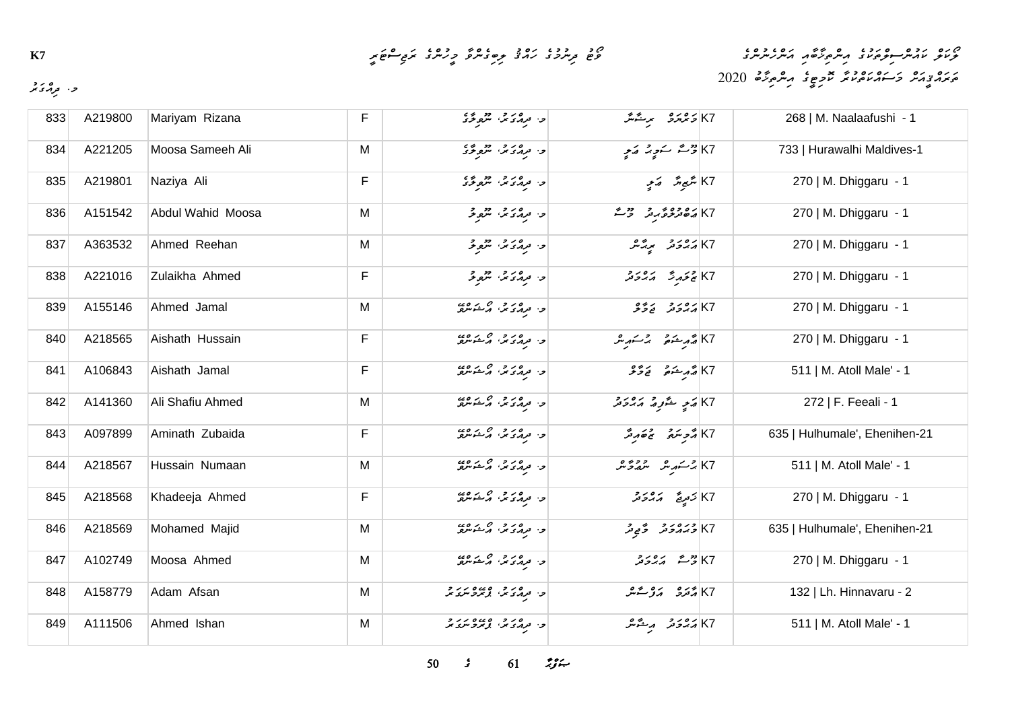*sCw7q7s5w7m< o<n9nOoAw7o< sCq;mAwBoEw7q<m; wBm;vB* م من المرة المرة المرة المرجع المرجع في المركبة 2020<br>مجم*د المريض المربوط المربع المرجع في المراجع المركبة* 

| 833 | A219800 | Mariyam Rizana    | F           | د مرد د پر شرقر                                                                                                                                                                                                                  | K7 كەبىر بىر ئىگەنگە                        | 268   M. Naalaafushi - 1      |
|-----|---------|-------------------|-------------|----------------------------------------------------------------------------------------------------------------------------------------------------------------------------------------------------------------------------------|---------------------------------------------|-------------------------------|
| 834 | A221205 | Moosa Sameeh Ali  | M           | و٠ قرەرى ھەتى                                                                                                                                                                                                                    | K7  جُٹ سَوِیْ <sub>مَ</sub> وِ             | 733   Hurawalhi Maldives-1    |
| 835 | A219801 | Naziya Ali        | F           | و٠ قرەرى ئەشھەتچى                                                                                                                                                                                                                | K7 سٌمبر کَھ کو                             | 270   M. Dhiggaru - 1         |
| 836 | A151542 | Abdul Wahid Moosa | M           | د مرد د بر معروف                                                                                                                                                                                                                 | K7 كەھەر <i>جى جە</i> ئەسىم                 | 270   M. Dhiggaru - 1         |
| 837 | A363532 | Ahmed Reehan      | M           | د· مرمرۍ علي سره د کلي                                                                                                                                                                                                           | K7 <i>ړې دي.</i> پريگر                      | 270   M. Dhiggaru - 1         |
| 838 | A221016 | Zulaikha Ahmed    | $\mathsf F$ | و مرد و ده در د                                                                                                                                                                                                                  | K7 يحكم بحر بمركز تر                        | 270   M. Dhiggaru - 1         |
| 839 | A155146 | Ahmed Jamal       | M           | و. مردو پر مشروع                                                                                                                                                                                                                 | K7 كەبرى قىر قىم ئىچە ئىچە ئىچە ئىچە ئىچە ئ | 270   M. Dhiggaru - 1         |
| 840 | A218565 | Aishath Hussain   | F           | و. مهم د حر مه د ۵ مه                                                                                                                                                                                                            | K7 مەم شىم ئەسىمبە ھ                        | 270   M. Dhiggaru - 1         |
| 841 | A106843 | Aishath Jamal     | F           | ه . ورو مي د ده<br>د . وروند کر شوسرو                                                                                                                                                                                            | K7 مُمبِّسَمُ مَحَرَّدُ                     | 511   M. Atoll Male' - 1      |
| 842 | A141360 | Ali Shafiu Ahmed  | M           | و. مهم د حر مه د ۵ مه                                                                                                                                                                                                            | K7 كەي ش <i>ۇر</i> كەردىر                   | 272   F. Feeali - 1           |
| 843 | A097899 | Aminath Zubaida   | F           | و. مهم د حر مه د ۵ مه                                                                                                                                                                                                            | K7 مُجِسَمَة ج&مق                           | 635   Hulhumale', Ehenihen-21 |
| 844 | A218567 | Hussain Numaan    | M           | ه مرد مهرده وره.<br>د مرد د بر استوسره                                                                                                                                                                                           | K7 يُرَ سَمِيرُ مُسْتَمَدَّةٌ مَرْ          | 511   M. Atoll Male' - 1      |
| 845 | A218568 | Khadeeja Ahmed    | $\mathsf F$ | و مرور و هر دون<br>و مروری و شوسرو                                                                                                                                                                                               | K7 زَمَرِيحٌ     دَرُدَ دَرْ                | 270   M. Dhiggaru - 1         |
| 846 | A218569 | Mohamed Majid     | M           | ه مرد و همنده.<br>د مرد د بر استوسرو                                                                                                                                                                                             | K7  32,25 د گھ باتر                         | 635   Hulhumale', Ehenihen-21 |
| 847 | A102749 | Moosa Ahmed       | M           | ه د و ه ده بره ده<br>د درمرۍ مر مشورو                                                                                                                                                                                            | K7 پیشہ پر پروٹر                            | 270   M. Dhiggaru - 1         |
| 848 | A158779 | Adam Afsan        | M           | و به ورو و ده در و .<br>د به درد د بر بروس                                                                                                                                                                                       | K7 گەنىرى كەنى شەھر                         | 132   Lh. Hinnavaru - 2       |
| 849 | A111506 | Ahmed Ishan       | M           | ح- مرحك من المرحب المرحب المرحب المرحب المرحب المرحب المرحب المرحب المرحب المرحب المرحب المرحب المرحب المرحب ا<br>المرحب المرحب المرحب المرحب المرحب المرحب المرحب المرحب المرحب المرحب المرحب المرحب المرحب المرحب المرحب المرح | K7 <i>م.دونر م</i> یشر                      | 511   M. Atoll Male' - 1      |

 $50$  *s*  $61$  *n***<sub>y</sub>** $\leq$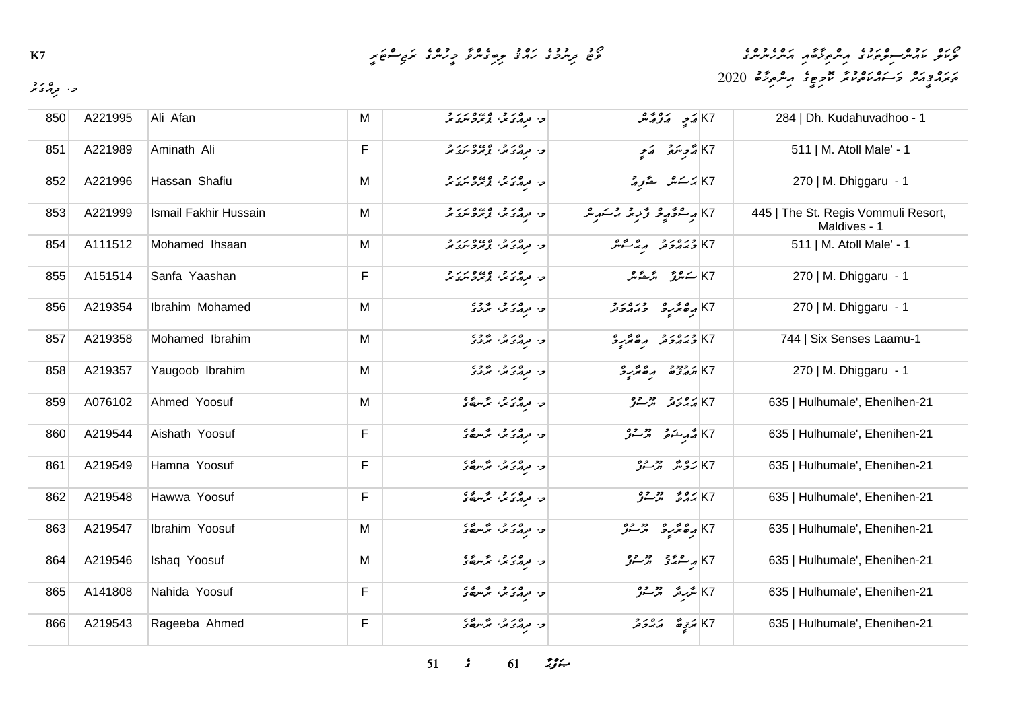*sCw7q7s5w7m< o<n9nOoAw7o< sCq;mAwBoEw7q<m; wBm;vB* م من المرة المرة المرة المرجع المرجع في المركبة 2020<br>مجم*د المريض المربوط المربع المرجع في المراجع المركبة* 

| 850 | A221995 | Ali Afan              | M           | و مرد و من در د<br>د مرد د بر بربرد س         | K7  <i>ھَ جِي ھَوُھُ</i> مُّر              | 284   Dh. Kudahuvadhoo - 1                          |  |
|-----|---------|-----------------------|-------------|-----------------------------------------------|--------------------------------------------|-----------------------------------------------------|--|
| 851 | A221989 | Aminath Ali           | F           | ه مره و من در در د<br>د مرد د د کرمروس        | K7 مرَّحِ سَمَعُ مَسَمِّدٍ                 | 511   M. Atoll Male' - 1                            |  |
| 852 | A221996 | Hassan Shafiu         | M           | و مرد و من در د<br>د مرد د بر بربرد س         | K7 بَرَسَۃ شَ <i>وَوڤ</i>                  | 270   M. Dhiggaru - 1                               |  |
| 853 | A221999 | Ismail Fakhir Hussain | M           | و مرد و من ورد و<br>و مرد و من بومروس         | K7 بەشگەر ئۇ ئۇنىڭ ب <sup>ە</sup> سەبەش    | 445   The St. Regis Vommuli Resort,<br>Maldives - 1 |  |
| 854 | A111512 | Mohamed Ihsaan        | M           | و مرد و مده و رو و<br>و مرد و من بومرو سرو مر | K7 درورو مروشه                             | 511   M. Atoll Male' - 1                            |  |
| 855 | A151514 | Sanfa Yaashan         | $\mathsf F$ | و مرد و من ورد و<br>و مرد و من بومرو س        | K7 كەشرى ئ <sup>ۇ</sup> شەھر               | 270   M. Dhiggaru - 1                               |  |
| 856 | A219354 | Ibrahim Mohamed       | M           | و فره د پوده                                  | K7 مەھمەر 250.00 د                         | 270   M. Dhiggaru - 1                               |  |
| 857 | A219358 | Mohamed Ibrahim       | M           |                                               | K7 دبروبر و م <i>و</i> پرو                 | 744   Six Senses Laamu-1                            |  |
| 858 | A219357 | Yaugoob Ibrahim       | M           | و . تورد و . د و .<br>و . تورد و س            | K7 أ <i>مروجود وه</i> م محرج               | 270   M. Dhiggaru - 1                               |  |
| 859 | A076102 | Ahmed Yoosuf          | M           | و. مرور و مر شهره و                           | K7 كەبروتر بېرىيەتى                        | 635   Hulhumale', Ehenihen-21                       |  |
| 860 | A219544 | Aishath Yoosuf        | $\mathsf F$ | ه مرد و د گرسی                                | K7 مەم ھەم بىر مىسىرتى<br>K7               | 635   Hulhumale', Ehenihen-21                       |  |
| 861 | A219549 | Hamna Yoosuf          | F           | و. مرور و مر شهره و                           | K7 كەبۇر بۇرتىۋ                            | 635   Hulhumale', Ehenihen-21                       |  |
| 862 | A219548 | Hawwa Yoosuf          | F           | و مردو می مگر در دی                           | K7 جەمۇر بېزىستۇ                           | 635   Hulhumale', Ehenihen-21                       |  |
| 863 | A219547 | Ibrahim Yoosuf        | M           | و. مرور و مر شهره و                           | K7 <sub>مر</sub> ھ پڑے میں موجودہ          | 635   Hulhumale', Ehenihen-21                       |  |
| 864 | A219546 | Ishaq Yoosuf          | M           | و. مرور و مر شهره و                           | K7 <sub>م</sub> رش <sub>م</sub> پی میر میو | 635   Hulhumale', Ehenihen-21                       |  |
| 865 | A141808 | Nahida Yoosuf         | $\mathsf F$ | و. مرور و مر شهره و                           | K7 بَدَبِ مِنْ مِنْ قَبْلِ مِنْ تَوْرِ     | 635   Hulhumale', Ehenihen-21                       |  |
| 866 | A219543 | Rageeba Ahmed         | F           | و مرد د کرده او د                             | K7 <i>بَدَّةٍ هُ بِهُ دُو</i> تَر          | 635   Hulhumale', Ehenihen-21                       |  |

 $51$  *s*  $61$  *z***<sub>3</sub>**  $\frac{2}{3}$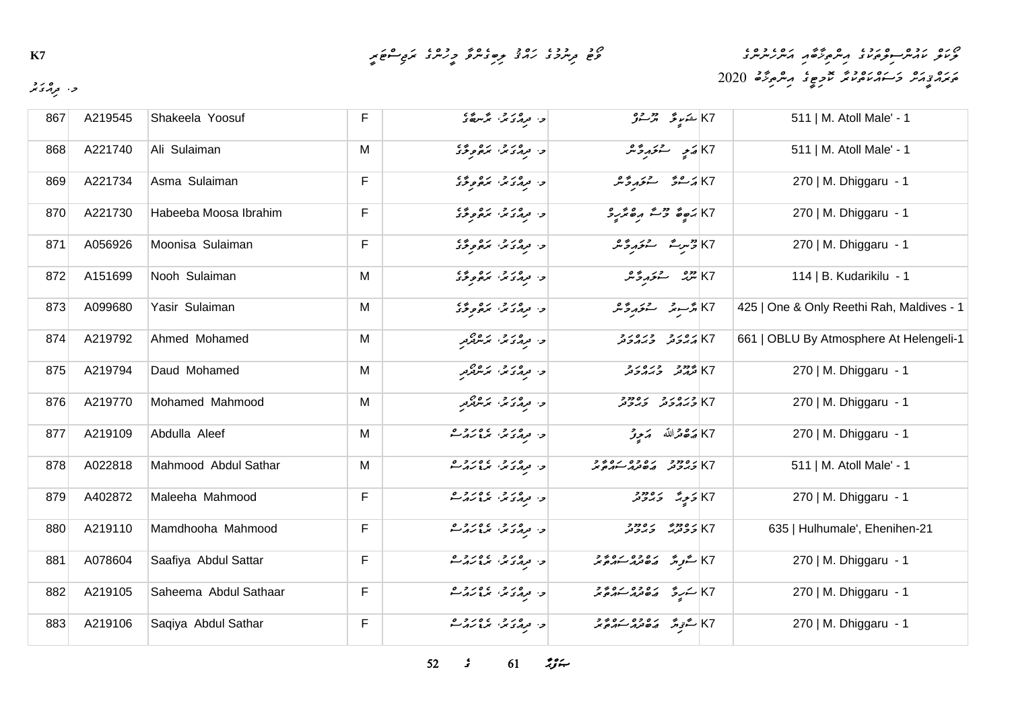*sCw7q7s5w7m< o<n9nOoAw7o< sCq;mAwBoEw7q<m; wBm;vB* م من المرة المرة المرة المرجع المرجع في المركبة 2020<br>مجم*د المريض المربوط المربع المرجع في المراجع المركبة* 

| 867 | A219545 | Shakeela Yoosuf       | F           | و مرد و تر شهره و                  | K7 خەرىجە ت <i>ەرجى</i> ۋ                       | 511   M. Atoll Male' - 1                  |
|-----|---------|-----------------------|-------------|------------------------------------|-------------------------------------------------|-------------------------------------------|
| 868 | A221740 | Ali Sulaiman          | M           | و مهدی پره وي                      | K7 <i>جَجِ سُتَخَمِدِ قُ</i> سُ                 | 511   M. Atoll Male' - 1                  |
| 869 | A221734 | Asma Sulaiman         | F           | و مرد د بره وي                     | K7   ئەشىرقى سىغۇر ئەھ                          | 270   M. Dhiggaru - 1                     |
| 870 | A221730 | Habeeba Moosa Ibrahim | $\mathsf F$ | و مرد ده ده وه<br>د مرد د بر بروون | K7 يَهِ ۾َ " شَدُ مِهْ تَرْبِرْ                 | 270   M. Dhiggaru - 1                     |
| 871 | A056926 | Moonisa Sulaiman      | F           | و مهدى پره وگړي                    | K7 تۆسرىگە سى <i>قۇم ۋىل</i>                    | 270   M. Dhiggaru - 1                     |
| 872 | A151699 | Nooh Sulaiman         | M           | و مرد ده ده وي                     | K7 تىر ئىس ئىم ئىرىگە ئىر                       | 114   B. Kudarikilu - 1                   |
| 873 | A099680 | Yasir Sulaiman        | M           | د. درمرد بره دی                    | K7 تۇسى <i>نى سۇم ۋىل</i>                       | 425   One & Only Reethi Rah, Maldives - 1 |
| 874 | A219792 | Ahmed Mohamed         | M           | د. مهم د چر، برمه دم.              | K7 ג׳כנר כמהכנר                                 | 661   OBLU By Atmosphere At Helengeli-1   |
| 875 | A219794 | Daud Mohamed          | M           | و مردوس بروه                       | K7 تربرتر - 2005 و<br>K7 تربرتر - 2015 ور       | 270   M. Dhiggaru - 1                     |
| 876 | A219770 | Mohamed Mahmood       | M           | و به ده د د استروپ                 | K7 כממכנה מסמכ                                  | 270   M. Dhiggaru - 1                     |
| 877 | A219109 | Abdulla Aleef         | M           | و مرمدى مى مەدر ق                  | K7 كەھەراللە كەم <u>و</u> تۇ                    | 270   M. Dhiggaru - 1                     |
| 878 | A022818 | Mahmood Abdul Sathar  | M           | و مردوس مودروه                     | K7 در دو در ده وه بره و د                       | 511   M. Atoll Male' - 1                  |
| 879 | A402872 | Maleeha Mahmood       | F           | والمتهدى عراق المتحدد والمحمد      | K7  كالمحرجة المتحدة محمدة حرارة المر           | 270   M. Dhiggaru - 1                     |
| 880 | A219110 | Mamdhooha Mahmood     | F           | والمتهدى عراق المرواحة             | K7 <sub>خ</sub> وډيو ره دو.<br>K7 خونډين وبرونډ | 635   Hulhumale', Ehenihen-21             |
| 881 | A078604 | Saafiya Abdul Sattar  | F           | و مهروس سي روه                     | K7 شوپژ مەھىرمەسىمى                             | 270   M. Dhiggaru - 1                     |
| 882 | A219105 | Saheema Abdul Sathaar | F           | و· مهدى مى مى مى مى مى مى مىدىم ك  | K7 سَرِرُ مُصْرِمُ سَمْرُومُ                    | 270   M. Dhiggaru - 1                     |
| 883 | A219106 | Saqiya Abdul Sathar   | F           | و مردوس مودره                      | K7 گوتر مەمەرەپەر                               | 270   M. Dhiggaru - 1                     |

 $52$  *s*  $61$  *i***<sub>s</sub>** $\frac{2}{3}$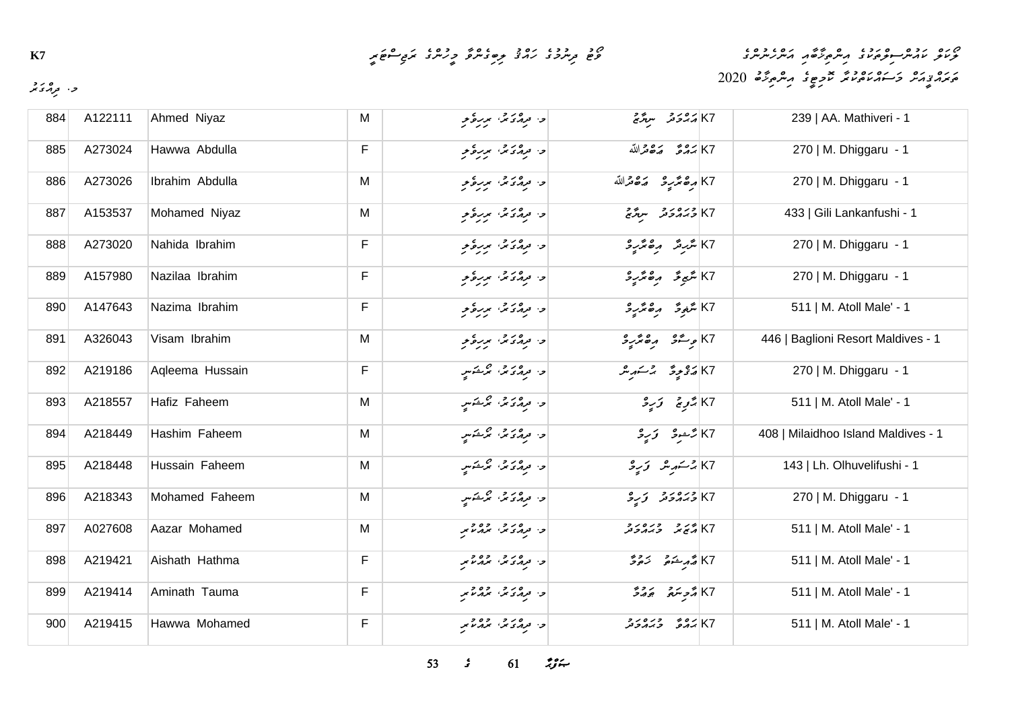*sCw7q7s5w7m< o<n9nOoAw7o< sCq;mAwBoEw7q<m; wBm;vB* م من المرة المرة المرة المرجع المرجع في المركبة 2020<br>مجم*د المريض المربوط المربع المرجع في المراجع المركبة* 

| 884 | A122111 | Ahmed Niyaz     | M           | و مرد د تر اسرائی          | K7 كەبرى قىر سىرتىمى                                | 239   AA. Mathiveri - 1             |
|-----|---------|-----------------|-------------|----------------------------|-----------------------------------------------------|-------------------------------------|
| 885 | A273024 | Hawwa Abdulla   | F           | و افراری تر افزار کو به ان | K7 بَرْمَرَّ بَرَصْحَراللّه                         | 270   M. Dhiggaru - 1               |
| 886 | A273026 | Ibrahim Abdulla | M           | و مردوند برروم             | K7 م <i>وڭ ئۆرى خەڭ د</i> اللە                      | 270   M. Dhiggaru - 1               |
| 887 | A153537 | Mohamed Niyaz   | M           | و مرد دی. مرد د            | K7  <i>دېروبو سرگ</i> نج                            | 433   Gili Lankanfushi - 1          |
| 888 | A273020 | Nahida Ibrahim  | F           | و مرد دی. مرزه و           | K7 ب <i>ترب</i> رتر ب <i>رە ت</i> رب <sub>ر</sub> و | 270   M. Dhiggaru - 1               |
| 889 | A157980 | Nazilaa Ibrahim | $\mathsf F$ | و مرد دی. مرد و            | K7 سَّمِعٌ مِنْ مِثْرِ وَ                           | 270   M. Dhiggaru - 1               |
| 890 | A147643 | Nazima Ibrahim  | F           | د مرد دی. مرزو و           |                                                     | 511   M. Atoll Male' - 1            |
| 891 | A326043 | Visam Ibrahim   | M           | و مرد دی. مرد د            | K7 و گرو مگر پرو                                    | 446   Baglioni Resort Maldives - 1  |
| 892 | A219186 | Aqleema Hussain | $\mathsf F$ | و- فرار دی، ایر شکاس       | K7 كەنۋى <sub>چ</sub> ۇ ب <sub>ە</sub> شكەپتى       | 270   M. Dhiggaru - 1               |
| 893 | A218557 | Hafiz Faheem    | M           | و- فرود و مر مر شکر سر     | K7 تز <sub>و</sub> ج ت <i>ور</i> و                  | 511   M. Atoll Male' - 1            |
| 894 | A218449 | Hashim Faheem   | M           | د. تروری تر، ایر شکر سر    | K7  گەخوى كى <i>پ</i> وى                            | 408   Milaidhoo Island Maldives - 1 |
| 895 | A218448 | Hussain Faheem  | M           | د. تروکو تر، ترڪس          | K7 بڑے پہ تی تی تی 2                                | 143   Lh. Olhuvelifushi - 1         |
| 896 | A218343 | Mohamed Faheem  | M           | و- فرار دی، انگرېنگوس      | K7 <i>32322 ذر</i> و                                | 270   M. Dhiggaru - 1               |
| 897 | A027608 | Aazar Mohamed   | M           | و مرد د ده ده د            | K7 دي دره دره                                       | 511   M. Atoll Male' - 1            |
| 898 | A219421 | Aishath Hathma  | $\mathsf F$ | و مرد و و و و و د          | K7 مُجْمِدِ شَمْعِ مُسْتَخْرِ \$                    | 511   M. Atoll Male' - 1            |
| 899 | A219414 | Aminath Tauma   | $\mathsf F$ | و مرد و وو و               | K7 مُجِسَعَةٍ مَحْمَدَةٌ                            | 511   M. Atoll Male' - 1            |
| 900 | A219415 | Hawwa Mohamed   | F           | و مرد ده ده در د           | K7 په ده وره د و                                    | 511   M. Atoll Male' - 1            |

 $53$   $5$   $61$   $25$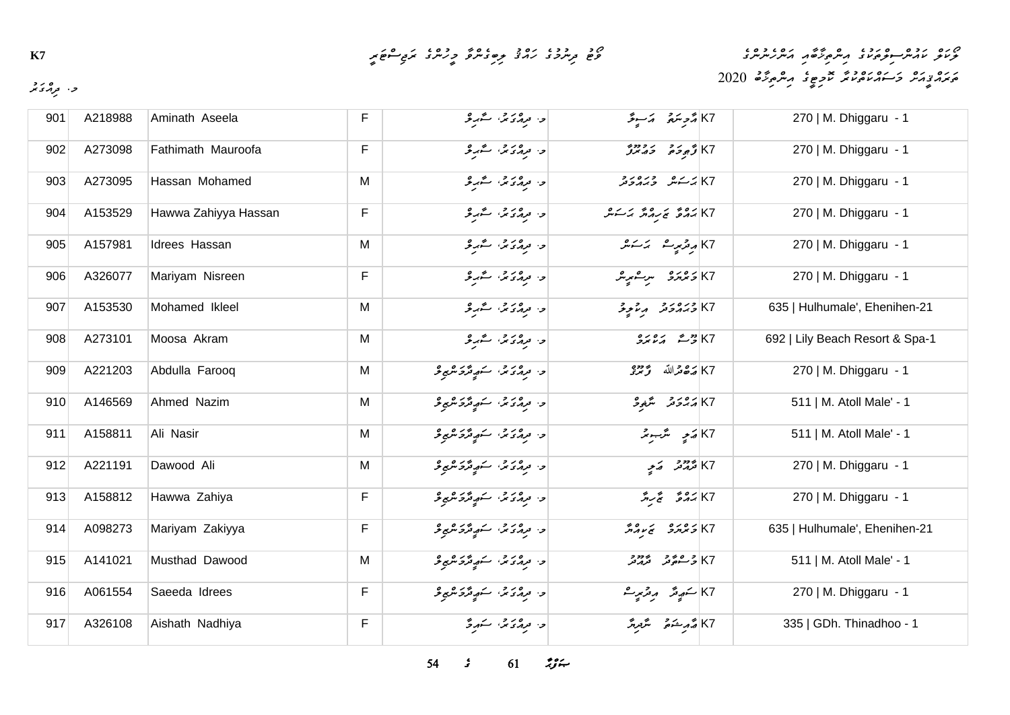*sCw7q7s5w7m< o<n9nOoAw7o< sCq;mAwBoEw7q<m; wBm;vB* م من المرة المرة المرة المرجع المرجع في المركبة 2020<br>مجم*د المريض المربوط المربع المرجع في المراجع المركبة* 

| 901 | A218988 | Aminath Aseela       | $\mathsf{F}$ | و مهروس شهرو              | K7 مُ <i>جِسَعْهُ مُ</i> سِوَّتُر                                                                                        | 270   M. Dhiggaru - 1           |  |
|-----|---------|----------------------|--------------|---------------------------|--------------------------------------------------------------------------------------------------------------------------|---------------------------------|--|
| 902 | A273098 | Fathimath Mauroofa   | F            | د. مهدی شه شهر و          | K7 زُھِ جَمَعَ حَصَّمَرَ                                                                                                 | 270   M. Dhiggaru - 1           |  |
| 903 | A273095 | Hassan Mohamed       | M            | و مهروس کرو               | K7 ئەسەھرە جەمھەدىر                                                                                                      | 270   M. Dhiggaru - 1           |  |
| 904 | A153529 | Hawwa Zahiyya Hassan | $\mathsf F$  | و مهروس گرو               | K7 <i>בكەنى تارەڭ بەسكىر</i>                                                                                             | 270   M. Dhiggaru - 1           |  |
| 905 | A157981 | Idrees Hassan        | M            | و مهروس گرو               | K7 <sub>موق</sub> رموے کے تکش                                                                                            | 270   M. Dhiggaru - 1           |  |
| 906 | A326077 | Mariyam Nisreen      | $\mathsf F$  | د. مهدی می مشهو           | K7 كەبەر ئىس سەمرىكى بىر                                                                                                 | 270   M. Dhiggaru - 1           |  |
| 907 | A153530 | Mohamed Ikleel       | M            | د. مهدی می مشهو           | K7 <i>ڈیز وی ڈی ویڈچ</i> و                                                                                               | 635   Hulhumale', Ehenihen-21   |  |
| 908 | A273101 | Moosa Akram          | M            | و مهدی مگرو               | K7 پیشه پر پرویز                                                                                                         | 692   Lily Beach Resort & Spa-1 |  |
| 909 | A221203 | Abdulla Farooq       | M            | د بروژنر، سوړترکرمربو ک   | K7 كەھەراللە ئ <i>ۇنىزى</i>                                                                                              | 270   M. Dhiggaru - 1           |  |
| 910 | A146569 | Ahmed Nazim          | M            | د قرەككى سەر قرىر شرىر ئى | K7 كەش <sup>ى</sup> ر قىر ئىگىنى قىلىپ قىلىپ قىلىپ قىلىپ قىلىپ قىلىپ قىلىپ قىلىپ قىلىپ قىلىپ قىلىپ قىلىپ قىلىپ قىلىپ قىل | 511   M. Atoll Male' - 1        |  |
| 911 | A158811 | Ali Nasir            | M            | د پروژنر، سوړترکرمربو ک   | K7 کی په مگرسومگر                                                                                                        | 511   M. Atoll Male' - 1        |  |
| 912 | A221191 | Dawood Ali           | M            | د قرەككى سەر قرىر شرىر ئى | K7 مَ <i>دْهُمْ – مَ</i> حِ                                                                                              | 270   M. Dhiggaru - 1           |  |
| 913 | A158812 | Hawwa Zahiya         | $\mathsf F$  | د قرەككى سەر قرىر شرىر ئى | K7 بَدْرُهٌ گَمْ بِهُرٌ                                                                                                  | 270   M. Dhiggaru - 1           |  |
| 914 | A098273 | Mariyam Zakiyya      | F            | د مرد د کر شهر مرکز شهر د | K7 كوجر مركز تم توريخ                                                                                                    | 635   Hulhumale', Ehenihen-21   |  |
| 915 | A141021 | Musthad Dawood       | M            | د مرد د د کرد گرد کرد     | K7 <sub>ج</sub> مصور محمد بر                                                                                             | 511   M. Atoll Male' - 1        |  |
| 916 | A061554 | Saeeda Idrees        | F            | د مرد د کر کردگرد شرکت د  | K7 سەرپۇر موقرىرىــْد                                                                                                    | 270   M. Dhiggaru - 1           |  |
| 917 | A326108 | Aishath Nadhiya      | F            | و مرد وی کرد              | K7 مەم شىم ھىمبىر ئىل                                                                                                    | 335   GDh. Thinadhoo - 1        |  |

 $54$  **s**  $61$  *i***<sub>s</sub>** $\frac{2}{3}$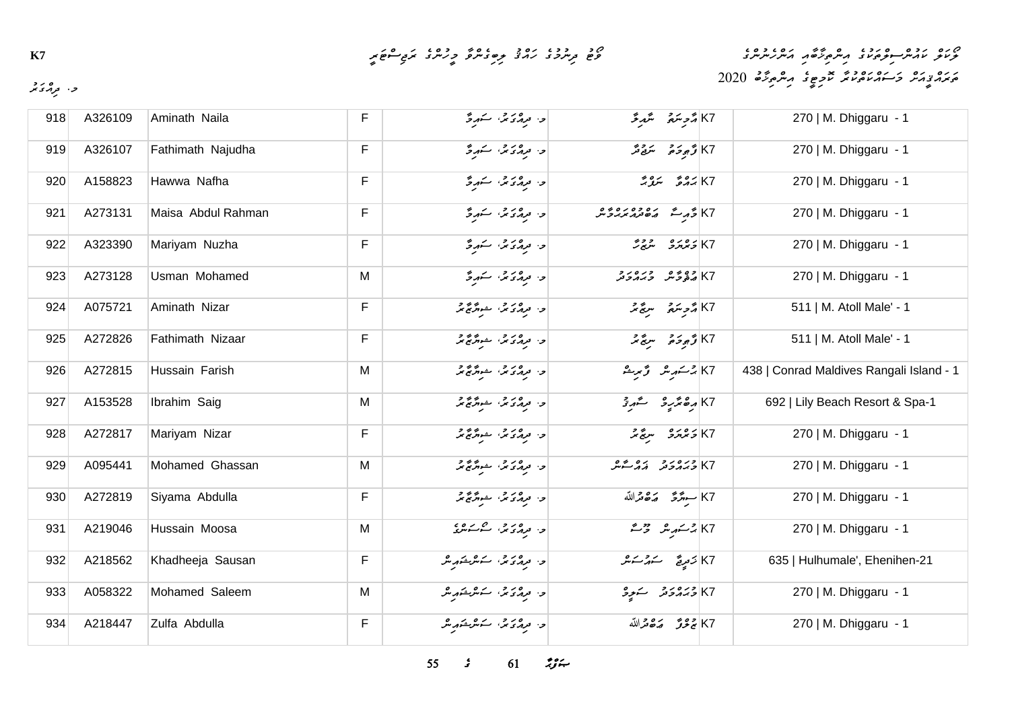*sCw7q7s5w7m< o<n9nOoAw7o< sCq;mAwBoEw7q<m; wBm;vB* م من المسجد المسجد المسجد المسجد المسجد العام 2020<br>مسجد المسجد المسجد المسجد المسجد المسجد المسجد المسجد المسجد ال

| 918 | A326109 | Aminath Naila      | F.           | د مرد د پر کهرگ                   | K7 مُجِسَعُ مُتَّمَدِ مُحَ            | 270   M. Dhiggaru - 1                    |
|-----|---------|--------------------|--------------|-----------------------------------|---------------------------------------|------------------------------------------|
| 919 | A326107 | Fathimath Najudha  | $\mathsf F$  | و مرد دی. سکه و                   | K7 <i>وَّجِ دَمَّةَ</i> سَهَقَّ       | 270   M. Dhiggaru - 1                    |
| 920 | A158823 | Hawwa Nafha        | F            | د. مرد د تر شهر و گ               | K7 ئەمگە ئىملى <sup>م</sup> ى         | 270   M. Dhiggaru - 1                    |
| 921 | A273131 | Maisa Abdul Rahman | F            | و مرد دی. سکری                    | K7 <i>ڈوٹ مقدم پر دو</i> ء م          | 270   M. Dhiggaru - 1                    |
| 922 | A323390 | Mariyam Nuzha      | F            | و مردوس شهروٌ                     | K7 كەبەر بەر يەر يەر يەر كەن          | 270   M. Dhiggaru - 1                    |
| 923 | A273128 | Usman Mohamed      | $\mathsf{M}$ | و مردوس شهرو                      | K7 مەۋرىش <i>دىمەدى</i> ر             | 270   M. Dhiggaru - 1                    |
| 924 | A075721 | Aminath Nizar      | F            | د. مردر در سورد د                 | K7 مُّحِ مَنْهُمْ مُسِيَّ مُّهُ مِ    | 511   M. Atoll Male' - 1                 |
| 925 | A272826 | Fathimath Nizaar   | F            | و. مهروس خورج م                   | K7 رَّج <i>ُوحَةْ</i> سِيِّ مَرْ      | 511   M. Atoll Male' - 1                 |
| 926 | A272815 | Hussain Farish     | M            | و. مرد و در استور محمد            | K7 پرڪريش گرمرڪ                       | 438   Conrad Maldives Rangali Island - 1 |
| 927 | A153528 | Ibrahim Saig       | M            | و. مرد و در استور محمد            | K7 مەھەر بەھ سەم <i>ب</i> ۇ           | 692   Lily Beach Resort & Spa-1          |
| 928 | A272817 | Mariyam Nizar      | F            | و مردوس جهره و                    | K7 <i>جا جهر ب</i> ور مسرنج تر        | 270   M. Dhiggaru - 1                    |
| 929 | A095441 | Mohamed Ghassan    | M            | و مرد و ده.<br>د مرد د بر شورخ بر | K7 <i>جەممى</i> تەرگىگىش              | 270   M. Dhiggaru - 1                    |
| 930 | A272819 | Siyama Abdulla     | F            | و مردوس شهره د                    | K7 ج <i>مَّرْدَّ مَ</i> صَّرَاللَّه   | 270   M. Dhiggaru - 1                    |
| 931 | A219046 | Hussain Moosa      | M            | و مردوس کے مشروع                  | K7 پرڪبريش وحيث                       | 270   M. Dhiggaru - 1                    |
| 932 | A218562 | Khadheeja Sausan   | F            | د. مهدى مى سى مى مى مى مى         | K7 كَتْمِيعًا مُسْتَمَكِّرْ سُوَمْتَد | 635   Hulhumale', Ehenihen-21            |
| 933 | A058322 | Mohamed Saleem     | M            | و مرد در در سکورشکار مگر          | K7 <i>\$22.2 مئي</i> و                | 270   M. Dhiggaru - 1                    |
| 934 | A218447 | Zulfa Abdulla      | F            | و فروز می کشور شکر مگر            | K7 يحورٌ صَصْحَرُ اللّه               | 270   M. Dhiggaru - 1                    |

 $55$   $5$   $61$   $25$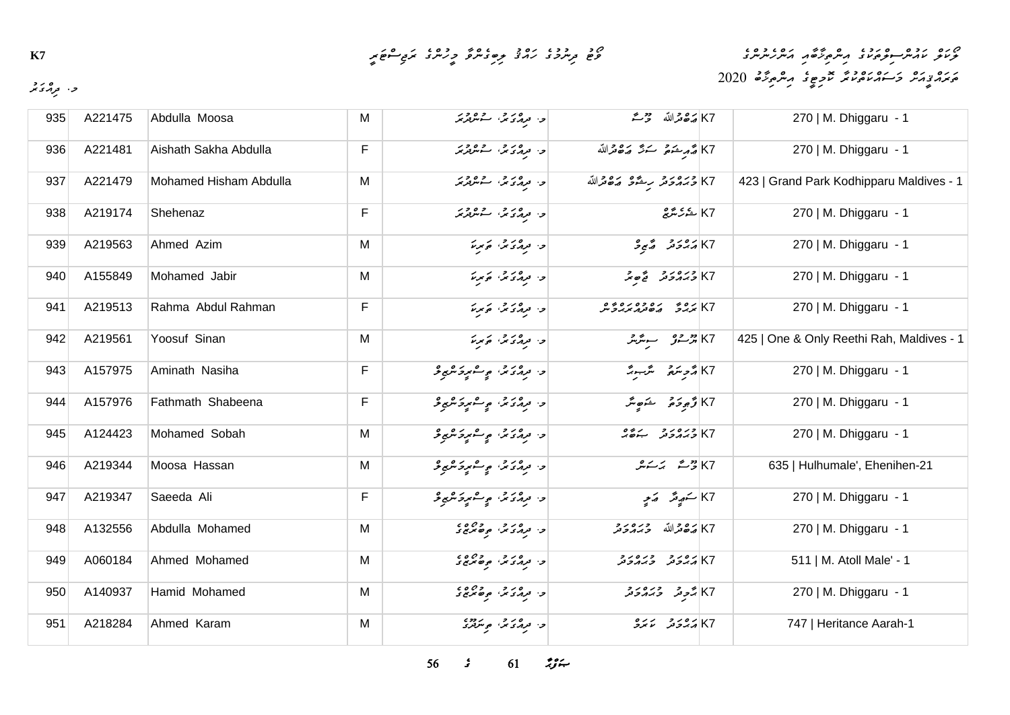*sCw7q7s5w7m< o<n9nOoAw7o< sCq;mAwBoEw7q<m; wBm;vB* م من المسجد المسجد المسجد المسجد المسجد العام 2020<br>مسجد المسجد المسجد المسجد المسجد المسجد المسجد المسجد المسجد ال

| 935 | A221475 | Abdulla Moosa          | M | و. مهروس کمیلورس              | K7 يَرْهُ قْرَاللّه    تْرْتْتْه                   | 270   M. Dhiggaru - 1                     |
|-----|---------|------------------------|---|-------------------------------|----------------------------------------------------|-------------------------------------------|
| 936 | A221481 | Aishath Sakha Abdulla  | F | و. مهدي پي د وه در            | K7 مُحْمَدِ مَعْتُمْ مِنْ مَدَّةً مِنْ اللَّهُ     | 270   M. Dhiggaru - 1                     |
| 937 | A221479 | Mohamed Hisham Abdulla | M | و. مهدى مى مى موجد            | K7 ورور و رشو ده ترالله                            | 423   Grand Park Kodhipparu Maldives - 1  |
| 938 | A219174 | Shehenaz               | F | و. مهدى من مشهومة             | K7 يندر ترميم                                      | 270   M. Dhiggaru - 1                     |
| 939 | A219563 | Ahmed Azim             | M | د. مهدى چې ځم پرته            | K7   كەش <sup>ى</sup> ر قىلى قىلىپ قىلىپ قىلىپ قىل | 270   M. Dhiggaru - 1                     |
| 940 | A155849 | Mohamed Jabir          | M | و مرد ده کرد                  | K7 دېم دېمر ق <sub>ع</sub> ص                       | 270   M. Dhiggaru - 1                     |
| 941 | A219513 | Rahma Abdul Rahman     | F | و مرد دی کرد                  | K7 تروی بره ده بره ده و                            | 270   M. Dhiggaru - 1                     |
| 942 | A219561 | Yoosuf Sinan           | M | د. مهدى چې ځم پرته            | K7 پر قسمبر میں مسر شریب                           | 425   One & Only Reethi Rah, Maldives - 1 |
| 943 | A157975 | Aminath Nasiha         | F | و • مرور نمر • موسور تر شهر د | K7 مُحْرِسَمَة مُتَسِيدً                           | 270   M. Dhiggaru - 1                     |
| 944 | A157976 | Fathmath Shabeena      | F | و- مرور در مي سومرو شرح و     | K7 زَّەپرىق شەھِسَّ                                | 270   M. Dhiggaru - 1                     |
| 945 | A124423 | Mohamed Sobah          | M | و مهدى په موسميرو شهو         | K7 ورەرو بەھ                                       | 270   M. Dhiggaru - 1                     |
| 946 | A219344 | Moosa Hassan           | M | د مرد د په موسمپرکرمربو ک     | K7 چې پرسکور                                       | 635   Hulhumale', Ehenihen-21             |
| 947 | A219347 | Saeeda Ali             | F | د مرد د تر پوسه پروکرد ع      | K7 ڪ <sub>ھي</sub> قر ڪچ                           | 270   M. Dhiggaru - 1                     |
| 948 | A132556 | Abdulla Mohamed        | M | ه مرد و ده ده<br>د مرد د مر   | K7 مَءْمَّراللَّه حِرُمْ دَمَّرَ                   | 270   M. Dhiggaru - 1                     |
| 949 | A060184 | Ahmed Mohamed          | M | و مرد و وه و و و و و عر       | K7 كەيمەتر قەيمبەت كىل                             | 511   M. Atoll Male' - 1                  |
| 950 | A140937 | Hamid Mohamed          | M | د مرد د ده ده ده د د د د د    | K7 يُروِيْر وُبَرَدْوَيْر                          | 270   M. Dhiggaru - 1                     |
| 951 | A218284 | Ahmed Karam            | M | د. دره د د د ده د             | K7 كەبروتىر بىر <i>كەب</i> رۇ                      | 747   Heritance Aarah-1                   |

 $56$  *s*  $61$  *i***<sub>s</sub>** $\frac{2}{56}$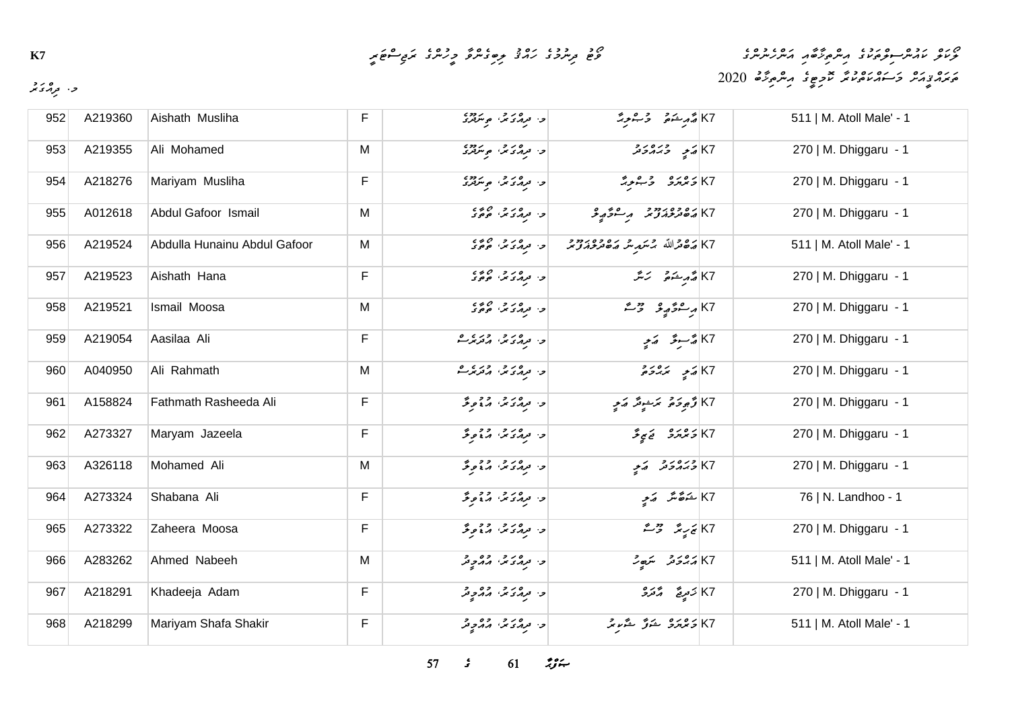*sCw7q7s5w7m< o<n9nOoAw7o< sCq;mAwBoEw7q<m; wBm;vB* م من المسجد المسجد المسجد المسجد المسجد العام 2020<br>مسجد المسجد المسجد المسجد المسجد المسجد المسجد المسجد المسجد ال

| 952 | A219360 | Aishath Musliha              | F           | د· مرد د کمر و مردرد و                  | K7 مەم شەم ئىس ئىبار ئىگە ئىبار ئىس         | 511   M. Atoll Male' - 1 |
|-----|---------|------------------------------|-------------|-----------------------------------------|---------------------------------------------|--------------------------|
| 953 | A219355 | Ali Mohamed                  | M           | د. ترمری ش موسومی<br>د. ترمری ش موسومری | K7 كم موسى مدىم دىمبر<br>K7                 | 270   M. Dhiggaru - 1    |
| 954 | A218276 | Mariyam Musliha              | F           | د. ترمری ش موسرتری                      | K7 كەبەر بەر ئەيدىر                         | 270   M. Dhiggaru - 1    |
| 955 | A012618 | Abdul Gafoor Ismail          | M           | 590, 590, 590                           | K7 رە دەر دو دېر مەڭ پەتى                   | 270   M. Dhiggaru - 1    |
| 956 | A219524 | Abdulla Hunainu Abdul Gafoor | M           | 590, 519, 55                            | K7 كەھەرللە ج <i>ىترو شەھەتر دە</i> مەدە    | 511   M. Atoll Male' - 1 |
| 957 | A219523 | Aishath Hana                 | $\mathsf F$ | و٠ ترمرو ٤٤٥٠<br>و٠ ترمري عرموي         | K7 مەم شەمۇ كەنگە                           | 270   M. Dhiggaru - 1    |
| 958 | A219521 | Ismail Moosa                 | M           | و٠ ترمرو ٤٥٥٠<br>و٠ ترمري عرموي         | K7 <sub>م</sub> وستموه و محمد شد            | 270   M. Dhiggaru - 1    |
| 959 | A219054 | Aasilaa Ali                  | F           | و٠ مردوس دوری ه                         | K7 م <sup>ح</sup> ر سوتھ ص <sup>ن</sup> جہ  | 270   M. Dhiggaru - 1    |
| 960 | A040950 | Ali Rahmath                  | M           | و مردوس وری                             | K7 <i>جَرِجِي - مَدْحَ</i> مَ               | 270   M. Dhiggaru - 1    |
| 961 | A158824 | Fathmath Rasheeda Ali        | F           | د مهدى پر دورتى                         | K7 وَجِوحَمُ مَرَحْدِثَرَ مَرَمٍ            | 270   M. Dhiggaru - 1    |
| 962 | A273327 | Maryam Jazeela               | F           | و مهدى پر دومۇ                          | K7 كەنگەنىڭ قىمى ئىچ                        | 270   M. Dhiggaru - 1    |
| 963 | A326118 | Mohamed Ali                  | M           | د مهدى پر دورتى                         | K7  <i>وټرونو ټو</i>                        | 270   M. Dhiggaru - 1    |
| 964 | A273324 | Shabana Ali                  | F           | و مهدى پر دون                           | K7 شَەھَ ئ <i>ېر م</i>                      | 76   N. Landhoo - 1      |
| 965 | A273322 | Zaheera Moosa                | F           | د مهدى پر دول                           | K7 نج پەنتى تۇشتە                           | 270   M. Dhiggaru - 1    |
| 966 | A283262 | Ahmed Nabeeh                 | M           | د. مهدی می ده د                         | K7 كەبرى كىر ئىكدىن كىلەر ئىككەن كەنتىر كىل | 511   M. Atoll Male' - 1 |
| 967 | A218291 | Khadeeja Adam                | F           | و. مهدى من مهرج مر                      | K7 كَتْمِيعٌ مُتَمَّمَّرً                   | 270   M. Dhiggaru - 1    |
| 968 | A218299 | Mariyam Shafa Shakir         | F           | د. مهدی می ده د                         | K7 كَى يْرْدَى شَرَقَ شَرْبَة بْر           | 511   M. Atoll Male' - 1 |

 $57$   $5$   $61$   $25$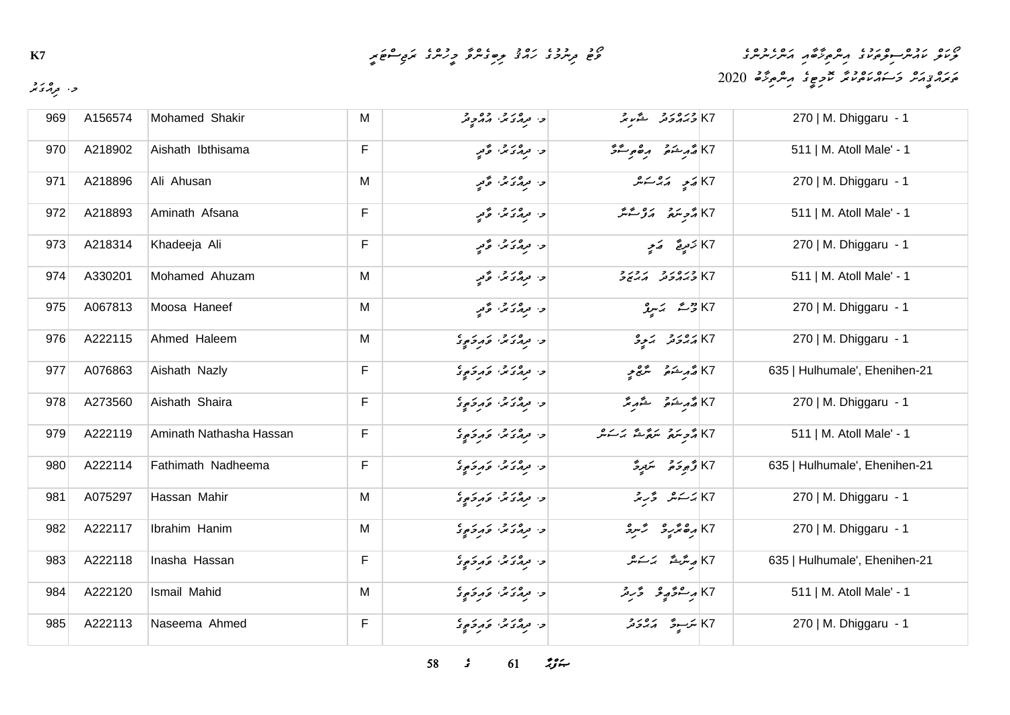*sCw7q7s5w7m< o<n9nOoAw7o< sCq;mAwBoEw7q<m; wBm;vB* م من المرة المرة المرة المرجع المرجع في المركبة 2020<br>مجم*د المريض المربوط المربع المرجع في المراجع المركبة* 

| 969 | A156574 | Mohamed Shakir          | M | د مرمۍ مر وه د و     | K7 <i>جەممى ھىرىمى</i>                       | 270   M. Dhiggaru - 1         |
|-----|---------|-------------------------|---|----------------------|----------------------------------------------|-------------------------------|
| 970 | A218902 | Aishath Ibthisama       | F | د· مرد کامر او گامر  | K7 مۇم شەم بەھ موسى <i>مۇ</i>                | 511   M. Atoll Male' - 1      |
| 971 | A218896 | Ali Ahusan              | M | و· مرد و د و تو      | K7 <i>ھَجِہ مَیْ</i> کِسَکُر                 | 270   M. Dhiggaru - 1         |
| 972 | A218893 | Aminath Afsana          | F | و· تورد و به گلمبر   | K7 مُ <i>جِسَعْہ مَوْ</i> شَسَّ              | 511   M. Atoll Male' - 1      |
| 973 | A218314 | Khadeeja Ali            | F | و· مرد د پر گهر      | K7 كَتْمِيعٌ – مَتْمَمِّي                    | 270   M. Dhiggaru - 1         |
| 974 | A330201 | Mohamed Ahuzam          | M | د· مرد کامر او گامر  | K7 <i>בגמבית הבצב</i>                        | 511   M. Atoll Male' - 1      |
| 975 | A067813 | Moosa Haneef            | M | و· مرد د پر گهر      | K7 تۇشقە ئەس <i>رى</i> گە                    | 270   M. Dhiggaru - 1         |
| 976 | A222115 | Ahmed Haleem            | M | و مرد و د و د و و د  | K7 كەندى كە بەر بىر كەندىيە ئالىردە ئال      | 270   M. Dhiggaru - 1         |
| 977 | A076863 | Aishath Nazly           | F | و مرد د د ک          | K7 مَّ مِسْئَمَّةٍ مَّتَّجْ مِ               | 635   Hulhumale', Ehenihen-21 |
| 978 | A273560 | Aishath Shaira          | F | و· مرمزی کرم کرم     | K7 مەم ئىقىم ئىشمىرىتىگە                     | 270   M. Dhiggaru - 1         |
| 979 | A222119 | Aminath Nathasha Hassan | F | 9. مهدى من مورد مورد | K7 مُرجِسْعُ سَعَمْتُهُ بَرَسَسْ             | 511   M. Atoll Male' - 1      |
| 980 | A222114 | Fathimath Nadheema      | F | و مرمومر ومركز و     | K7 زَّە ئ <sup>ۇ</sup> ئىرگە                 | 635   Hulhumale', Ehenihen-21 |
| 981 | A075297 | Hassan Mahir            | M | و مرد و د و د و و د  | K7   پرسترس تخریز                            | 270   M. Dhiggaru - 1         |
| 982 | A222117 | Ibrahim Hanim           | M | و· مهدى عن مورد و د  | K7 مەھ <i>ئۇر</i> ئى ئىسى ئى                 | 270   M. Dhiggaru - 1         |
| 983 | A222118 | Inasha Hassan           | F | و مردومر ورود و      | K7 <sub>م</sub> ېرشته ټرخش                   | 635   Hulhumale', Ehenihen-21 |
| 984 | A222120 | <b>Ismail Mahid</b>     | M | و مرد د د ک          | K7 <sub>م</sub> رےد <i>ۇر</i> قىلىقى كەرلىقى | 511   M. Atoll Male' - 1      |
| 985 | A222113 | Naseema Ahmed           | F | و مرد و د و کرد کود  | K7 سَرَسِودَ - مَ <sup>رو</sup> د تر         | 270   M. Dhiggaru - 1         |

 $58$  *s* 61 *if*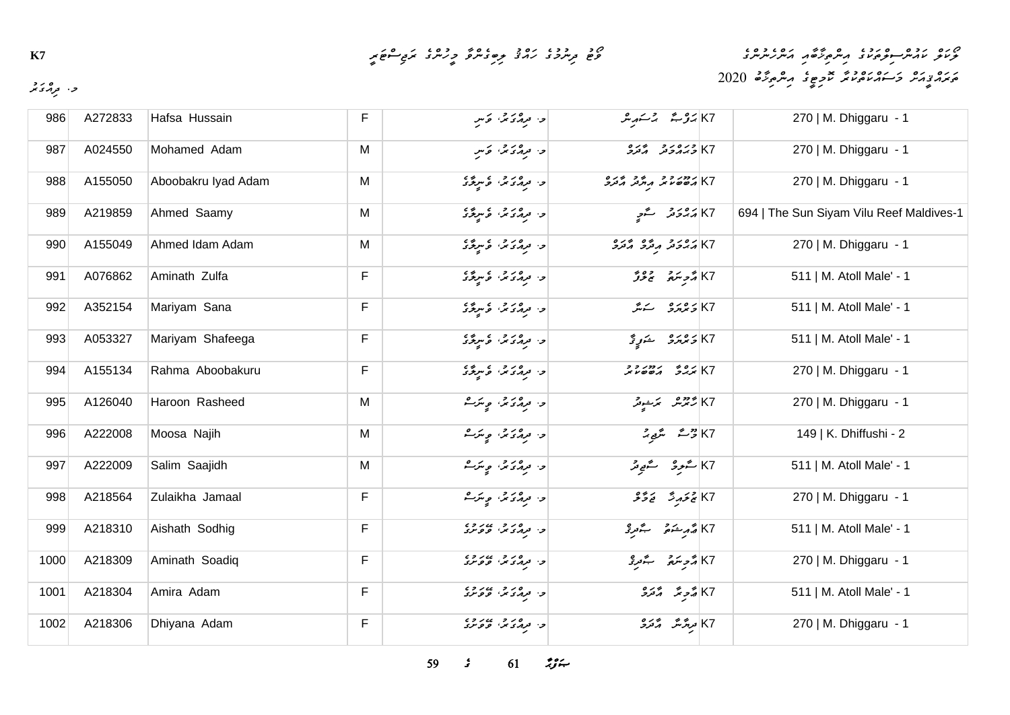*sCw7q7s5w7m< o<n9nOoAw7o< sCq;mAwBoEw7q<m; wBm;vB 2020*<br>*په پوهر وسوډيرونو لومو د موجو د مرمونه* 2020

| 986  | A272833 | Hafsa Hussain       | $\mathsf F$ | و مرد د کار ک                               | K7 ئەۋىبە ئەسەمبەش                                                                                             | 270   M. Dhiggaru - 1                    |
|------|---------|---------------------|-------------|---------------------------------------------|----------------------------------------------------------------------------------------------------------------|------------------------------------------|
| 987  | A024550 | Mohamed Adam        | M           | و- مرور د تر، او س                          | K7 <i>وَبَرُودُو پُرُودُ</i>                                                                                   | 270   M. Dhiggaru - 1                    |
| 988  | A155050 | Aboobakru Iyad Adam | M           | د مرد د کا کامرگر                           | K7 ביסטית החלק היקס                                                                                            | 270   M. Dhiggaru - 1                    |
| 989  | A219859 | Ahmed Saamy         | M           | و٠ فروړي کا مرگړي                           | K7 ړ <i>ر دی ت</i>                                                                                             | 694   The Sun Siyam Vilu Reef Maldives-1 |
| 990  | A155049 | Ahmed Idam Adam     | M           | و٠ فروړ تر، کا مرنگری                       | K7 <i>בک</i> وتر م <i>وتگ</i> ی گرمری                                                                          | 270   M. Dhiggaru - 1                    |
| 991  | A076862 | Aminath Zulfa       | $\mathsf F$ | و٠ فروړۍ تمه و سروی                         | K7 مُجِرِسَمُ مَحْرُزٌ                                                                                         | 511   M. Atoll Male' - 1                 |
| 992  | A352154 | Mariyam Sana        | F           | و مرد د کا کامرگر                           | K7 ئ <i>ۈچۈك سەن</i> گە                                                                                        | 511   M. Atoll Male' - 1                 |
| 993  | A053327 | Mariyam Shafeega    | F           | و برورو عبروی                               | K7 كەنگەنى ئىكمىنى ئىچە ئىككىتى ئىككىنى ئىككىت ئىككىت ئىككىت ئىككىن ئىككىن ئىككىت ئىگكى ئىگكى ئىگكى ئىگكى ئىگك | 511   M. Atoll Male' - 1                 |
| 994  | A155134 | Rahma Aboobakuru    | F           | و٠ فروړي کا مرگړي                           | $22222$ $227$ $27$                                                                                             | 270   M. Dhiggaru - 1                    |
| 995  | A126040 | Haroon Rasheed      | M           | د· مرد د تر ، و پرک                         | K7 گەجرىش كەنش <sub>ۇ</sub> نىز                                                                                | 270   M. Dhiggaru - 1                    |
| 996  | A222008 | Moosa Najih         | M           | و مرد د په و سرگ                            | K7 پڑے س <i>گھ</i> ر                                                                                           | 149   K. Dhiffushi - 2                   |
| 997  | A222009 | Salim Saajidh       | M           | د· مرد د تر ، م سرگ                         | K7 سگوی سگھ <sub>و</sub> نڈ                                                                                    | 511   M. Atoll Male' - 1                 |
| 998  | A218564 | Zulaikha Jamaal     | F           | و مرد د په و سرگ                            | K7 يُحَمِّدُ يَحَرُّوُ                                                                                         | 270   M. Dhiggaru - 1                    |
| 999  | A218310 | Aishath Sodhig      | F           | ه به مرد عدده<br>د ترمرد مرا و و مرد        | K7 مەم شەھر سەمرى                                                                                              | 511   M. Atoll Male' - 1                 |
| 1000 | A218309 | Aminath Soadiq      | F           | و· ترمرو عامروه<br>و· ترمروس توتوس          | K7 مُرْحِ سَوَ سُدُورِ وَ                                                                                      | 270   M. Dhiggaru - 1                    |
| 1001 | A218304 | Amira Adam          | F           | ه به در د پرده ده<br>د ترورس وونرد          | K7 مَّ حِبَّد مَّ مَرْدَّ                                                                                      | 511   M. Atoll Male' - 1                 |
| 1002 | A218306 | Dhiyana Adam        | F           | و٠ تورد و ٢٥ دو٠<br>و٠ تورد د بر المحوم ترد |                                                                                                                | 270   M. Dhiggaru - 1                    |

 $59$  *s*  $61$  *i***<sub>s</sub>** $\frac{2}{5}$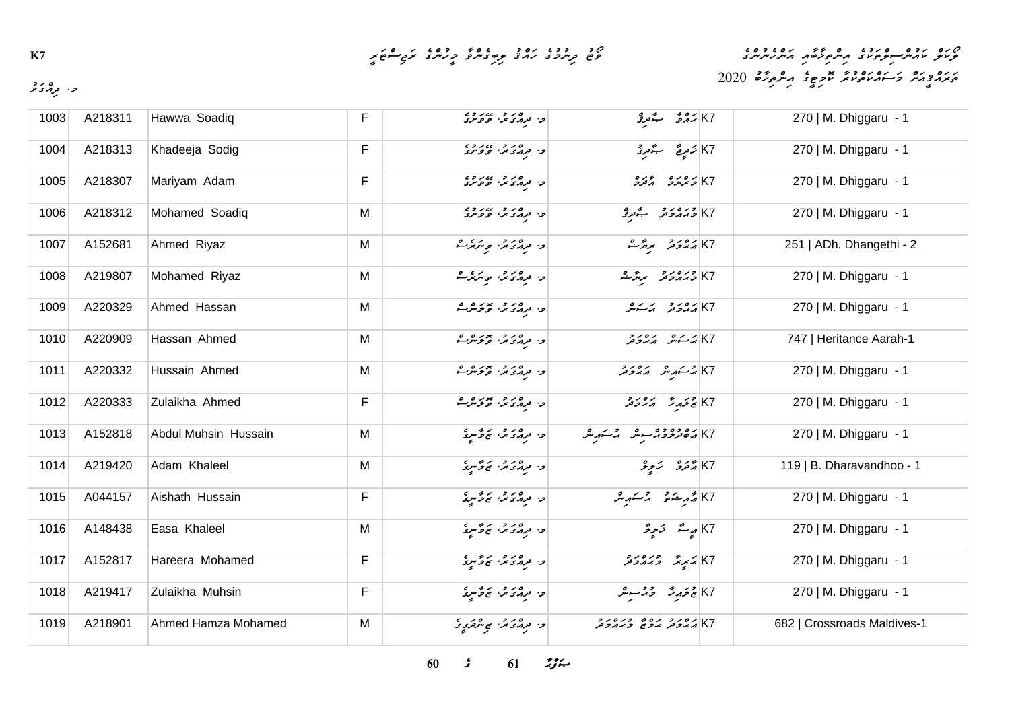*sCw7q7s5w7m< o<n9nOoAw7o< sCq;mAwBoEw7q<m; wBm;vB* م من المرة المرة المرة المرجع المرجع في المركبة 2020<br>مجم*د المريض المربوط المربع المرجع في المراجع المركبة* 

| 1003 | A218311 | Hawwa Soadiq         | F |                                 | K7 كەشى ھەمبۇ                                        | 270   M. Dhiggaru - 1       |
|------|---------|----------------------|---|---------------------------------|------------------------------------------------------|-----------------------------|
| 1004 | A218313 | Khadeeja Sodig       | F |                                 | K7 زَمِرِيحٌ سِگُورِدِّ                              | 270   M. Dhiggaru - 1       |
| 1005 | A218307 | Mariyam Adam         | F |                                 | K7  ئ <i>ەيدۇ مەترۇ</i>                              | 270   M. Dhiggaru - 1       |
| 1006 | A218312 | Mohamed Soadiq       | M |                                 | K7 <i>\$ پروڅو پ</i> گورنی                           | 270   M. Dhiggaru - 1       |
| 1007 | A152681 | Ahmed Riyaz          | M | د· مهدى عن م مكركر عليم عن الله | K7 كەبرى ئەرگەشى بىر                                 | 251   ADh. Dhangethi - 2    |
| 1008 | A219807 | Mohamed Riyaz        | M | د پروژنم، ویترترگ               | K7 <i>ڈیزوڈوٹر بروگ</i>                              | 270   M. Dhiggaru - 1       |
| 1009 | A220329 | Ahmed Hassan         | M | و مردوس وتوس                    | K7 كەبروتى كەسكىلى                                   | 270   M. Dhiggaru - 1       |
| 1010 | A220909 | Hassan Ahmed         | M | و مهدوس وتوس                    | K7 ئەسەش مەئەۋىتر                                    | 747   Heritance Aarah-1     |
| 1011 | A220332 | Hussain Ahmed        | M | و مردوس وتوس                    | K7 يُرْسَمَ مِيْشَ مَدَوْمَتْر                       | 270   M. Dhiggaru - 1       |
| 1012 | A220333 | Zulaikha Ahmed       | F | و٠ مهروس وتوس                   | K7 يح <i>قرم بد أن ج</i> ميز قر                      | 270   M. Dhiggaru - 1       |
| 1013 | A152818 | Abdul Muhsin Hussain | M | ه وروسی پروسی                   | K7 مەھرۈر بەسىر مەسەمبىر                             | 270   M. Dhiggaru - 1       |
| 1014 | A219420 | Adam Khaleel         | M | و مرور تر، نم و سره             | K7 , گەنزى ئىمرىمى                                   | 119   B. Dharavandhoo - 1   |
| 1015 | A044157 | Aishath Hussain      | F | و مرد و ناگري                   | K7 مەمرىشمۇ ب <sub>ى</sub> شەمرىش                    | 270   M. Dhiggaru - 1       |
| 1016 | A148438 | Easa Khaleel         | M | و مرور تر گاگیره                | K7 <sub>جو</sub> یځ - <del>ز</del> ی <sub>و</sub> یځ | 270   M. Dhiggaru - 1       |
| 1017 | A152817 | Hareera Mohamed      | F | د. مرد د برگ برگرس              | K7 يَرِيمُ حَيَدُ وَد                                | 270   M. Dhiggaru - 1       |
| 1018 | A219417 | Zulaikha Muhsin      | F | د. مرد د برگ برگرس              | K7 ىم ئومې <sup>5</sup> ۋېرسېتر                      | 270   M. Dhiggaru - 1       |
| 1019 | A218901 | Ahmed Hamza Mohamed  | M | و براد د پرکرد و                | K7 גפני גפי יינייני                                  | 682   Crossroads Maldives-1 |

 $60$  *s*  $61$  *n***<sub>s</sub>** $\frac{2}{3}$